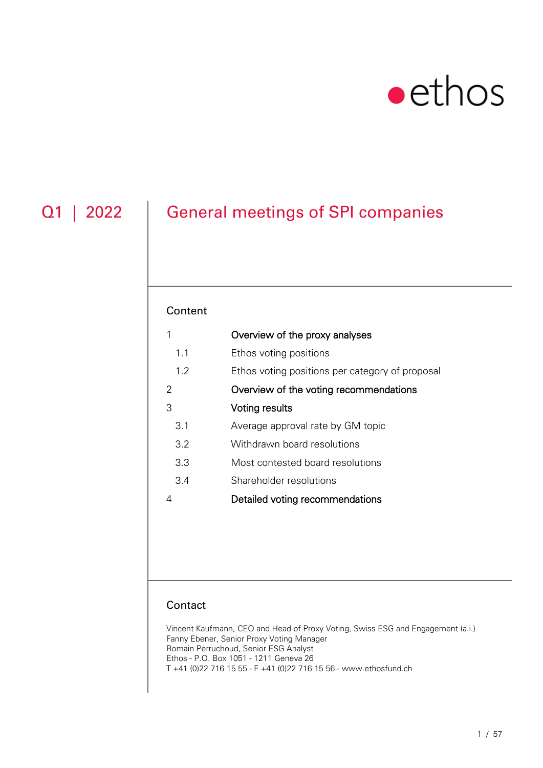# $\bullet$ ethos

## Q1 | 2022 | General meetings of SPI companies

### Content

| 1   | Overview of the proxy analyses                  |
|-----|-------------------------------------------------|
| 1.1 | Ethos voting positions                          |
| 1.2 | Ethos voting positions per category of proposal |
| 2   | Overview of the voting recommendations          |
| З   | Voting results                                  |
| 3.1 | Average approval rate by GM topic               |
| 3.2 | Withdrawn board resolutions                     |
| 3.3 | Most contested board resolutions                |
| 3.4 | Shareholder resolutions                         |
| 4   | Detailed voting recommendations                 |
|     |                                                 |

### **Contact**

Vincent Kaufmann, CEO and Head of Proxy Voting, Swiss ESG and Engagement (a.i.) Fanny Ebener, Senior Proxy Voting Manager Romain Perruchoud, Senior ESG Analyst Ethos - P.O. Box 1051 - 1211 Geneva 26 T +41 (0)22 716 15 55 - F +41 (0)22 716 15 56 - www.ethosfund.ch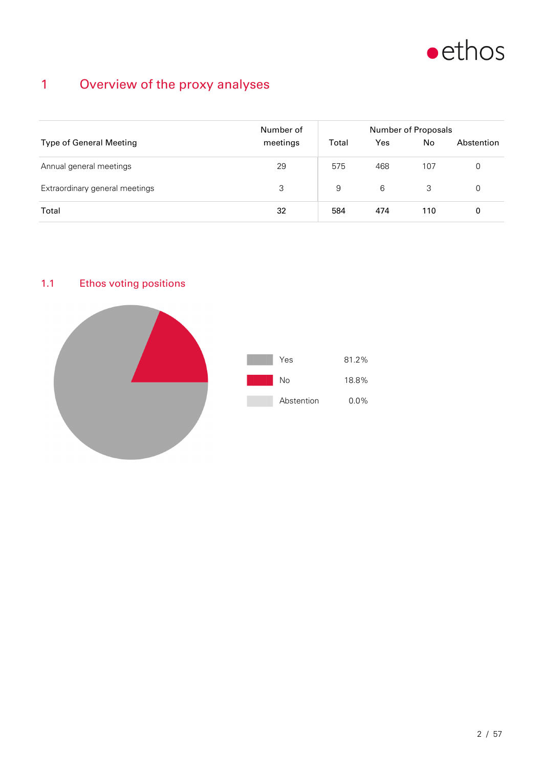

## 1 Overview of the proxy analyses

|                                | Number of | Number of Proposals |     |                |            |  |  |
|--------------------------------|-----------|---------------------|-----|----------------|------------|--|--|
| <b>Type of General Meeting</b> | meetings  | Total               | Yes | N <sub>o</sub> | Abstention |  |  |
| Annual general meetings        | 29        | 575                 | 468 | 107            | 0          |  |  |
| Extraordinary general meetings | 3         | 9                   | 6   | 3              | 0          |  |  |
| Total                          | 32        | 584                 | 474 | 110            | 0          |  |  |

### 1.1 Ethos voting positions

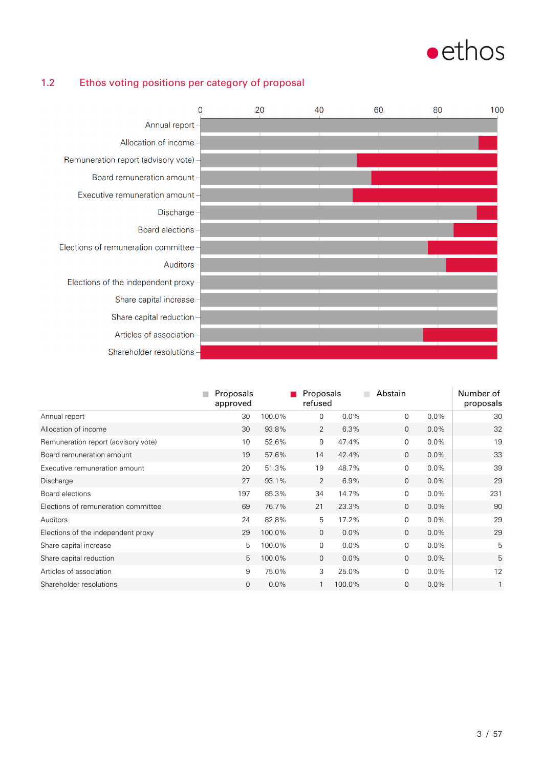

### 1.2 Ethos voting positions per category of proposal



|                                     | Proposals<br>approved |        | Proposals<br>refused |         | Abstain      |         | Number of<br>proposals |
|-------------------------------------|-----------------------|--------|----------------------|---------|--------------|---------|------------------------|
| Annual report                       | 30                    | 100.0% | 0                    | $0.0\%$ | $\mathbf 0$  | $0.0\%$ | 30                     |
| Allocation of income                | 30                    | 93.8%  | 2                    | 6.3%    | $\mathbf{0}$ | $0.0\%$ | 32                     |
| Remuneration report (advisory vote) | 10                    | 52.6%  | 9                    | 47.4%   | $\mathbf 0$  | $0.0\%$ | 19                     |
| Board remuneration amount           | 19                    | 57.6%  | 14                   | 42.4%   | $\mathbf{0}$ | $0.0\%$ | 33                     |
| Executive remuneration amount       | 20                    | 51.3%  | 19                   | 48.7%   | $\mathbf 0$  | $0.0\%$ | 39                     |
| Discharge                           | 27                    | 93.1%  | 2                    | 6.9%    | $\mathbf{0}$ | $0.0\%$ | 29                     |
| Board elections                     | 197                   | 85.3%  | 34                   | 14.7%   | $\mathbf 0$  | $0.0\%$ | 231                    |
| Elections of remuneration committee | 69                    | 76.7%  | 21                   | 23.3%   | $\mathbf{0}$ | $0.0\%$ | 90                     |
| Auditors                            | 24                    | 82.8%  | 5                    | 17.2%   | $\mathbf 0$  | $0.0\%$ | 29                     |
| Elections of the independent proxy  | 29                    | 100.0% | $\mathbf{0}$         | 0.0%    | $\mathbf{0}$ | $0.0\%$ | 29                     |
| Share capital increase              | 5                     | 100.0% | $\overline{0}$       | 0.0%    | $\mathbf 0$  | 0.0%    | 5                      |
| Share capital reduction             | 5                     | 100.0% | $\mathbf{0}$         | 0.0%    | $\mathbf{0}$ | $0.0\%$ | 5                      |
| Articles of association             | 9                     | 75.0%  | 3                    | 25.0%   | $\mathbf 0$  | $0.0\%$ | 12                     |
| Shareholder resolutions             | $\mathbf 0$           | 0.0%   | 1                    | 100.0%  | $\mathbf 0$  | $0.0\%$ | $\mathbf{1}$           |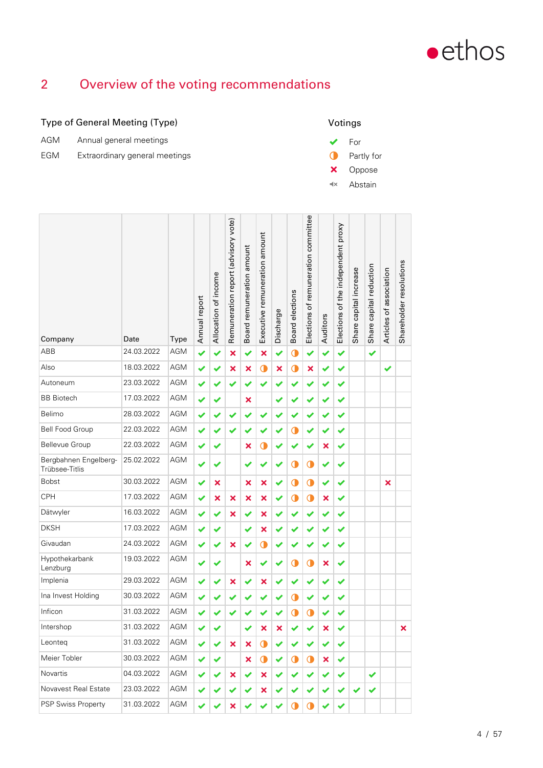

## 2 Overview of the voting recommendations

### Type of General Meeting (Type)

| AGM | Annual general meetings        |
|-----|--------------------------------|
| EGM | Extraordinary general meetings |



| Company                                 | Date       | Type       | Annual report | Allocation of income | Remuneration report (advisory vote) | Board remuneration amount | Executive remuneration amount | Discharge | Board elections | Elections of remuneration committee | Auditors | Elections of the independent proxy | Share capital increase | Share capital reduction | Articles of association | Shareholder resolutions |
|-----------------------------------------|------------|------------|---------------|----------------------|-------------------------------------|---------------------------|-------------------------------|-----------|-----------------|-------------------------------------|----------|------------------------------------|------------------------|-------------------------|-------------------------|-------------------------|
| ABB                                     | 24.03.2022 | <b>AGM</b> | ✔             | ✔                    | $\boldsymbol{\mathsf{x}}$           | ✔                         | ×                             | ✔         | $\mathbf 0$     | $\checkmark$                        | ✔        | ✔                                  |                        | ✔                       |                         |                         |
| Also                                    | 18.03.2022 | <b>AGM</b> | ✔             | ✔                    | ×                                   | $\pmb{\times}$            | $\bullet$                     | ×         | $\mathbf 0$     | ×                                   | ✔        | ✔                                  |                        |                         | ✔                       |                         |
| Autoneum                                | 23.03.2022 | AGM        | ✔             |                      | ✔                                   | ✔                         |                               |           |                 | ✔                                   | ✔        | ✔                                  |                        |                         |                         |                         |
| <b>BB</b> Biotech                       | 17.03.2022 | AGM        | ✔             | ✔                    |                                     | $\boldsymbol{\mathsf{x}}$ |                               | ✔         |                 | ✔                                   | ✔        | ✔                                  |                        |                         |                         |                         |
| Belimo                                  | 28.03.2022 | <b>AGM</b> | ✔             | ✔                    | ✔                                   |                           |                               |           |                 | ✔                                   | ✔        | ✔                                  |                        |                         |                         |                         |
| <b>Bell Food Group</b>                  | 22.03.2022 | AGM        | ✔             |                      | ✔                                   |                           |                               |           | Œ               | ✔                                   |          | ✔                                  |                        |                         |                         |                         |
| Bellevue Group                          | 22.03.2022 | <b>AGM</b> | ✔             | ✔                    |                                     | $\pmb{\times}$            | O                             |           |                 | ✔                                   | ×        | ✔                                  |                        |                         |                         |                         |
| Bergbahnen Engelberg-<br>Trübsee-Titlis | 25.02.2022 | AGM        | ✔             |                      |                                     |                           |                               |           | Œ               | $\mathbf 0$                         | ✔        | ✔                                  |                        |                         |                         |                         |
| <b>Bobst</b>                            | 30.03.2022 | <b>AGM</b> | ✔             | ×                    |                                     | $\boldsymbol{\mathsf{x}}$ | ×                             | ✔         | $\mathbf 0$     | $\mathbf 0$                         | ✔        | ✔                                  |                        |                         | ×                       |                         |
| <b>CPH</b>                              | 17.03.2022 | <b>AGM</b> | ✔             | ×                    | $\boldsymbol{\mathsf{x}}$           | $\pmb{\times}$            | ×                             | ✔         | Œ               | $\bullet$                           | ×        | ✔                                  |                        |                         |                         |                         |
| Dätwyler                                | 16.03.2022 | <b>AGM</b> | ✔             | ✔                    | ×                                   | ✔                         | ×                             | ✔         |                 | ✔                                   | ✔        | ✔                                  |                        |                         |                         |                         |
| <b>DKSH</b>                             | 17.03.2022 | <b>AGM</b> | ✔             | ✔                    |                                     | ✔                         | ×                             |           |                 | ✔                                   |          | ✔                                  |                        |                         |                         |                         |
| Givaudan                                | 24.03.2022 | <b>AGM</b> | ✔             | ✔                    | $\boldsymbol{\mathsf{x}}$           |                           | Œ                             | ✔         |                 | ✔                                   | ✔        | ✔                                  |                        |                         |                         |                         |
| Hypothekarbank<br>Lenzburg              | 19.03.2022 | AGM        | ✔             |                      |                                     | ×                         |                               |           | Œ               | $\mathbf 0$                         | ×        | ✔                                  |                        |                         |                         |                         |
| Implenia                                | 29.03.2022 | <b>AGM</b> | ✔             |                      | ×                                   | ✔                         | ×                             | ✔         |                 | ✔                                   | ✔        | ✔                                  |                        |                         |                         |                         |
| Ina Invest Holding                      | 30.03.2022 | AGM        | ✔             |                      |                                     |                           |                               |           | Œ               | ✔                                   |          | ✔                                  |                        |                         |                         |                         |
| Inficon                                 | 31.03.2022 | AGM        | ✔             |                      |                                     |                           |                               |           | Œ               | $\mathbf 0$                         | ✔        | ✔                                  |                        |                         |                         |                         |
| Intershop                               | 31.03.2022 | AGM        |               |                      |                                     | ✔                         | ×                             | ×         |                 |                                     | ×        | ✔                                  |                        |                         |                         | ×                       |
| Leonteq                                 | 31.03.2022 | AGM        | ✔             | ✔                    | $\boldsymbol{\mathsf{x}}$           | ×                         | O                             | ✔         |                 | ✔                                   | ✔        | ✔                                  |                        |                         |                         |                         |
| Meier Tobler                            | 30.03.2022 | AGM        | ✔             | ✔                    |                                     | ×                         | $\mathbf 0$                   | ✔         | ◑               | $\bullet$                           | ×        | ✔                                  |                        |                         |                         |                         |
| Novartis                                | 04.03.2022 | AGM        | ✔             |                      | ×                                   |                           | ×                             | ✔         |                 | ✔                                   |          | ✔                                  |                        | ✔                       |                         |                         |
| Novavest Real Estate                    | 23.03.2022 | AGM        | ✔             |                      |                                     |                           | ×                             |           |                 | ✔                                   |          | ✔                                  | ✔                      | ✔                       |                         |                         |
| PSP Swiss Property                      | 31.03.2022 | AGM        | ✔             |                      | ×                                   |                           |                               |           | Œ               | O                                   |          | ✔                                  |                        |                         |                         |                         |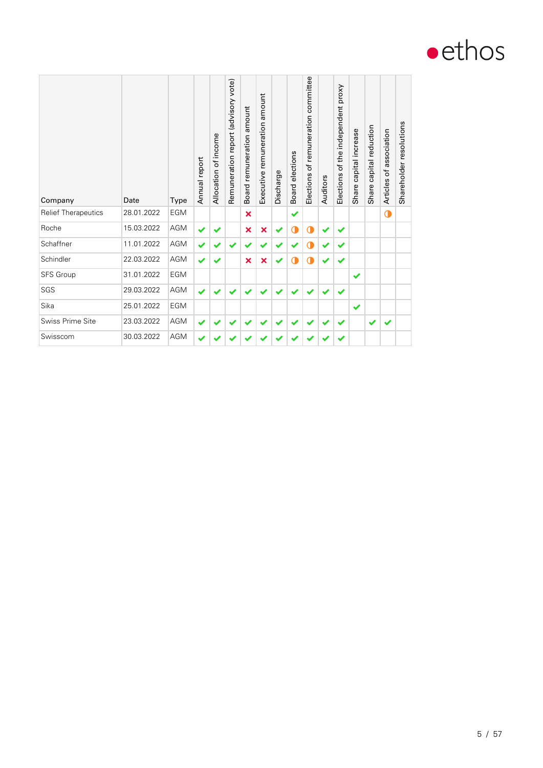

| Company                    | Date       | Type       | Annual report | Allocation of income | Remuneration report (advisory vote) | amount<br>remuneration<br><b>Board</b> | amount<br>remuneration<br>Executive | Discharge | elections<br>Board | Elections of remuneration committee | Auditors | Elections of the independent proxy | capital increase<br>Share | capital reduction<br>Share | association<br>Articles of | Shareholder resolutions |
|----------------------------|------------|------------|---------------|----------------------|-------------------------------------|----------------------------------------|-------------------------------------|-----------|--------------------|-------------------------------------|----------|------------------------------------|---------------------------|----------------------------|----------------------------|-------------------------|
| <b>Relief Therapeutics</b> | 28.01.2022 | <b>EGM</b> |               |                      |                                     | $\boldsymbol{\mathsf{x}}$              |                                     |           | ✔                  |                                     |          |                                    |                           |                            | $\bullet$                  |                         |
| Roche                      | 15.03.2022 | AGM        | ✔             |                      |                                     | $\overline{\mathbf{x}}$                | ×                                   | ✔         | O                  | O                                   |          | $\blacktriangledown$               |                           |                            |                            |                         |
| Schaffner                  | 11.01.2022 | <b>AGM</b> | $\checkmark$  |                      |                                     |                                        |                                     |           |                    | C                                   |          | $\checkmark$                       |                           |                            |                            |                         |
| Schindler                  | 22.03.2022 | AGM        | ✔             | ✔                    |                                     | $\boldsymbol{\mathsf{x}}$              | ×                                   | ✔         | O                  | $\mathbf 0$                         |          | $\checkmark$                       |                           |                            |                            |                         |
| SFS Group                  | 31.01.2022 | <b>EGM</b> |               |                      |                                     |                                        |                                     |           |                    |                                     |          |                                    | ✔                         |                            |                            |                         |
| SGS                        | 29.03.2022 | <b>AGM</b> | ✔             |                      |                                     |                                        |                                     |           |                    |                                     |          |                                    |                           |                            |                            |                         |
| Sika                       | 25.01.2022 | <b>EGM</b> |               |                      |                                     |                                        |                                     |           |                    |                                     |          |                                    | ✔                         |                            |                            |                         |
| Swiss Prime Site           | 23.03.2022 | AGM        | ✔             |                      |                                     |                                        |                                     |           |                    |                                     |          |                                    |                           | ✔                          | ✔                          |                         |
| Swisscom                   | 30.03.2022 | <b>AGM</b> | ✔             |                      |                                     |                                        |                                     |           |                    |                                     |          |                                    |                           |                            |                            |                         |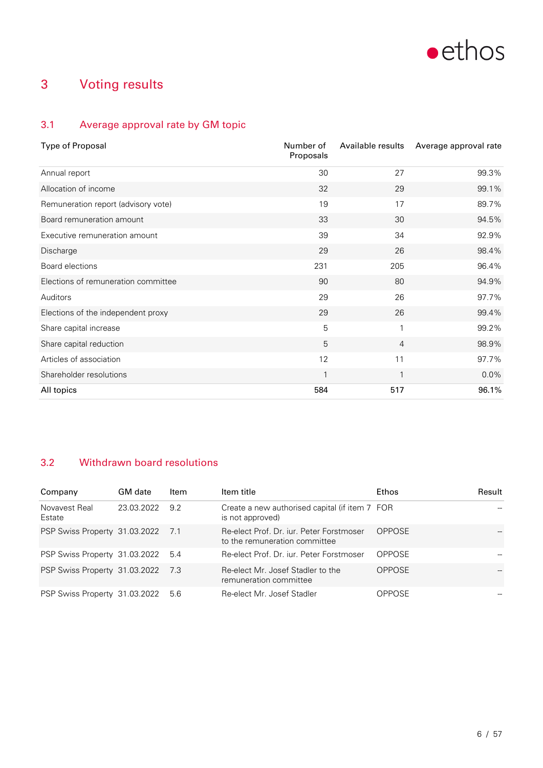

## 3 Voting results

### 3.1 Average approval rate by GM topic

| <b>Type of Proposal</b>             | Number of<br>Proposals | Available results | Average approval rate |
|-------------------------------------|------------------------|-------------------|-----------------------|
| Annual report                       | 30                     | 27                | 99.3%                 |
| Allocation of income                | 32                     | 29                | 99.1%                 |
| Remuneration report (advisory vote) | 19                     | 17                | 89.7%                 |
| Board remuneration amount           | 33                     | 30                | 94.5%                 |
| Executive remuneration amount       | 39                     | 34                | 92.9%                 |
| Discharge                           | 29                     | 26                | 98.4%                 |
| Board elections                     | 231                    | 205               | 96.4%                 |
| Elections of remuneration committee | 90                     | 80                | 94.9%                 |
| Auditors                            | 29                     | 26                | 97.7%                 |
| Elections of the independent proxy  | 29                     | 26                | 99.4%                 |
| Share capital increase              | 5                      | $\mathbf{1}$      | 99.2%                 |
| Share capital reduction             | 5                      | $\overline{4}$    | 98.9%                 |
| Articles of association             | 12                     | 11                | 97.7%                 |
| Shareholder resolutions             | 1                      | $\mathbf{1}$      | $0.0\%$               |
| All topics                          | 584                    | 517               | 96.1%                 |

### 3.2 Withdrawn board resolutions

| Company                       | <b>GM</b> date | Item | Item title                                                                | Ethos         | Result |
|-------------------------------|----------------|------|---------------------------------------------------------------------------|---------------|--------|
| Novavest Real<br>Estate       | 23.03.2022     | 9.2  | Create a new authorised capital (if item 7 FOR<br>is not approved)        |               |        |
| PSP Swiss Property 31.03.2022 |                | 7.1  | Re-elect Prof. Dr. jur. Peter Forstmoser<br>to the remuneration committee | <b>OPPOSE</b> |        |
| PSP Swiss Property 31.03.2022 |                | 5.4  | Re-elect Prof. Dr. jur. Peter Forstmoser                                  | <b>OPPOSE</b> |        |
| PSP Swiss Property 31.03.2022 |                | -7.3 | Re-elect Mr. Josef Stadler to the<br>remuneration committee               | <b>OPPOSE</b> |        |
| PSP Swiss Property 31.03.2022 |                | 5.6  | Re-elect Mr. Josef Stadler                                                | <b>OPPOSE</b> |        |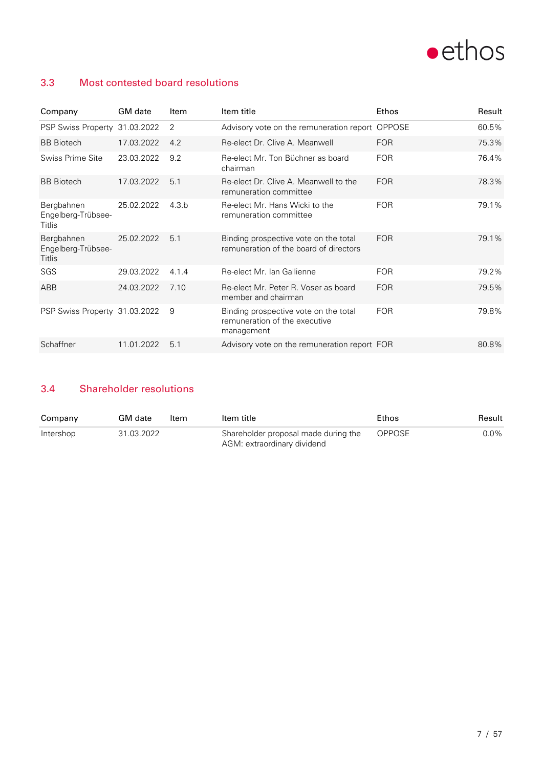

### 3.3 Most contested board resolutions

| Company                                    | GM date    | Item  | Item title                                                                           | Ethos         | Result |
|--------------------------------------------|------------|-------|--------------------------------------------------------------------------------------|---------------|--------|
| PSP Swiss Property 31.03.2022              |            | 2     | Advisory vote on the remuneration report                                             | <b>OPPOSE</b> | 60.5%  |
| <b>BB</b> Biotech                          | 17.03.2022 | 4.2   | Re-elect Dr. Clive A. Meanwell                                                       | <b>FOR</b>    | 75.3%  |
| Swiss Prime Site                           | 23.03.2022 | 9.2   | Re-elect Mr. Ton Büchner as board<br>chairman                                        | <b>FOR</b>    | 76.4%  |
| <b>BB</b> Biotech                          | 17.03.2022 | 5.1   | Re-elect Dr. Clive A. Meanwell to the<br>remuneration committee                      | <b>FOR</b>    | 78.3%  |
| Bergbahnen<br>Engelberg-Trübsee-<br>Titlis | 25.02.2022 | 4.3.b | Re-elect Mr. Hans Wicki to the<br>remuneration committee                             | <b>FOR</b>    | 79.1%  |
| Bergbahnen<br>Engelberg-Trübsee-<br>Titlis | 25.02.2022 | 5.1   | Binding prospective vote on the total<br>remuneration of the board of directors      | <b>FOR</b>    | 79.1%  |
| SGS                                        | 29.03.2022 | 4.1.4 | Re-elect Mr. Ian Gallienne                                                           | <b>FOR</b>    | 79.2%  |
| ABB                                        | 24.03.2022 | 7.10  | Re-elect Mr. Peter R. Voser as board<br>member and chairman                          | <b>FOR</b>    | 79.5%  |
| PSP Swiss Property 31.03.2022              |            | 9     | Binding prospective vote on the total<br>remuneration of the executive<br>management | <b>FOR</b>    | 79.8%  |
| Schaffner                                  | 11.01.2022 | 5.1   | Advisory vote on the remuneration report FOR                                         |               | 80.8%  |

### 3.4 Shareholder resolutions

| Company   | GM date    | Item | Item title                                                          | Ethos  | Result  |
|-----------|------------|------|---------------------------------------------------------------------|--------|---------|
| Intershop | 31.03.2022 |      | Shareholder proposal made during the<br>AGM: extraordinary dividend | OPPOSE | $0.0\%$ |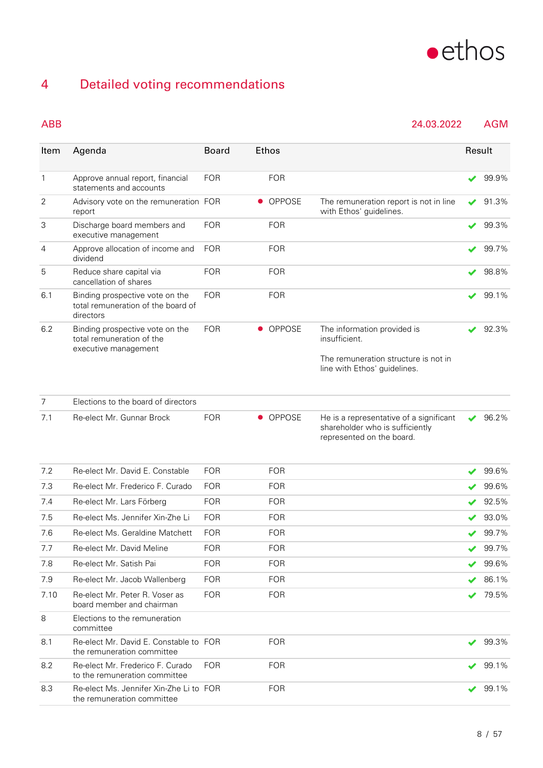

## 4 Detailed voting recommendations

### ABB 24.03.2022 AGM

| Item           | Agenda                                                                               | <b>Board</b> |           | Ethos      |                                                                                                         | Result |                |
|----------------|--------------------------------------------------------------------------------------|--------------|-----------|------------|---------------------------------------------------------------------------------------------------------|--------|----------------|
| 1              | Approve annual report, financial<br>statements and accounts                          | <b>FOR</b>   |           | <b>FOR</b> |                                                                                                         |        | 99.9%          |
| 2              | Advisory vote on the remuneration FOR<br>report                                      |              |           | • OPPOSE   | The remuneration report is not in line<br>with Ethos' guidelines.                                       | ✔      | 91.3%          |
| 3              | Discharge board members and<br>executive management                                  | <b>FOR</b>   |           | <b>FOR</b> |                                                                                                         | ✔      | 99.3%          |
| 4              | Approve allocation of income and<br>dividend                                         | <b>FOR</b>   |           | <b>FOR</b> |                                                                                                         | v      | 99.7%          |
| 5              | Reduce share capital via<br>cancellation of shares                                   | <b>FOR</b>   |           | <b>FOR</b> |                                                                                                         | ✔      | 98.8%          |
| 6.1            | Binding prospective vote on the<br>total remuneration of the board of<br>directors   | <b>FOR</b>   |           | <b>FOR</b> |                                                                                                         | ✔      | 99.1%          |
| 6.2            | Binding prospective vote on the<br>total remuneration of the<br>executive management | <b>FOR</b>   | $\bullet$ | OPPOSE     | The information provided is<br>insufficient.                                                            | ✔      | 92.3%          |
|                |                                                                                      |              |           |            | The remuneration structure is not in<br>line with Ethos' guidelines.                                    |        |                |
| $\overline{7}$ | Elections to the board of directors                                                  |              |           |            |                                                                                                         |        |                |
| 7.1            | Re-elect Mr. Gunnar Brock                                                            | <b>FOR</b>   |           | • OPPOSE   | He is a representative of a significant<br>shareholder who is sufficiently<br>represented on the board. | ✔      | 96.2%          |
| 7.2            | Re-elect Mr. David E. Constable                                                      | <b>FOR</b>   |           | <b>FOR</b> |                                                                                                         | ✔      | 99.6%          |
| 7.3            | Re-elect Mr. Frederico F. Curado                                                     | <b>FOR</b>   |           | <b>FOR</b> |                                                                                                         |        | 99.6%          |
| 7.4            | Re-elect Mr. Lars Förberg                                                            | <b>FOR</b>   |           | <b>FOR</b> |                                                                                                         |        | 92.5%          |
| 7.5            | Re-elect Ms. Jennifer Xin-Zhe Li                                                     | <b>FOR</b>   |           | <b>FOR</b> |                                                                                                         |        | 93.0%          |
| 7.6            | Re-elect Ms. Geraldine Matchett                                                      | <b>FOR</b>   |           | <b>FOR</b> |                                                                                                         | ✔      | 99.7%          |
| 7.7            | Re-elect Mr. David Meline                                                            | <b>FOR</b>   |           | FOR        |                                                                                                         |        | $\prime$ 99.7% |
| 7.8            | Re-elect Mr. Satish Pai                                                              | <b>FOR</b>   |           | <b>FOR</b> |                                                                                                         |        | 99.6%          |
| 7.9            | Re-elect Mr. Jacob Wallenberg                                                        | <b>FOR</b>   |           | <b>FOR</b> |                                                                                                         |        | 86.1%          |
| 7.10           | Re-elect Mr. Peter R. Voser as<br>board member and chairman                          | <b>FOR</b>   |           | <b>FOR</b> |                                                                                                         |        | 79.5%          |
| 8              | Elections to the remuneration<br>committee                                           |              |           |            |                                                                                                         |        |                |
| 8.1            | Re-elect Mr. David E. Constable to FOR<br>the remuneration committee                 |              |           | <b>FOR</b> |                                                                                                         | ✔      | 99.3%          |
| 8.2            | Re-elect Mr. Frederico F. Curado<br>to the remuneration committee                    | <b>FOR</b>   |           | <b>FOR</b> |                                                                                                         |        | 99.1%          |
| 8.3            | Re-elect Ms. Jennifer Xin-Zhe Li to FOR<br>the remuneration committee                |              |           | <b>FOR</b> |                                                                                                         | ✔      | 99.1%          |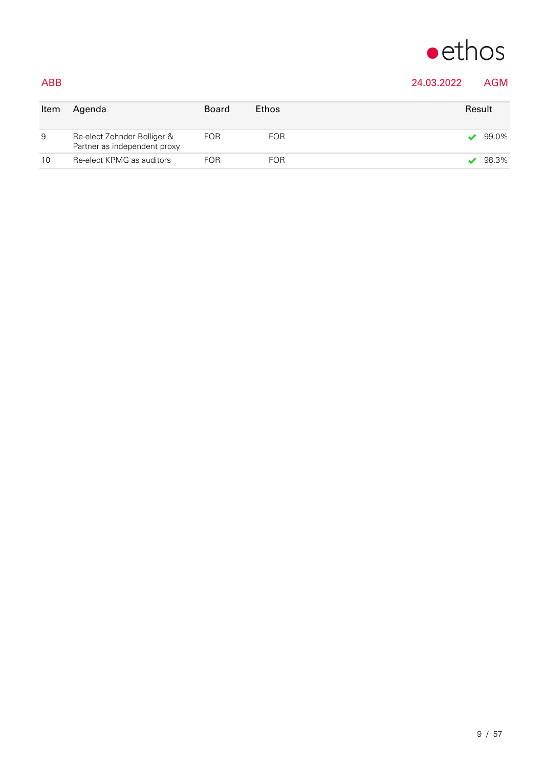

### ABB 24.03.2022 AGM

| Item | Agenda                                                      | <b>Board</b> | <b>Ethos</b> | Result |
|------|-------------------------------------------------------------|--------------|--------------|--------|
| 9    | Re-elect Zehnder Bolliger &<br>Partner as independent proxy | FOR          | <b>FOR</b>   | 99.0%  |
| 10   | Re-elect KPMG as auditors                                   | FOR          | <b>FOR</b>   | 98.3%  |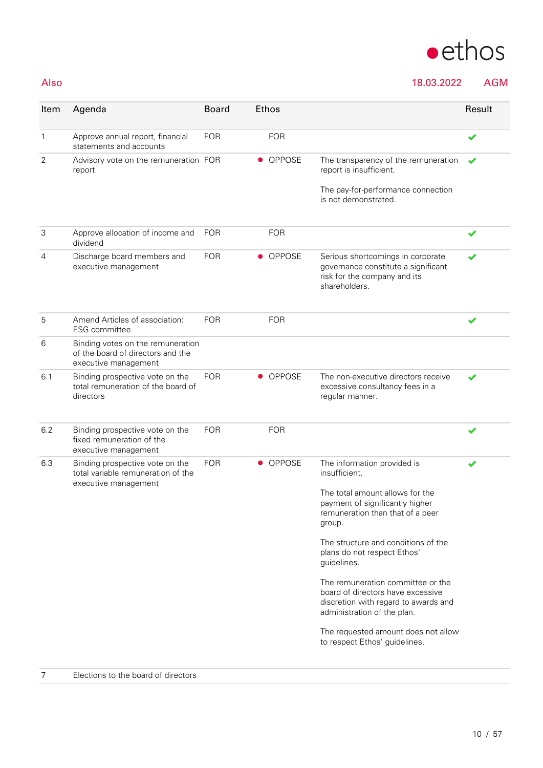### Also 18.03.2022 AGM

| Item           | Agenda                                                                                         | <b>Board</b> | <b>Ethos</b>               |                                                                                                                                               | Result |
|----------------|------------------------------------------------------------------------------------------------|--------------|----------------------------|-----------------------------------------------------------------------------------------------------------------------------------------------|--------|
| $\mathbf{1}$   | Approve annual report, financial<br>statements and accounts                                    | <b>FOR</b>   | <b>FOR</b>                 |                                                                                                                                               | ✔      |
| $\overline{2}$ | Advisory vote on the remuneration FOR<br>report                                                |              | <b>OPPOSE</b><br>$\bullet$ | The transparency of the remuneration<br>report is insufficient.<br>The pay-for-performance connection                                         |        |
|                |                                                                                                |              |                            | is not demonstrated.                                                                                                                          |        |
| 3              | Approve allocation of income and<br>dividend                                                   | <b>FOR</b>   | <b>FOR</b>                 |                                                                                                                                               | ✔      |
| 4              | Discharge board members and<br>executive management                                            | <b>FOR</b>   | • OPPOSE                   | Serious shortcomings in corporate<br>governance constitute a significant<br>risk for the company and its<br>shareholders.                     | ✔      |
| 5              | Amend Articles of association:<br>ESG committee                                                | <b>FOR</b>   | <b>FOR</b>                 |                                                                                                                                               |        |
| 6              | Binding votes on the remuneration<br>of the board of directors and the<br>executive management |              |                            |                                                                                                                                               |        |
| 6.1            | Binding prospective vote on the<br>total remuneration of the board of<br>directors             | <b>FOR</b>   | OPPOSE<br>$\bullet$        | The non-executive directors receive<br>excessive consultancy fees in a<br>regular manner.                                                     | ✔      |
| 6.2            | Binding prospective vote on the<br>fixed remuneration of the<br>executive management           | <b>FOR</b>   | <b>FOR</b>                 |                                                                                                                                               |        |
| 6.3            | Binding prospective vote on the<br>total variable remuneration of the<br>executive management  | <b>FOR</b>   | • OPPOSE                   | The information provided is<br>insufficient.                                                                                                  | ✔      |
|                |                                                                                                |              |                            | The total amount allows for the<br>payment of significantly higher<br>remuneration than that of a peer<br>group.                              |        |
|                |                                                                                                |              |                            | The structure and conditions of the<br>plans do not respect Ethos'<br>guidelines.                                                             |        |
|                |                                                                                                |              |                            | The remuneration committee or the<br>board of directors have excessive<br>discretion with regard to awards and<br>administration of the plan. |        |
|                |                                                                                                |              |                            | The requested amount does not allow<br>to respect Ethos' guidelines.                                                                          |        |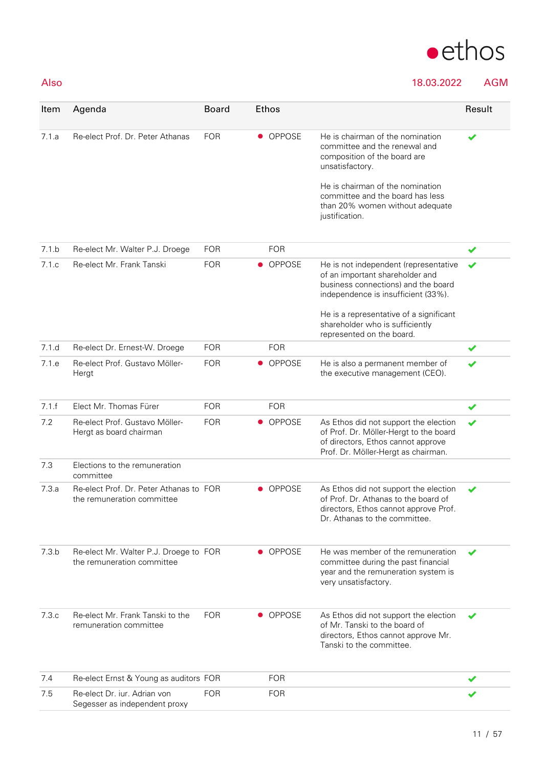

### Also 18.03.2022 AGM

| Item  | Agenda                                                                | <b>Board</b> | Ethos         |                                                                                                                                                              | Result |
|-------|-----------------------------------------------------------------------|--------------|---------------|--------------------------------------------------------------------------------------------------------------------------------------------------------------|--------|
| 7.1a  | Re-elect Prof. Dr. Peter Athanas                                      | <b>FOR</b>   | • OPPOSE      | He is chairman of the nomination<br>committee and the renewal and<br>composition of the board are<br>unsatisfactory.                                         |        |
|       |                                                                       |              |               | He is chairman of the nomination<br>committee and the board has less<br>than 20% women without adequate<br>justification.                                    |        |
| 7.1.b | Re-elect Mr. Walter P.J. Droege                                       | <b>FOR</b>   | <b>FOR</b>    |                                                                                                                                                              | ✔      |
| 7.1.c | Re-elect Mr. Frank Tanski                                             | <b>FOR</b>   | • OPPOSE      | He is not independent (representative<br>of an important shareholder and<br>business connections) and the board<br>independence is insufficient (33%).       | ✔      |
|       |                                                                       |              |               | He is a representative of a significant<br>shareholder who is sufficiently<br>represented on the board.                                                      |        |
| 7.1.d | Re-elect Dr. Ernest-W. Droege                                         | <b>FOR</b>   | <b>FOR</b>    |                                                                                                                                                              | ✔      |
| 7.1.e | Re-elect Prof. Gustavo Möller-<br>Hergt                               | <b>FOR</b>   | • OPPOSE      | He is also a permanent member of<br>the executive management (CEO).                                                                                          | ✔      |
| 7.1.f | Elect Mr. Thomas Fürer                                                | <b>FOR</b>   | <b>FOR</b>    |                                                                                                                                                              | ✔      |
| 7.2   | Re-elect Prof. Gustavo Möller-<br>Hergt as board chairman             | <b>FOR</b>   | <b>OPPOSE</b> | As Ethos did not support the election<br>of Prof. Dr. Möller-Hergt to the board<br>of directors, Ethos cannot approve<br>Prof. Dr. Möller-Hergt as chairman. | ✔      |
| 7.3   | Elections to the remuneration<br>committee                            |              |               |                                                                                                                                                              |        |
| 7.3a  | Re-elect Prof. Dr. Peter Athanas to FOR<br>the remuneration committee |              | • OPPOSE      | As Ethos did not support the election<br>of Prof. Dr. Athanas to the board of<br>directors, Ethos cannot approve Prof.<br>Dr. Athanas to the committee.      | ✔      |
| 7.3 b | Re-elect Mr. Walter P.J. Droege to FOR<br>the remuneration committee  |              | • OPPOSE      | He was member of the remuneration<br>committee during the past financial<br>year and the remuneration system is<br>very unsatisfactory.                      |        |
| 7.3.c | Re-elect Mr. Frank Tanski to the<br>remuneration committee            | <b>FOR</b>   | • OPPOSE      | As Ethos did not support the election<br>of Mr. Tanski to the board of<br>directors, Ethos cannot approve Mr.<br>Tanski to the committee.                    |        |
| 7.4   | Re-elect Ernst & Young as auditors FOR                                |              | <b>FOR</b>    |                                                                                                                                                              |        |
| 7.5   | Re-elect Dr. jur. Adrian von<br>Segesser as independent proxy         | <b>FOR</b>   | <b>FOR</b>    |                                                                                                                                                              |        |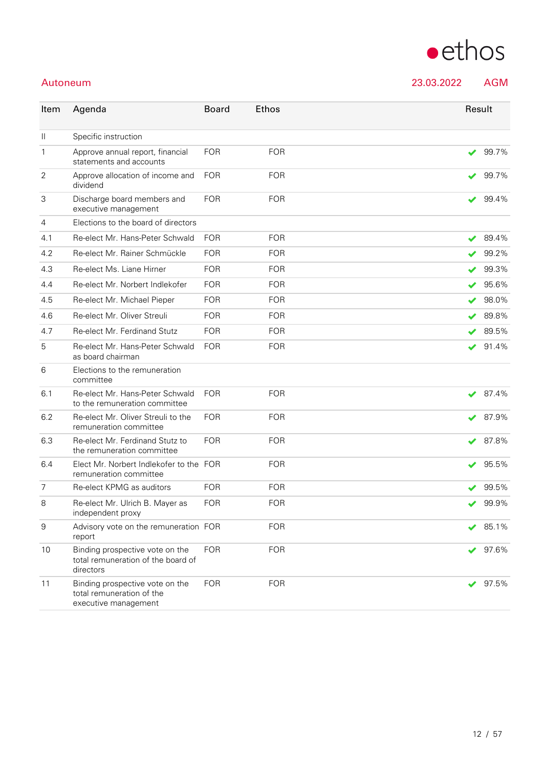| Item             | Agenda                                                                               | <b>Board</b> | Ethos      |                      | Result |
|------------------|--------------------------------------------------------------------------------------|--------------|------------|----------------------|--------|
| $\mathbf{  }$    | Specific instruction                                                                 |              |            |                      |        |
| $\mathbf{1}$     | Approve annual report, financial<br>statements and accounts                          | <b>FOR</b>   | <b>FOR</b> | ✔                    | 99.7%  |
| $\overline{2}$   | Approve allocation of income and<br>dividend                                         | <b>FOR</b>   | <b>FOR</b> | ✔                    | 99.7%  |
| 3                | Discharge board members and<br>executive management                                  | <b>FOR</b>   | <b>FOR</b> | ✔                    | 99.4%  |
| $\overline{4}$   | Elections to the board of directors                                                  |              |            |                      |        |
| 4.1              | Re-elect Mr. Hans-Peter Schwald                                                      | <b>FOR</b>   | <b>FOR</b> | ✔                    | 89.4%  |
| 4.2              | Re-elect Mr. Rainer Schmückle                                                        | <b>FOR</b>   | <b>FOR</b> | ✔                    | 99.2%  |
| 4.3              | Re-elect Ms. Liane Hirner                                                            | <b>FOR</b>   | <b>FOR</b> |                      | 99.3%  |
| 4.4              | Re-elect Mr. Norbert Indlekofer                                                      | <b>FOR</b>   | <b>FOR</b> | ✔                    | 95.6%  |
| 4.5              | Re-elect Mr. Michael Pieper                                                          | <b>FOR</b>   | <b>FOR</b> | ✔                    | 98.0%  |
| 4.6              | Re-elect Mr. Oliver Streuli                                                          | <b>FOR</b>   | <b>FOR</b> | ✔                    | 89.8%  |
| 4.7              | Re-elect Mr. Ferdinand Stutz                                                         | <b>FOR</b>   | <b>FOR</b> | $\blacktriangledown$ | 89.5%  |
| 5                | Re-elect Mr. Hans-Peter Schwald<br>as board chairman                                 | <b>FOR</b>   | <b>FOR</b> | $\blacktriangledown$ | 91.4%  |
| 6                | Elections to the remuneration<br>committee                                           |              |            |                      |        |
| 6.1              | Re-elect Mr. Hans-Peter Schwald<br>to the remuneration committee                     | <b>FOR</b>   | <b>FOR</b> | ✔                    | 87.4%  |
| 6.2              | Re-elect Mr. Oliver Streuli to the<br>remuneration committee                         | <b>FOR</b>   | <b>FOR</b> | ✔                    | 87.9%  |
| 6.3              | Re-elect Mr. Ferdinand Stutz to<br>the remuneration committee                        | <b>FOR</b>   | <b>FOR</b> | ✔                    | 87.8%  |
| 6.4              | Elect Mr. Norbert Indlekofer to the FOR<br>remuneration committee                    |              | <b>FOR</b> | ✔                    | 95.5%  |
| 7                | Re-elect KPMG as auditors                                                            | <b>FOR</b>   | <b>FOR</b> |                      | 99.5%  |
| 8                | Re-elect Mr. Ulrich B. Mayer as<br>independent proxy                                 | <b>FOR</b>   | <b>FOR</b> | ✔                    | 99.9%  |
| $\boldsymbol{9}$ | Advisory vote on the remuneration FOR<br>report                                      |              | <b>FOR</b> |                      | 85.1%  |
| 10               | Binding prospective vote on the<br>total remuneration of the board of<br>directors   | <b>FOR</b>   | <b>FOR</b> |                      | 97.6%  |
| 11               | Binding prospective vote on the<br>total remuneration of the<br>executive management | <b>FOR</b>   | <b>FOR</b> | ✔                    | 97.5%  |



Autoneum 23.03.2022 AGM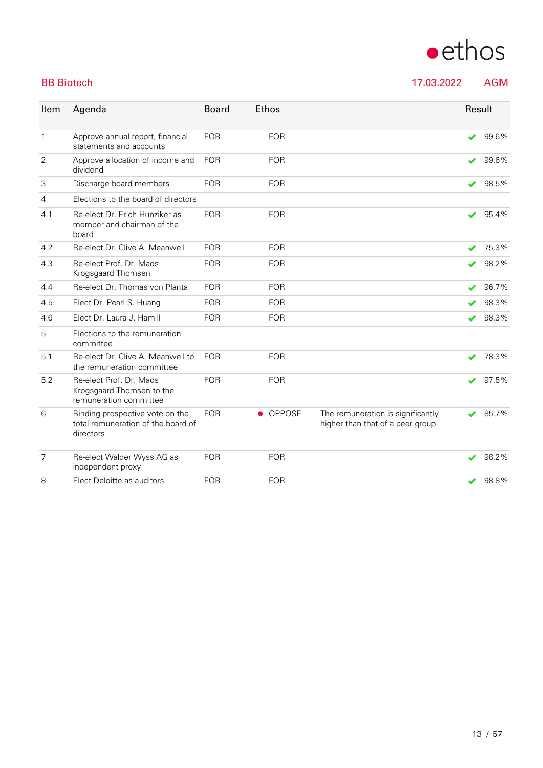

BB Biotech 2008 2022 2022 AGM

| Item           | Agenda                                                                             | <b>Board</b> | <b>Ethos</b>        |                                                                        | Result |       |
|----------------|------------------------------------------------------------------------------------|--------------|---------------------|------------------------------------------------------------------------|--------|-------|
| $\mathbf{1}$   | Approve annual report, financial<br>statements and accounts                        | <b>FOR</b>   | <b>FOR</b>          |                                                                        | ✔      | 99.6% |
| 2              | Approve allocation of income and<br>dividend                                       | <b>FOR</b>   | <b>FOR</b>          |                                                                        | ✔      | 99.6% |
| 3              | Discharge board members                                                            | <b>FOR</b>   | <b>FOR</b>          |                                                                        | ✔      | 98.5% |
| $\overline{4}$ | Elections to the board of directors                                                |              |                     |                                                                        |        |       |
| 4.1            | Re-elect Dr. Erich Hunziker as<br>member and chairman of the<br>board              | <b>FOR</b>   | <b>FOR</b>          |                                                                        | ✔      | 95.4% |
| 4.2            | Re-elect Dr. Clive A. Meanwell                                                     | <b>FOR</b>   | <b>FOR</b>          |                                                                        | ✔      | 75.3% |
| 4.3            | Re-elect Prof. Dr. Mads<br>Krogsgaard Thomsen                                      | <b>FOR</b>   | <b>FOR</b>          |                                                                        | ✔      | 98.2% |
| 4.4            | Re-elect Dr. Thomas von Planta                                                     | <b>FOR</b>   | <b>FOR</b>          |                                                                        | ✔      | 96.7% |
| 4.5            | Elect Dr. Pearl S. Huang                                                           | <b>FOR</b>   | <b>FOR</b>          |                                                                        |        | 98.3% |
| 4.6            | Elect Dr. Laura J. Hamill                                                          | <b>FOR</b>   | <b>FOR</b>          |                                                                        | ✔      | 98.3% |
| 5              | Elections to the remuneration<br>committee                                         |              |                     |                                                                        |        |       |
| 5.1            | Re-elect Dr. Clive A. Meanwell to<br>the remuneration committee                    | <b>FOR</b>   | <b>FOR</b>          |                                                                        | ✔      | 78.3% |
| 5.2            | Re-elect Prof. Dr. Mads<br>Krogsgaard Thomsen to the<br>remuneration committee     | <b>FOR</b>   | <b>FOR</b>          |                                                                        | V      | 97.5% |
| 6              | Binding prospective vote on the<br>total remuneration of the board of<br>directors | <b>FOR</b>   | OPPOSE<br>$\bullet$ | The remuneration is significantly<br>higher than that of a peer group. | v      | 85.7% |
| $\overline{7}$ | Re-elect Walder Wyss AG as<br>independent proxy                                    | <b>FOR</b>   | <b>FOR</b>          |                                                                        | ✔      | 98.2% |
| 8              | Elect Deloitte as auditors                                                         | <b>FOR</b>   | <b>FOR</b>          |                                                                        |        | 98.8% |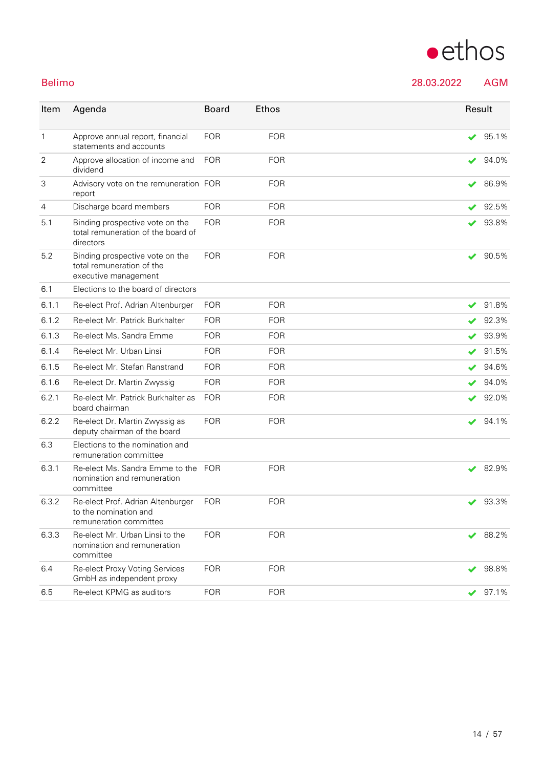# $\bullet$ ethos

Belimo 28.03.2022 AGM

| Item           | Agenda                                                                               | <b>Board</b> | Ethos      | Result               |              |
|----------------|--------------------------------------------------------------------------------------|--------------|------------|----------------------|--------------|
| $\mathbf{1}$   | Approve annual report, financial<br>statements and accounts                          | <b>FOR</b>   | <b>FOR</b> | $\checkmark$         | 95.1%        |
| $\overline{2}$ | Approve allocation of income and<br>dividend                                         | <b>FOR</b>   | <b>FOR</b> |                      | 94.0%        |
| 3              | Advisory vote on the remuneration FOR<br>report                                      |              | <b>FOR</b> |                      | 86.9%        |
| 4              | Discharge board members                                                              | <b>FOR</b>   | <b>FOR</b> | ✔                    | 92.5%        |
| 5.1            | Binding prospective vote on the<br>total remuneration of the board of<br>directors   | <b>FOR</b>   | <b>FOR</b> | ✔                    | 93.8%        |
| 5.2            | Binding prospective vote on the<br>total remuneration of the<br>executive management | <b>FOR</b>   | <b>FOR</b> | ✔                    | 90.5%        |
| 6.1            | Elections to the board of directors                                                  |              |            |                      |              |
| 6.1.1          | Re-elect Prof. Adrian Altenburger                                                    | <b>FOR</b>   | <b>FOR</b> | ✔                    | 91.8%        |
| 6.1.2          | Re-elect Mr. Patrick Burkhalter                                                      | <b>FOR</b>   | <b>FOR</b> |                      | 92.3%        |
| 6.1.3          | Re-elect Ms. Sandra Emme                                                             | <b>FOR</b>   | <b>FOR</b> |                      | 93.9%        |
| 6.1.4          | Re-elect Mr. Urban Linsi                                                             | <b>FOR</b>   | <b>FOR</b> |                      | 91.5%        |
| 6.1.5          | Re-elect Mr. Stefan Ranstrand                                                        | <b>FOR</b>   | <b>FOR</b> |                      | 94.6%        |
| 6.1.6          | Re-elect Dr. Martin Zwyssig                                                          | <b>FOR</b>   | <b>FOR</b> |                      | 94.0%        |
| 6.2.1          | Re-elect Mr. Patrick Burkhalter as<br>board chairman                                 | <b>FOR</b>   | <b>FOR</b> | V                    | 92.0%        |
| 6.2.2          | Re-elect Dr. Martin Zwyssig as<br>deputy chairman of the board                       | <b>FOR</b>   | <b>FOR</b> | ✔                    | 94.1%        |
| 6.3            | Elections to the nomination and<br>remuneration committee                            |              |            |                      |              |
| 6.3.1          | Re-elect Ms. Sandra Emme to the FOR<br>nomination and remuneration<br>committee      |              | <b>FOR</b> | ✔                    | 82.9%        |
| 6.3.2          | Re-elect Prof. Adrian Altenburger<br>to the nomination and<br>remuneration committee | <b>FOR</b>   | <b>FOR</b> |                      | $\vee$ 93.3% |
| 6.3.3          | Re-elect Mr. Urban Linsi to the<br>nomination and remuneration<br>committee          | <b>FOR</b>   | <b>FOR</b> | $\blacktriangledown$ | 88.2%        |
| 6.4            | Re-elect Proxy Voting Services<br>GmbH as independent proxy                          | <b>FOR</b>   | <b>FOR</b> | ✔                    | 98.8%        |
| 6.5            | Re-elect KPMG as auditors                                                            | <b>FOR</b>   | <b>FOR</b> | ✔                    | 97.1%        |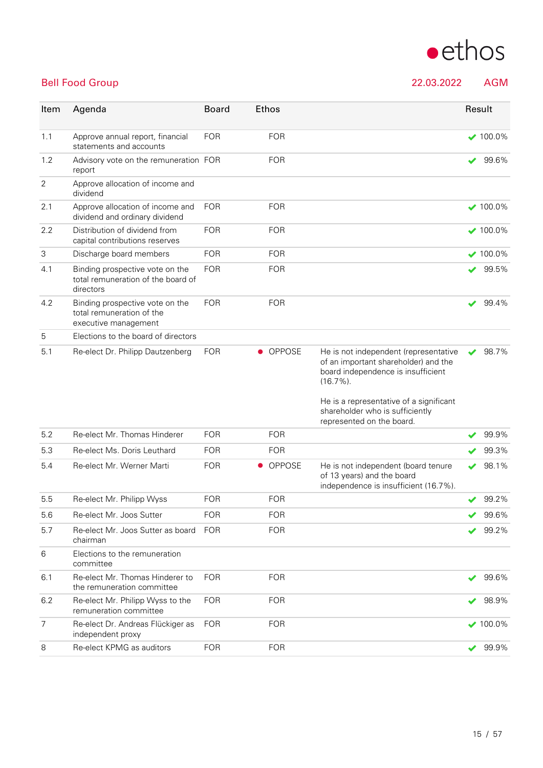

### Bell Food Group 22.03.2022 AGM

| Item           | Agenda                                                                               | <b>Board</b> | <b>Ethos</b>               |                                                                                                                                                                                                                   |              | Result          |
|----------------|--------------------------------------------------------------------------------------|--------------|----------------------------|-------------------------------------------------------------------------------------------------------------------------------------------------------------------------------------------------------------------|--------------|-----------------|
| 1.1            | Approve annual report, financial<br>statements and accounts                          | <b>FOR</b>   | <b>FOR</b>                 |                                                                                                                                                                                                                   |              | $\times$ 100.0% |
| 1.2            | Advisory vote on the remuneration FOR<br>report                                      |              | <b>FOR</b>                 |                                                                                                                                                                                                                   | ✔            | 99.6%           |
| $\overline{2}$ | Approve allocation of income and<br>dividend                                         |              |                            |                                                                                                                                                                                                                   |              |                 |
| 2.1            | Approve allocation of income and<br>dividend and ordinary dividend                   | <b>FOR</b>   | <b>FOR</b>                 |                                                                                                                                                                                                                   |              | $\times$ 100.0% |
| 2.2            | Distribution of dividend from<br>capital contributions reserves                      | <b>FOR</b>   | <b>FOR</b>                 |                                                                                                                                                                                                                   |              | $\times$ 100.0% |
| 3              | Discharge board members                                                              | <b>FOR</b>   | <b>FOR</b>                 |                                                                                                                                                                                                                   |              | $\times$ 100.0% |
| 4.1            | Binding prospective vote on the<br>total remuneration of the board of<br>directors   | <b>FOR</b>   | <b>FOR</b>                 |                                                                                                                                                                                                                   | ✔            | 99.5%           |
| 4.2            | Binding prospective vote on the<br>total remuneration of the<br>executive management | <b>FOR</b>   | <b>FOR</b>                 |                                                                                                                                                                                                                   | ✔            | 99.4%           |
| 5              | Elections to the board of directors                                                  |              |                            |                                                                                                                                                                                                                   |              |                 |
| 5.1            | Re-elect Dr. Philipp Dautzenberg                                                     | <b>FOR</b>   | • OPPOSE                   | He is not independent (representative<br>of an important shareholder) and the<br>board independence is insufficient<br>$(16.7\%)$ .<br>He is a representative of a significant<br>shareholder who is sufficiently | ✔            | 98.7%           |
|                |                                                                                      |              |                            | represented on the board.                                                                                                                                                                                         |              |                 |
| 5.2            | Re-elect Mr. Thomas Hinderer                                                         | <b>FOR</b>   | <b>FOR</b>                 |                                                                                                                                                                                                                   |              | 99.9%           |
| 5.3            | Re-elect Ms. Doris Leuthard                                                          | <b>FOR</b>   | <b>FOR</b>                 |                                                                                                                                                                                                                   |              | 99.3%           |
| 5.4            | Re-elect Mr. Werner Marti                                                            | <b>FOR</b>   | <b>OPPOSE</b><br>$\bullet$ | He is not independent (board tenure<br>of 13 years) and the board<br>independence is insufficient (16.7%).                                                                                                        | V            | 98.1%           |
| 5.5            | Re-elect Mr. Philipp Wyss                                                            | <b>FOR</b>   | <b>FOR</b>                 |                                                                                                                                                                                                                   | ✔            | 99.2%           |
| 5.6            | Re-elect Mr. Joos Sutter                                                             | FOR          | FOR                        |                                                                                                                                                                                                                   |              | 99.6%           |
| 5.7            | Re-elect Mr. Joos Sutter as board<br>chairman                                        | <b>FOR</b>   | <b>FOR</b>                 |                                                                                                                                                                                                                   |              | 99.2%           |
| 6              | Elections to the remuneration<br>committee                                           |              |                            |                                                                                                                                                                                                                   |              |                 |
| 6.1            | Re-elect Mr. Thomas Hinderer to<br>the remuneration committee                        | <b>FOR</b>   | <b>FOR</b>                 |                                                                                                                                                                                                                   | ✔            | 99.6%           |
| 6.2            | Re-elect Mr. Philipp Wyss to the<br>remuneration committee                           | <b>FOR</b>   | <b>FOR</b>                 |                                                                                                                                                                                                                   | $\checkmark$ | 98.9%           |
| 7              | Re-elect Dr. Andreas Flückiger as<br>independent proxy                               | <b>FOR</b>   | <b>FOR</b>                 |                                                                                                                                                                                                                   |              | $\times$ 100.0% |
| 8              | Re-elect KPMG as auditors                                                            | <b>FOR</b>   | <b>FOR</b>                 |                                                                                                                                                                                                                   | ✔            | 99.9%           |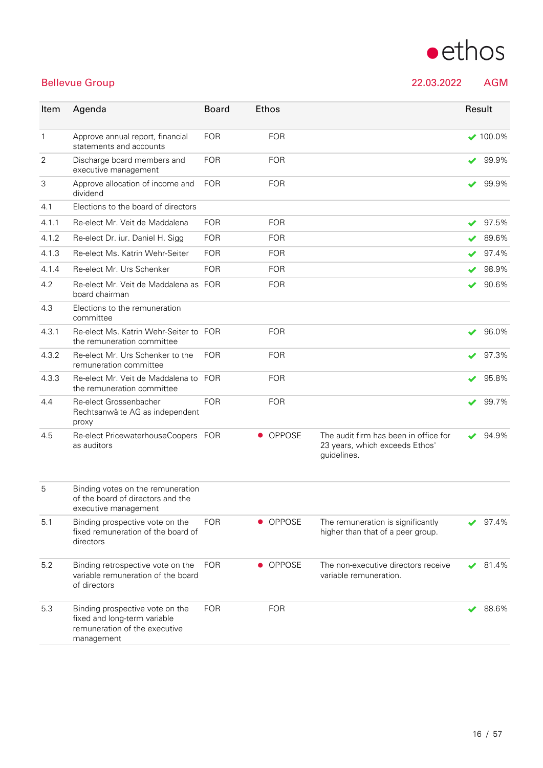# $\bullet$ ethos

### Bellevue Group 22.03.2022 AGM

| Item         | Agenda                                                                                                         | <b>Board</b> | <b>Ethos</b> |                                                                                        | Result |               |
|--------------|----------------------------------------------------------------------------------------------------------------|--------------|--------------|----------------------------------------------------------------------------------------|--------|---------------|
| $\mathbf{1}$ | Approve annual report, financial<br>statements and accounts                                                    | <b>FOR</b>   | <b>FOR</b>   |                                                                                        |        | $\vee$ 100.0% |
| 2            | Discharge board members and<br>executive management                                                            | <b>FOR</b>   | <b>FOR</b>   |                                                                                        |        | 99.9%         |
| 3            | Approve allocation of income and<br>dividend                                                                   | <b>FOR</b>   | <b>FOR</b>   |                                                                                        | ✔      | 99.9%         |
| 4.1          | Elections to the board of directors                                                                            |              |              |                                                                                        |        |               |
| 4.1.1        | Re-elect Mr. Veit de Maddalena                                                                                 | <b>FOR</b>   | <b>FOR</b>   |                                                                                        | ✔      | 97.5%         |
| 4.1.2        | Re-elect Dr. iur. Daniel H. Sigg                                                                               | <b>FOR</b>   | <b>FOR</b>   |                                                                                        |        | 89.6%         |
| 4.1.3        | Re-elect Ms. Katrin Wehr-Seiter                                                                                | <b>FOR</b>   | <b>FOR</b>   |                                                                                        |        | 97.4%         |
| 4.1.4        | Re-elect Mr. Urs Schenker                                                                                      | <b>FOR</b>   | <b>FOR</b>   |                                                                                        |        | 98.9%         |
| 4.2          | Re-elect Mr. Veit de Maddalena as FOR<br>board chairman                                                        |              | <b>FOR</b>   |                                                                                        |        | 90.6%         |
| 4.3          | Elections to the remuneration<br>committee                                                                     |              |              |                                                                                        |        |               |
| 4.3.1        | Re-elect Ms. Katrin Wehr-Seiter to FOR<br>the remuneration committee                                           |              | <b>FOR</b>   |                                                                                        | ✔      | 96.0%         |
| 4.3.2        | Re-elect Mr. Urs Schenker to the<br>remuneration committee                                                     | <b>FOR</b>   | <b>FOR</b>   |                                                                                        |        | 97.3%         |
| 4.3.3        | Re-elect Mr. Veit de Maddalena to FOR<br>the remuneration committee                                            |              | <b>FOR</b>   |                                                                                        |        | 95.8%         |
| 4.4          | Re-elect Grossenbacher<br>Rechtsanwälte AG as independent<br>proxy                                             | <b>FOR</b>   | <b>FOR</b>   |                                                                                        | ✔      | 99.7%         |
| 4.5          | Re-elect PricewaterhouseCoopers FOR<br>as auditors                                                             |              | • OPPOSE     | The audit firm has been in office for<br>23 years, which exceeds Ethos'<br>guidelines. | ✔      | 94.9%         |
| 5            | Binding votes on the remuneration<br>of the board of directors and the<br>executive management                 |              |              |                                                                                        |        |               |
| 5.1          | Binding prospective vote on the<br>fixed remuneration of the board of<br>directors                             | <b>FOR</b>   | • OPPOSE     | The remuneration is significantly<br>higher than that of a peer group.                 |        | 97.4%         |
| 5.2          | Binding retrospective vote on the<br>variable remuneration of the board<br>of directors                        | <b>FOR</b>   | • OPPOSE     | The non-executive directors receive<br>variable remuneration.                          |        | 81.4%         |
| 5.3          | Binding prospective vote on the<br>fixed and long-term variable<br>remuneration of the executive<br>management | <b>FOR</b>   | <b>FOR</b>   |                                                                                        |        | 88.6%         |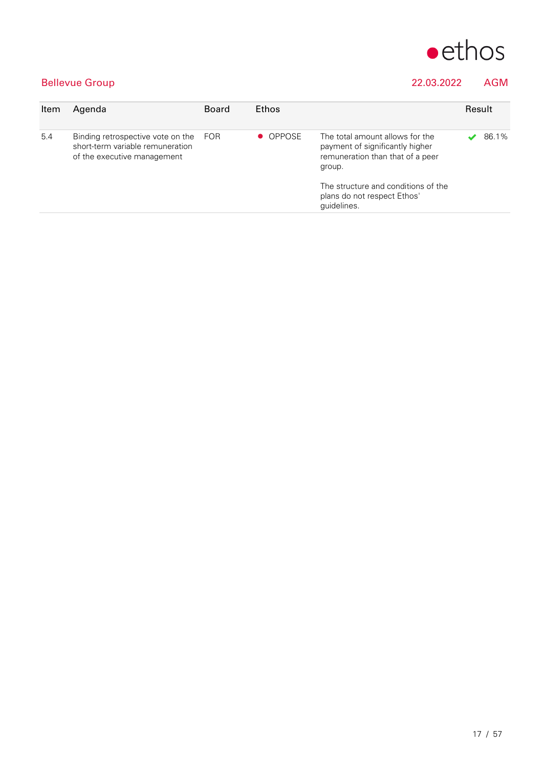

### Bellevue Group 22.03.2022 AGM

| Item | Agenda                                                                                                   | <b>Board</b> | <b>Ethos</b> | Result                                                                                                                                                                                                |  |       |
|------|----------------------------------------------------------------------------------------------------------|--------------|--------------|-------------------------------------------------------------------------------------------------------------------------------------------------------------------------------------------------------|--|-------|
| 5.4  | Binding retrospective vote on the FOR<br>short-term variable remuneration<br>of the executive management |              | • OPPOSE     | The total amount allows for the<br>payment of significantly higher<br>remuneration than that of a peer<br>group.<br>The structure and conditions of the<br>plans do not respect Ethos'<br>quidelines. |  | 86.1% |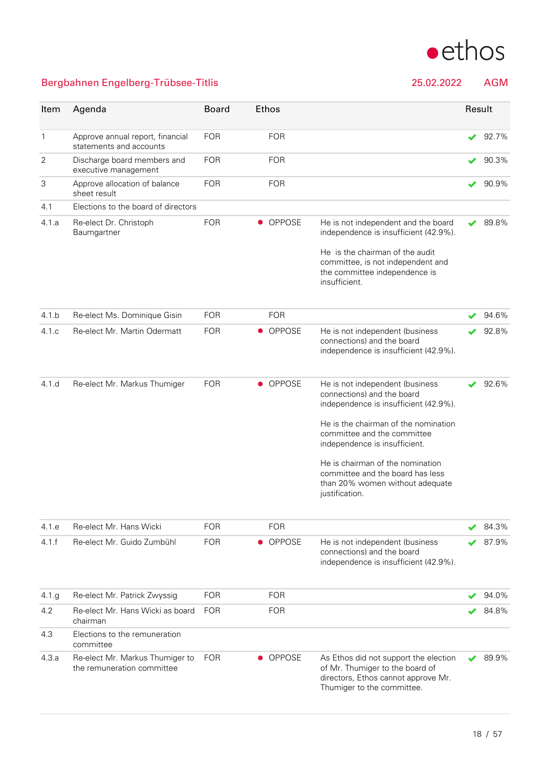

### Bergbahnen Engelberg-Trübsee-Titlis 25.02.2022 AGM

| Item  | Agenda                                                        | <b>Board</b> | Ethos                      |                                                                                                                                               | Result |       |
|-------|---------------------------------------------------------------|--------------|----------------------------|-----------------------------------------------------------------------------------------------------------------------------------------------|--------|-------|
| 1     | Approve annual report, financial<br>statements and accounts   | <b>FOR</b>   | <b>FOR</b>                 |                                                                                                                                               | ✔      | 92.7% |
| 2     | Discharge board members and<br>executive management           | <b>FOR</b>   | <b>FOR</b>                 |                                                                                                                                               |        | 90.3% |
| 3     | Approve allocation of balance<br>sheet result                 | <b>FOR</b>   | <b>FOR</b>                 |                                                                                                                                               |        | 90.9% |
| 4.1   | Elections to the board of directors                           |              |                            |                                                                                                                                               |        |       |
| 4.1.a | Re-elect Dr. Christoph<br>Baumgartner                         | <b>FOR</b>   | <b>OPPOSE</b><br>$\bullet$ | He is not independent and the board<br>independence is insufficient (42.9%).                                                                  |        | 89.8% |
|       |                                                               |              |                            | He is the chairman of the audit<br>committee, is not independent and<br>the committee independence is<br>insufficient.                        |        |       |
| 4.1 b | Re-elect Ms. Dominique Gisin                                  | <b>FOR</b>   | <b>FOR</b>                 |                                                                                                                                               |        | 94.6% |
| 4.1c  | Re-elect Mr. Martin Odermatt                                  | <b>FOR</b>   | OPPOSE<br>$\bullet$        | He is not independent (business<br>connections) and the board<br>independence is insufficient (42.9%).                                        |        | 92.8% |
| 4.1.d | Re-elect Mr. Markus Thumiger                                  | <b>FOR</b>   | <b>OPPOSE</b><br>$\bullet$ | He is not independent (business<br>connections) and the board<br>independence is insufficient (42.9%).                                        |        | 92.6% |
|       |                                                               |              |                            | He is the chairman of the nomination<br>committee and the committee<br>independence is insufficient.                                          |        |       |
|       |                                                               |              |                            | He is chairman of the nomination<br>committee and the board has less<br>than 20% women without adequate<br>justification.                     |        |       |
| 4.1.e | Re-elect Mr. Hans Wicki                                       | <b>FOR</b>   | <b>FOR</b>                 |                                                                                                                                               |        | 84.3% |
| 4.1.f | Re-elect Mr. Guido Zumbühl                                    | <b>FOR</b>   | OPPOSE<br>$\bullet$        | He is not independent (business<br>connections) and the board<br>independence is insufficient (42.9%).                                        |        | 87.9% |
| 4.1 g | Re-elect Mr. Patrick Zwyssig                                  | <b>FOR</b>   | <b>FOR</b>                 |                                                                                                                                               |        | 94.0% |
| 4.2   | Re-elect Mr. Hans Wicki as board<br>chairman                  | <b>FOR</b>   | <b>FOR</b>                 |                                                                                                                                               |        | 84.8% |
| 4.3   | Elections to the remuneration<br>committee                    |              |                            |                                                                                                                                               |        |       |
| 4.3.a | Re-elect Mr. Markus Thumiger to<br>the remuneration committee | <b>FOR</b>   | • OPPOSE                   | As Ethos did not support the election<br>of Mr. Thumiger to the board of<br>directors, Ethos cannot approve Mr.<br>Thumiger to the committee. |        | 89.9% |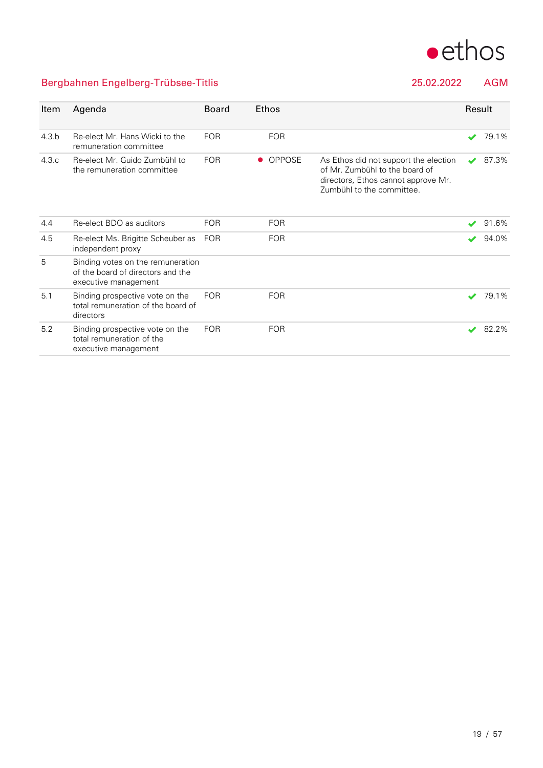

### Bergbahnen Engelberg-Trübsee-Titlis 25.02.2022 AGM

| Item  | Agenda                                                                                         | <b>Board</b> | <b>Ethos</b>  |                                                                                                                                             | Result                   |       |
|-------|------------------------------------------------------------------------------------------------|--------------|---------------|---------------------------------------------------------------------------------------------------------------------------------------------|--------------------------|-------|
| 4.3 b | Re-elect Mr. Hans Wicki to the<br>remuneration committee                                       | <b>FOR</b>   | <b>FOR</b>    |                                                                                                                                             | $\blacktriangledown$     | 79.1% |
| 4.3c  | Re-elect Mr. Guido Zumbühl to<br>the remuneration committee                                    | <b>FOR</b>   | <b>OPPOSE</b> | As Ethos did not support the election<br>of Mr. Zumbühl to the board of<br>directors, Ethos cannot approve Mr.<br>Zumbühl to the committee. | $\overline{\mathscr{L}}$ | 87.3% |
| 4.4   | Re-elect BDO as auditors                                                                       | <b>FOR</b>   | <b>FOR</b>    |                                                                                                                                             |                          | 91.6% |
| 4.5   | Re-elect Ms. Brigitte Scheuber as<br>independent proxy                                         | <b>FOR</b>   | <b>FOR</b>    |                                                                                                                                             | ✔                        | 94.0% |
| 5     | Binding votes on the remuneration<br>of the board of directors and the<br>executive management |              |               |                                                                                                                                             |                          |       |
| 5.1   | Binding prospective vote on the<br>total remuneration of the board of<br>directors             | <b>FOR</b>   | <b>FOR</b>    |                                                                                                                                             | s                        | 79.1% |
| 5.2   | Binding prospective vote on the<br>total remuneration of the<br>executive management           | <b>FOR</b>   | <b>FOR</b>    |                                                                                                                                             | $\overline{\mathscr{L}}$ | 82.2% |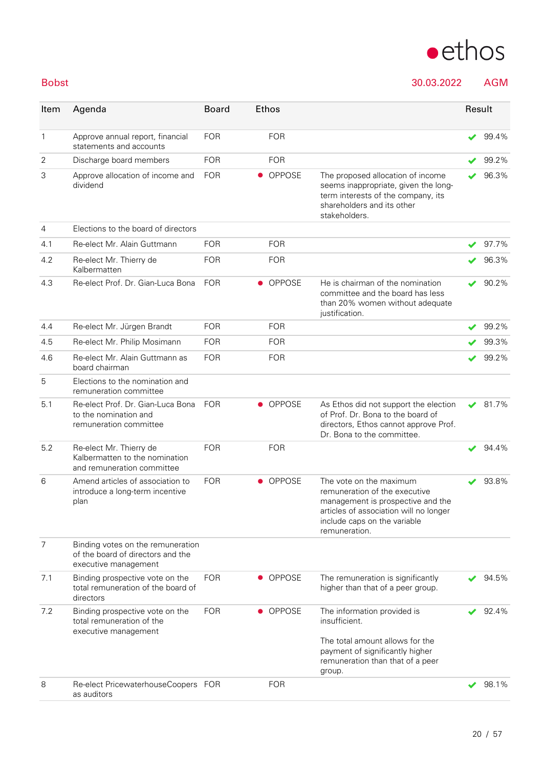

Bobst 30.03.2022 AGM

| Item         | Agenda                                                                                         | <b>Board</b> | Ethos     |               |                                                                                                                                                                                          | Result |       |
|--------------|------------------------------------------------------------------------------------------------|--------------|-----------|---------------|------------------------------------------------------------------------------------------------------------------------------------------------------------------------------------------|--------|-------|
| $\mathbf{1}$ | Approve annual report, financial<br>statements and accounts                                    | <b>FOR</b>   |           | <b>FOR</b>    |                                                                                                                                                                                          |        | 99.4% |
| 2            | Discharge board members                                                                        | <b>FOR</b>   |           | <b>FOR</b>    |                                                                                                                                                                                          |        | 99.2% |
| 3            | Approve allocation of income and<br>dividend                                                   | <b>FOR</b>   |           | <b>OPPOSE</b> | The proposed allocation of income<br>seems inappropriate, given the long-<br>term interests of the company, its<br>shareholders and its other<br>stakeholders.                           |        | 96.3% |
| 4            | Elections to the board of directors                                                            |              |           |               |                                                                                                                                                                                          |        |       |
| 4.1          | Re-elect Mr. Alain Guttmann                                                                    | <b>FOR</b>   |           | <b>FOR</b>    |                                                                                                                                                                                          | ✔      | 97.7% |
| 4.2          | Re-elect Mr. Thierry de<br>Kalbermatten                                                        | <b>FOR</b>   |           | <b>FOR</b>    |                                                                                                                                                                                          |        | 96.3% |
| 4.3          | Re-elect Prof. Dr. Gian-Luca Bona                                                              | <b>FOR</b>   |           | <b>OPPOSE</b> | He is chairman of the nomination<br>committee and the board has less<br>than 20% women without adequate<br>justification.                                                                |        | 90.2% |
| 4.4          | Re-elect Mr. Jürgen Brandt                                                                     | <b>FOR</b>   |           | <b>FOR</b>    |                                                                                                                                                                                          |        | 99.2% |
| 4.5          | Re-elect Mr. Philip Mosimann                                                                   | <b>FOR</b>   |           | <b>FOR</b>    |                                                                                                                                                                                          |        | 99.3% |
| 4.6          | Re-elect Mr. Alain Guttmann as<br>board chairman                                               | <b>FOR</b>   |           | <b>FOR</b>    |                                                                                                                                                                                          |        | 99.2% |
| 5            | Elections to the nomination and<br>remuneration committee                                      |              |           |               |                                                                                                                                                                                          |        |       |
| 5.1          | Re-elect Prof. Dr. Gian-Luca Bona<br>to the nomination and<br>remuneration committee           | <b>FOR</b>   | $\bullet$ | <b>OPPOSE</b> | As Ethos did not support the election<br>of Prof. Dr. Bona to the board of<br>directors, Ethos cannot approve Prof.<br>Dr. Bona to the committee.                                        | J      | 81.7% |
| 5.2          | Re-elect Mr. Thierry de<br>Kalbermatten to the nomination<br>and remuneration committee        | <b>FOR</b>   |           | <b>FOR</b>    |                                                                                                                                                                                          |        | 94.4% |
| 6            | Amend articles of association to<br>introduce a long-term incentive<br>plan                    | <b>FOR</b>   |           | <b>OPPOSE</b> | The vote on the maximum<br>remuneration of the executive<br>management is prospective and the<br>articles of association will no longer<br>include caps on the variable<br>remuneration. |        | 93.8% |
| 7            | Binding votes on the remuneration<br>of the board of directors and the<br>executive management |              |           |               |                                                                                                                                                                                          |        |       |
| 7.1          | Binding prospective vote on the<br>total remuneration of the board of<br>directors             | <b>FOR</b>   | $\bullet$ | <b>OPPOSE</b> | The remuneration is significantly<br>higher than that of a peer group.                                                                                                                   |        | 94.5% |
| 7.2          | Binding prospective vote on the<br>total remuneration of the<br>executive management           | <b>FOR</b>   | $\bullet$ | <b>OPPOSE</b> | The information provided is<br>insufficient.<br>The total amount allows for the<br>payment of significantly higher<br>remuneration than that of a peer<br>group.                         |        | 92.4% |
| 8            | Re-elect PricewaterhouseCoopers FOR<br>as auditors                                             |              |           | <b>FOR</b>    |                                                                                                                                                                                          |        | 98.1% |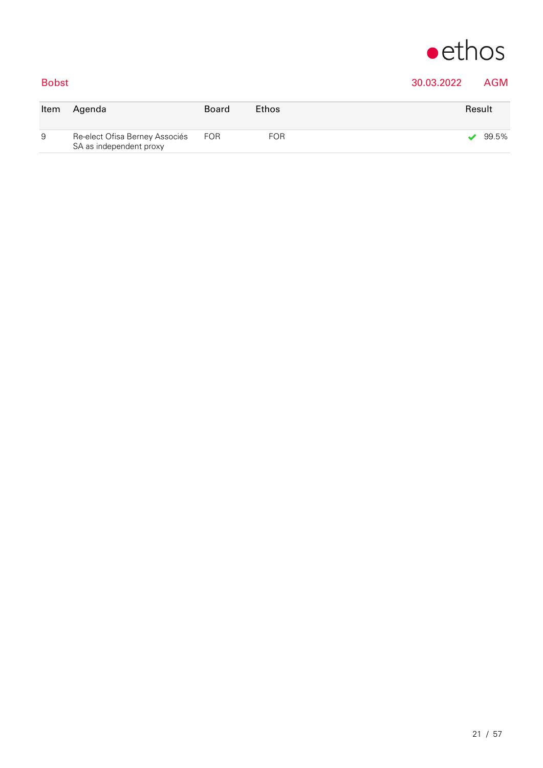

### Bobst 30.03.2022 AGM

| Item | Aqenda                                                    | Board      | <b>Ethos</b> | Result |
|------|-----------------------------------------------------------|------------|--------------|--------|
| 9    | Re-elect Ofisa Berney Associés<br>SA as independent proxy | <b>FOR</b> | <b>FOR</b>   | 99.5%  |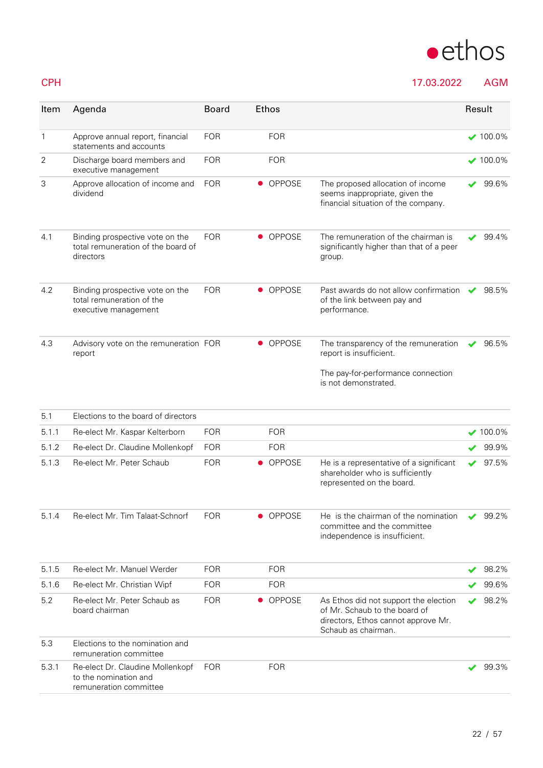

CPH 17.03.2022 AGM

| Item  | Agenda                                                                               | <b>Board</b> | <b>Ethos</b>  |                                                                                                                                      | Result |                 |
|-------|--------------------------------------------------------------------------------------|--------------|---------------|--------------------------------------------------------------------------------------------------------------------------------------|--------|-----------------|
| 1     | Approve annual report, financial<br>statements and accounts                          | <b>FOR</b>   | <b>FOR</b>    |                                                                                                                                      |        | $\times$ 100.0% |
| 2     | Discharge board members and<br>executive management                                  | <b>FOR</b>   | <b>FOR</b>    |                                                                                                                                      |        | $\times$ 100.0% |
| 3     | Approve allocation of income and<br>dividend                                         | <b>FOR</b>   | <b>OPPOSE</b> | The proposed allocation of income<br>seems inappropriate, given the<br>financial situation of the company.                           |        | 99.6%           |
| 4.1   | Binding prospective vote on the<br>total remuneration of the board of<br>directors   | <b>FOR</b>   | <b>OPPOSE</b> | The remuneration of the chairman is<br>significantly higher than that of a peer<br>group.                                            |        | 99.4%           |
| 4.2   | Binding prospective vote on the<br>total remuneration of the<br>executive management | <b>FOR</b>   | • OPPOSE      | Past awards do not allow confirmation<br>of the link between pay and<br>performance.                                                 | ✔      | 98.5%           |
| 4.3   | Advisory vote on the remuneration FOR<br>report                                      |              | <b>OPPOSE</b> | The transparency of the remuneration<br>report is insufficient.<br>The pay-for-performance connection<br>is not demonstrated.        |        | 96.5%           |
| 5.1   | Elections to the board of directors                                                  |              |               |                                                                                                                                      |        |                 |
| 5.1.1 | Re-elect Mr. Kaspar Kelterborn                                                       | <b>FOR</b>   | <b>FOR</b>    |                                                                                                                                      |        | $\times$ 100.0% |
| 5.1.2 | Re-elect Dr. Claudine Mollenkopf                                                     | <b>FOR</b>   | <b>FOR</b>    |                                                                                                                                      |        | 99.9%           |
| 5.1.3 | Re-elect Mr. Peter Schaub                                                            | <b>FOR</b>   | • OPPOSE      | He is a representative of a significant<br>shareholder who is sufficiently<br>represented on the board.                              |        | 97.5%           |
| 5.1.4 | Re-elect Mr. Tim Talaat-Schnorf                                                      | <b>FOR</b>   | <b>OPPOSE</b> | He is the chairman of the nomination<br>committee and the committee<br>independence is insufficient.                                 |        | 99.2%           |
| 5.1.5 | Re-elect Mr. Manuel Werder                                                           | <b>FOR</b>   | <b>FOR</b>    |                                                                                                                                      |        | 98.2%           |
| 5.1.6 | Re-elect Mr. Christian Wipf                                                          | <b>FOR</b>   | <b>FOR</b>    |                                                                                                                                      |        | 99.6%           |
| 5.2   | Re-elect Mr. Peter Schaub as<br>board chairman                                       | <b>FOR</b>   | <b>OPPOSE</b> | As Ethos did not support the election<br>of Mr. Schaub to the board of<br>directors, Ethos cannot approve Mr.<br>Schaub as chairman. |        | 98.2%           |
| 5.3   | Elections to the nomination and<br>remuneration committee                            |              |               |                                                                                                                                      |        |                 |
| 5.3.1 | Re-elect Dr. Claudine Mollenkopf<br>to the nomination and<br>remuneration committee  | <b>FOR</b>   | <b>FOR</b>    |                                                                                                                                      |        | 99.3%           |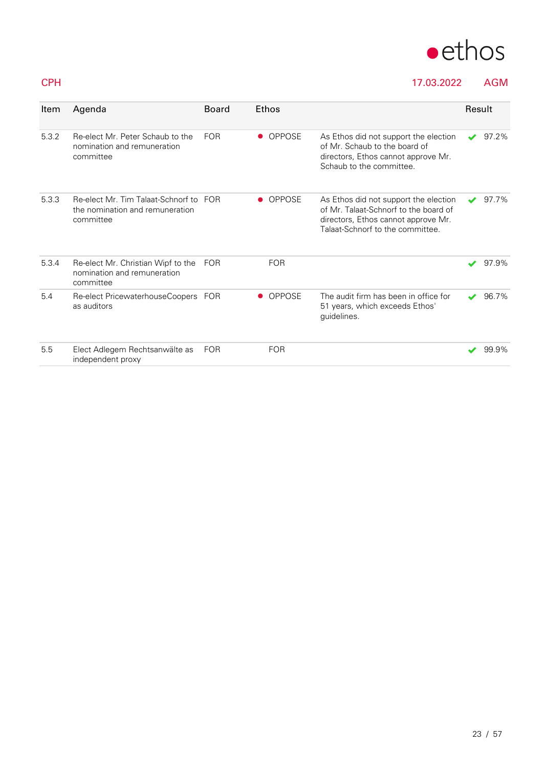

### CPH 17.03.2022 AGM

| Item  | Agenda                                                                                 | <b>Board</b> | <b>Ethos</b>  |                                                                                                                                                           | Result |          |
|-------|----------------------------------------------------------------------------------------|--------------|---------------|-----------------------------------------------------------------------------------------------------------------------------------------------------------|--------|----------|
| 5.3.2 | Re-elect Mr. Peter Schaub to the<br>nomination and remuneration<br>committee           | <b>FOR</b>   | <b>OPPOSE</b> | As Ethos did not support the election<br>of Mr. Schaub to the board of<br>directors, Ethos cannot approve Mr.<br>Schaub to the committee.                 |        | $97.2\%$ |
| 5.3.3 | Re-elect Mr. Tim Talaat-Schnorf to FOR<br>the nomination and remuneration<br>committee |              | <b>OPPOSE</b> | As Ethos did not support the election<br>of Mr. Talaat-Schnorf to the board of<br>directors, Ethos cannot approve Mr.<br>Talaat-Schnorf to the committee. |        | 97.7%    |
| 5.3.4 | Re-elect Mr. Christian Wipf to the<br>nomination and remuneration<br>committee         | FOR          | <b>FOR</b>    |                                                                                                                                                           |        | 97.9%    |
| 5.4   | Re-elect PricewaterhouseCoopers FOR<br>as auditors                                     |              | OPPOSE        | The audit firm has been in office for<br>51 years, which exceeds Ethos'<br>guidelines.                                                                    |        | 96.7%    |
| 5.5   | Elect Adlegem Rechtsanwälte as<br>independent proxy                                    | <b>FOR</b>   | <b>FOR</b>    |                                                                                                                                                           |        | 99.9%    |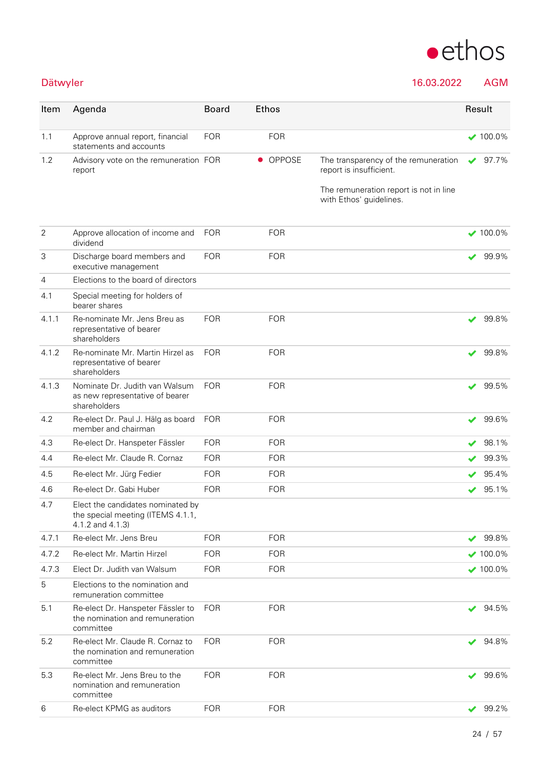

Dätwyler 16.03.2022 AGM

| Item           | Agenda                                                                                     | <b>Board</b> | Ethos      |                                                                   | Result               |                  |
|----------------|--------------------------------------------------------------------------------------------|--------------|------------|-------------------------------------------------------------------|----------------------|------------------|
| 1.1            | Approve annual report, financial<br>statements and accounts                                | <b>FOR</b>   | <b>FOR</b> |                                                                   |                      | $\times$ 100.0%  |
| 1.2            | Advisory vote on the remuneration FOR<br>report                                            |              | • OPPOSE   | The transparency of the remuneration<br>report is insufficient.   | ✔                    | 97.7%            |
|                |                                                                                            |              |            | The remuneration report is not in line<br>with Ethos' guidelines. |                      |                  |
| $\overline{2}$ | Approve allocation of income and<br>dividend                                               | <b>FOR</b>   | <b>FOR</b> |                                                                   |                      | $\bigvee$ 100.0% |
| 3              | Discharge board members and<br>executive management                                        | <b>FOR</b>   | <b>FOR</b> |                                                                   | ✔                    | 99.9%            |
| 4              | Elections to the board of directors                                                        |              |            |                                                                   |                      |                  |
| 4.1            | Special meeting for holders of<br>bearer shares                                            |              |            |                                                                   |                      |                  |
| 4.1.1          | Re-nominate Mr. Jens Breu as<br>representative of bearer<br>shareholders                   | <b>FOR</b>   | <b>FOR</b> |                                                                   | ✔                    | 99.8%            |
| 4.1.2          | Re-nominate Mr. Martin Hirzel as<br>representative of bearer<br>shareholders               | <b>FOR</b>   | <b>FOR</b> |                                                                   | ✔                    | 99.8%            |
| 4.1.3          | Nominate Dr. Judith van Walsum<br>as new representative of bearer<br>shareholders          | <b>FOR</b>   | <b>FOR</b> |                                                                   | $\checkmark$         | 99.5%            |
| 4.2            | Re-elect Dr. Paul J. Hälg as board<br>member and chairman                                  | <b>FOR</b>   | <b>FOR</b> |                                                                   | ✔                    | 99.6%            |
| 4.3            | Re-elect Dr. Hanspeter Fässler                                                             | <b>FOR</b>   | <b>FOR</b> |                                                                   | ✔                    | 98.1%            |
| 4.4            | Re-elect Mr. Claude R. Cornaz                                                              | <b>FOR</b>   | <b>FOR</b> |                                                                   | ✔                    | 99.3%            |
| 4.5            | Re-elect Mr. Jürg Fedier                                                                   | <b>FOR</b>   | <b>FOR</b> |                                                                   |                      | 95.4%            |
| 4.6            | Re-elect Dr. Gabi Huber                                                                    | <b>FOR</b>   | <b>FOR</b> |                                                                   |                      | 95.1%            |
| 4.7            | Elect the candidates nominated by<br>the special meeting (ITEMS 4.1.1,<br>4.1.2 and 4.1.3) |              |            |                                                                   |                      |                  |
| 4.7.1          | Re-elect Mr. Jens Breu                                                                     | <b>FOR</b>   | <b>FOR</b> |                                                                   | ✔                    | 99.8%            |
| 4.7.2          | Re-elect Mr. Martin Hirzel                                                                 | <b>FOR</b>   | <b>FOR</b> |                                                                   |                      | $\times$ 100.0%  |
| 4.73           | Elect Dr. Judith van Walsum                                                                | <b>FOR</b>   | <b>FOR</b> |                                                                   |                      | $\times$ 100.0%  |
| 5              | Elections to the nomination and<br>remuneration committee                                  |              |            |                                                                   |                      |                  |
| 5.1            | Re-elect Dr. Hanspeter Fässler to<br>the nomination and remuneration<br>committee          | <b>FOR</b>   | <b>FOR</b> |                                                                   | ✔                    | 94.5%            |
| 5.2            | Re-elect Mr. Claude R. Cornaz to<br>the nomination and remuneration<br>committee           | <b>FOR</b>   | <b>FOR</b> |                                                                   | ✔                    | 94.8%            |
| 5.3            | Re-elect Mr. Jens Breu to the<br>nomination and remuneration<br>committee                  | <b>FOR</b>   | <b>FOR</b> |                                                                   | $\checkmark$         | 99.6%            |
| 6              | Re-elect KPMG as auditors                                                                  | <b>FOR</b>   | <b>FOR</b> |                                                                   | $\blacktriangledown$ | 99.2%            |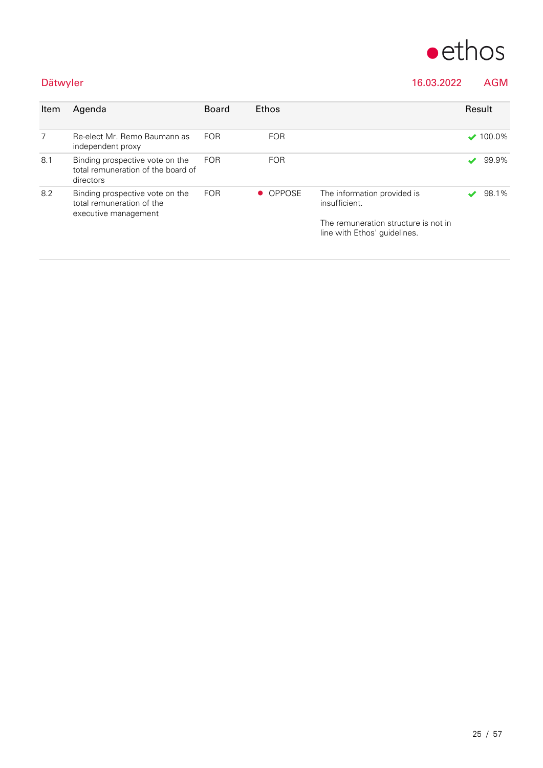

### Dätwyler 16.03.2022 AGM

| Item | Agenda                                                                               | <b>Board</b> | Ethos      |                                                                      | Result |                  |
|------|--------------------------------------------------------------------------------------|--------------|------------|----------------------------------------------------------------------|--------|------------------|
| 7    | Re-elect Mr. Remo Baumann as<br>independent proxy                                    | <b>FOR</b>   | <b>FOR</b> |                                                                      |        | $\bigvee$ 100.0% |
| 8.1  | Binding prospective vote on the<br>total remuneration of the board of<br>directors   | <b>FOR</b>   | <b>FOR</b> |                                                                      |        | 99.9%            |
| 8.2  | Binding prospective vote on the<br>total remuneration of the<br>executive management | <b>FOR</b>   | • OPPOSE   | The information provided is<br>insufficient.                         |        | 98.1%            |
|      |                                                                                      |              |            | The remuneration structure is not in<br>line with Ethos' quidelines. |        |                  |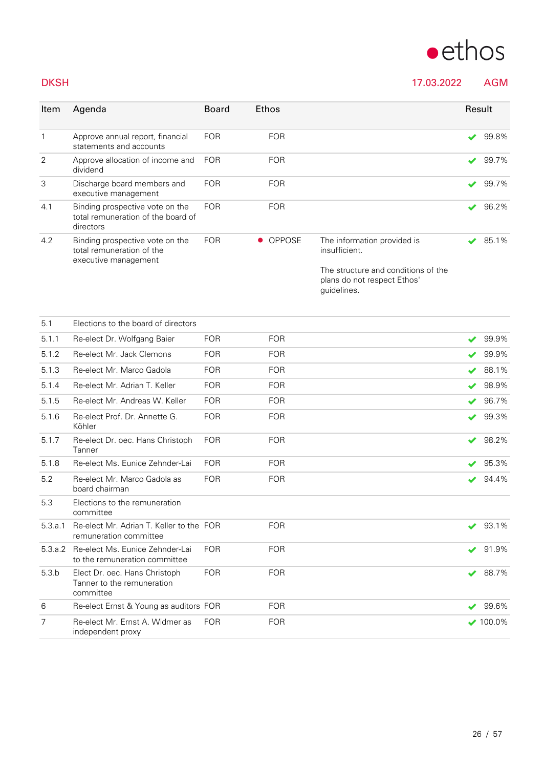# $\bullet$ ethos

### DKSH 17.03.2022 AGM

| Item         | Agenda                                                                               | <b>Board</b> | <b>Ethos</b> |                                                                                   | Result                |       |
|--------------|--------------------------------------------------------------------------------------|--------------|--------------|-----------------------------------------------------------------------------------|-----------------------|-------|
| $\mathbf{1}$ | Approve annual report, financial<br>statements and accounts                          | <b>FOR</b>   | <b>FOR</b>   |                                                                                   | ✔                     | 99.8% |
| 2            | Approve allocation of income and<br>dividend                                         | <b>FOR</b>   | <b>FOR</b>   |                                                                                   | ✔                     | 99.7% |
| 3            | Discharge board members and<br>executive management                                  | <b>FOR</b>   | <b>FOR</b>   |                                                                                   | $\blacktriangledown$  | 99.7% |
| 4.1          | Binding prospective vote on the<br>total remuneration of the board of<br>directors   | <b>FOR</b>   | <b>FOR</b>   |                                                                                   | $\blacktriangleright$ | 96.2% |
| 4.2          | Binding prospective vote on the<br>total remuneration of the<br>executive management | <b>FOR</b>   | • OPPOSE     | The information provided is<br>insufficient.                                      |                       | 85.1% |
|              |                                                                                      |              |              | The structure and conditions of the<br>plans do not respect Ethos'<br>quidelines. |                       |       |

| 5.1     | Elections to the board of directors                                      |            |            |    |                  |
|---------|--------------------------------------------------------------------------|------------|------------|----|------------------|
| 5.1.1   | Re-elect Dr. Wolfgang Baier                                              | <b>FOR</b> | <b>FOR</b> | ✔  | 99.9%            |
| 5.1.2   | Re-elect Mr. Jack Clemons                                                | <b>FOR</b> | <b>FOR</b> | ✔  | 99.9%            |
| 5.1.3   | Re-elect Mr. Marco Gadola                                                | <b>FOR</b> | <b>FOR</b> | ✔  | 88.1%            |
| 5.1.4   | Re-elect Mr. Adrian T. Keller                                            | <b>FOR</b> | <b>FOR</b> | J. | 98.9%            |
| 5.1.5   | Re-elect Mr. Andreas W. Keller                                           | <b>FOR</b> | <b>FOR</b> | ✔  | 96.7%            |
| 5.1.6   | Re-elect Prof. Dr. Annette G.<br>Köhler                                  | <b>FOR</b> | <b>FOR</b> | v  | 99.3%            |
| 5.1.7   | Re-elect Dr. oec. Hans Christoph<br>Tanner                               | <b>FOR</b> | <b>FOR</b> | ✔  | 98.2%            |
| 5.1.8   | Re-elect Ms. Eunice Zehnder-Lai                                          | <b>FOR</b> | <b>FOR</b> | v  | 95.3%            |
| 5.2     | Re-elect Mr. Marco Gadola as<br>board chairman                           | <b>FOR</b> | <b>FOR</b> | ✔  | 94.4%            |
| 5.3     | Elections to the remuneration<br>committee                               |            |            |    |                  |
| 5.3.a.1 | Re-elect Mr. Adrian T. Keller to the FOR<br>remuneration committee       |            | <b>FOR</b> | ✔  | 93.1%            |
| 5.3.a.2 | Re-elect Ms. Eunice Zehnder-Lai<br>to the remuneration committee         | <b>FOR</b> | <b>FOR</b> | ✔  | 91.9%            |
| 5.3.b   | Elect Dr. oec. Hans Christoph<br>Tanner to the remuneration<br>committee | <b>FOR</b> | <b>FOR</b> | ✔  | 88.7%            |
| 6       | Re-elect Ernst & Young as auditors FOR                                   |            | <b>FOR</b> |    | 99.6%            |
| 7       | Re-elect Mr. Ernst A. Widmer as<br>independent proxy                     | <b>FOR</b> | <b>FOR</b> |    | $\bigvee$ 100.0% |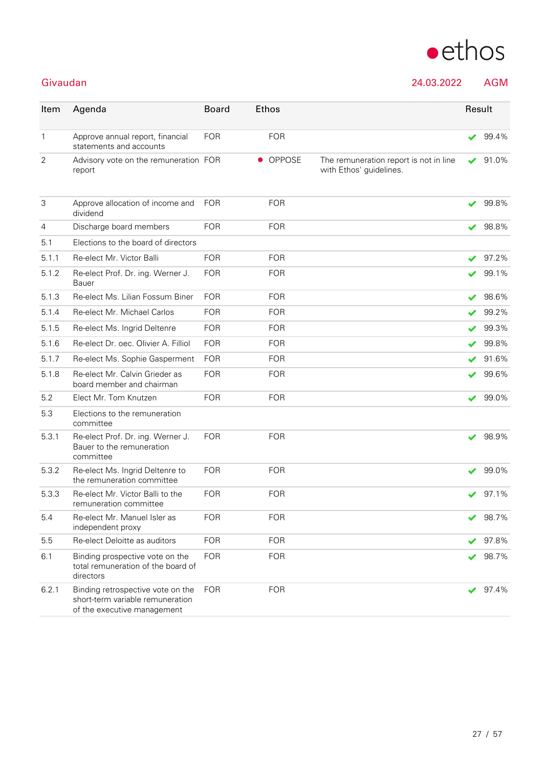

Givaudan 24.03.2022 AGM

| Item           | Agenda                                                                                               | <b>Board</b> | <b>Ethos</b> |                                                                   | Result               |       |
|----------------|------------------------------------------------------------------------------------------------------|--------------|--------------|-------------------------------------------------------------------|----------------------|-------|
| $\mathbf{1}$   | Approve annual report, financial<br>statements and accounts                                          | <b>FOR</b>   | <b>FOR</b>   |                                                                   | ✔                    | 99.4% |
| $\overline{2}$ | Advisory vote on the remuneration FOR<br>report                                                      |              | • OPPOSE     | The remuneration report is not in line<br>with Ethos' guidelines. | ✔                    | 91.0% |
| 3              | Approve allocation of income and<br>dividend                                                         | <b>FOR</b>   | <b>FOR</b>   |                                                                   | $\blacktriangledown$ | 99.8% |
| 4              | Discharge board members                                                                              | <b>FOR</b>   | <b>FOR</b>   |                                                                   |                      | 98.8% |
| 5.1            | Elections to the board of directors                                                                  |              |              |                                                                   |                      |       |
| 5.1.1          | Re-elect Mr. Victor Balli                                                                            | <b>FOR</b>   | <b>FOR</b>   |                                                                   | ✔                    | 97.2% |
| 5.1.2          | Re-elect Prof. Dr. ing. Werner J.<br>Bauer                                                           | <b>FOR</b>   | <b>FOR</b>   |                                                                   | ✔                    | 99.1% |
| 5.1.3          | Re-elect Ms. Lilian Fossum Biner                                                                     | <b>FOR</b>   | <b>FOR</b>   |                                                                   | ✔                    | 98.6% |
| 5.1.4          | Re-elect Mr. Michael Carlos                                                                          | <b>FOR</b>   | <b>FOR</b>   |                                                                   | $\checkmark$         | 99.2% |
| 5.1.5          | Re-elect Ms. Ingrid Deltenre                                                                         | <b>FOR</b>   | <b>FOR</b>   |                                                                   | ✔                    | 99.3% |
| 5.1.6          | Re-elect Dr. oec. Olivier A. Filliol                                                                 | <b>FOR</b>   | <b>FOR</b>   |                                                                   |                      | 99.8% |
| 5.1.7          | Re-elect Ms. Sophie Gasperment                                                                       | <b>FOR</b>   | <b>FOR</b>   |                                                                   |                      | 91.6% |
| 5.1.8          | Re-elect Mr. Calvin Grieder as<br>board member and chairman                                          | <b>FOR</b>   | <b>FOR</b>   |                                                                   | ✔                    | 99.6% |
| 5.2            | Elect Mr. Tom Knutzen                                                                                | <b>FOR</b>   | <b>FOR</b>   |                                                                   | ✔                    | 99.0% |
| 5.3            | Elections to the remuneration<br>committee                                                           |              |              |                                                                   |                      |       |
| 5.3.1          | Re-elect Prof. Dr. ing. Werner J.<br>Bauer to the remuneration<br>committee                          | <b>FOR</b>   | <b>FOR</b>   |                                                                   | ✔                    | 98.9% |
| 5.3.2          | Re-elect Ms. Ingrid Deltenre to<br>the remuneration committee                                        | <b>FOR</b>   | <b>FOR</b>   |                                                                   | ✔                    | 99.0% |
| 5.3.3          | Re-elect Mr. Victor Balli to the<br>remuneration committee                                           | <b>FOR</b>   | <b>FOR</b>   |                                                                   |                      | 97.1% |
| 5.4            | Re-elect Mr. Manuel Isler as<br>independent proxy                                                    | <b>FOR</b>   | <b>FOR</b>   |                                                                   |                      | 98.7% |
| 5.5            | Re-elect Deloitte as auditors                                                                        | <b>FOR</b>   | <b>FOR</b>   |                                                                   |                      | 97.8% |
| 6.1            | Binding prospective vote on the<br>total remuneration of the board of<br>directors                   | <b>FOR</b>   | <b>FOR</b>   |                                                                   | ✔                    | 98.7% |
| 6.2.1          | Binding retrospective vote on the<br>short-term variable remuneration<br>of the executive management | <b>FOR</b>   | <b>FOR</b>   |                                                                   | ✔                    | 97.4% |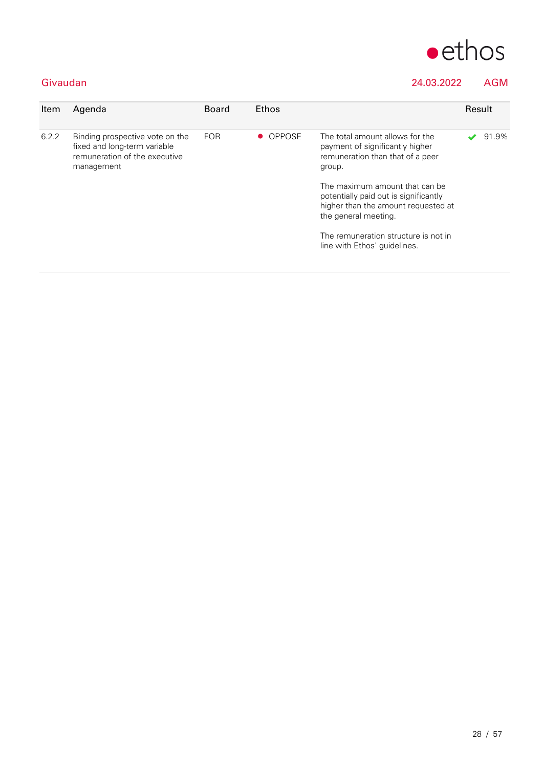

### Givaudan 24.03.2022 AGM

| Item  | Agenda                                                                                                         | <b>Board</b> | Ethos    |                                                                                                                                                                                                                                                                                                                                    | Result |       |
|-------|----------------------------------------------------------------------------------------------------------------|--------------|----------|------------------------------------------------------------------------------------------------------------------------------------------------------------------------------------------------------------------------------------------------------------------------------------------------------------------------------------|--------|-------|
| 6.2.2 | Binding prospective vote on the<br>fixed and long-term variable<br>remuneration of the executive<br>management | <b>FOR</b>   | • OPPOSE | The total amount allows for the<br>payment of significantly higher<br>remuneration than that of a peer<br>group.<br>The maximum amount that can be<br>potentially paid out is significantly<br>higher than the amount requested at<br>the general meeting.<br>The remuneration structure is not in<br>line with Ethos' guidelines. |        | 91.9% |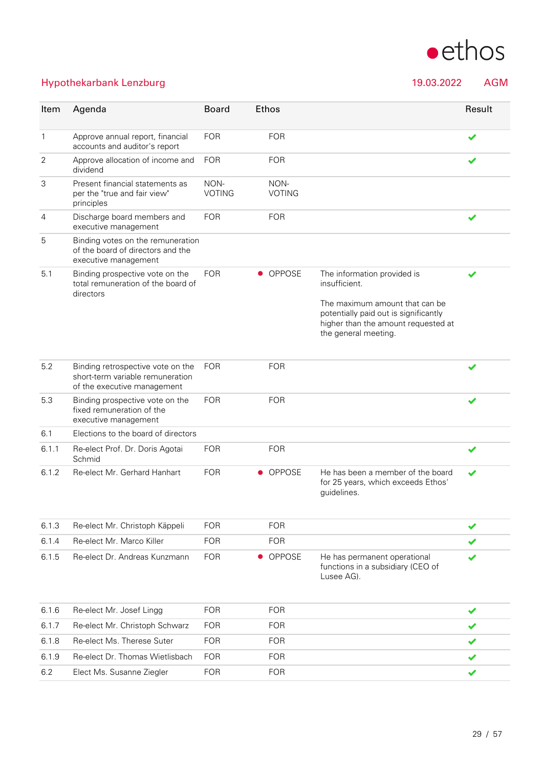

### Hypothekarbank Lenzburg 19.03.2022 AGM

| Item           | Agenda                                                                                               | <b>Board</b>          | Ethos                 |                                                                                                                                        | Result |
|----------------|------------------------------------------------------------------------------------------------------|-----------------------|-----------------------|----------------------------------------------------------------------------------------------------------------------------------------|--------|
| $\mathbf{1}$   | Approve annual report, financial<br>accounts and auditor's report                                    | <b>FOR</b>            | <b>FOR</b>            |                                                                                                                                        | ✔      |
| 2              | Approve allocation of income and<br>dividend                                                         | <b>FOR</b>            | <b>FOR</b>            |                                                                                                                                        |        |
| 3              | Present financial statements as<br>per the "true and fair view"<br>principles                        | NON-<br><b>VOTING</b> | NON-<br><b>VOTING</b> |                                                                                                                                        |        |
| $\overline{4}$ | Discharge board members and<br>executive management                                                  | <b>FOR</b>            | <b>FOR</b>            |                                                                                                                                        |        |
| 5              | Binding votes on the remuneration<br>of the board of directors and the<br>executive management       |                       |                       |                                                                                                                                        |        |
| 5.1            | Binding prospective vote on the<br>total remuneration of the board of<br>directors                   | <b>FOR</b>            | <b>OPPOSE</b>         | The information provided is<br>insufficient.                                                                                           |        |
|                |                                                                                                      |                       |                       | The maximum amount that can be<br>potentially paid out is significantly<br>higher than the amount requested at<br>the general meeting. |        |
| 5.2            | Binding retrospective vote on the<br>short-term variable remuneration<br>of the executive management | <b>FOR</b>            | <b>FOR</b>            |                                                                                                                                        |        |
| 5.3            | Binding prospective vote on the<br>fixed remuneration of the<br>executive management                 | <b>FOR</b>            | <b>FOR</b>            |                                                                                                                                        |        |
| 6.1            | Elections to the board of directors                                                                  |                       |                       |                                                                                                                                        |        |
| 6.1.1          | Re-elect Prof. Dr. Doris Agotai<br>Schmid                                                            | <b>FOR</b>            | <b>FOR</b>            |                                                                                                                                        |        |
| 6.1.2          | Re-elect Mr. Gerhard Hanhart                                                                         | <b>FOR</b>            | • OPPOSE              | He has been a member of the board<br>for 25 years, which exceeds Ethos'<br>guidelines.                                                 |        |
| 6.1.3          | Re-elect Mr. Christoph Käppeli                                                                       | <b>FOR</b>            | <b>FOR</b>            |                                                                                                                                        | ✔      |
| 6.14           | Re-elect Mr. Marco Killer                                                                            | <b>FOR</b>            | <b>FOR</b>            |                                                                                                                                        |        |
| 6.1.5          | Re-elect Dr. Andreas Kunzmann                                                                        | <b>FOR</b>            | <b>OPPOSE</b>         | He has permanent operational<br>functions in a subsidiary (CEO of                                                                      |        |

Lusee AG).

| 6.1.6 | Re-elect Mr. Josef Lingg        | FOR        | <b>FOR</b> |  |
|-------|---------------------------------|------------|------------|--|
| 6.1.7 | Re-elect Mr. Christoph Schwarz  | FOR        | <b>FOR</b> |  |
| 6.1.8 | Re-elect Ms. Therese Suter      | FOR        | <b>FOR</b> |  |
| 6.1.9 | Re-elect Dr. Thomas Wietlisbach | <b>FOR</b> | <b>FOR</b> |  |
| 6.2   | Elect Ms. Susanne Ziegler       | FOR        | <b>FOR</b> |  |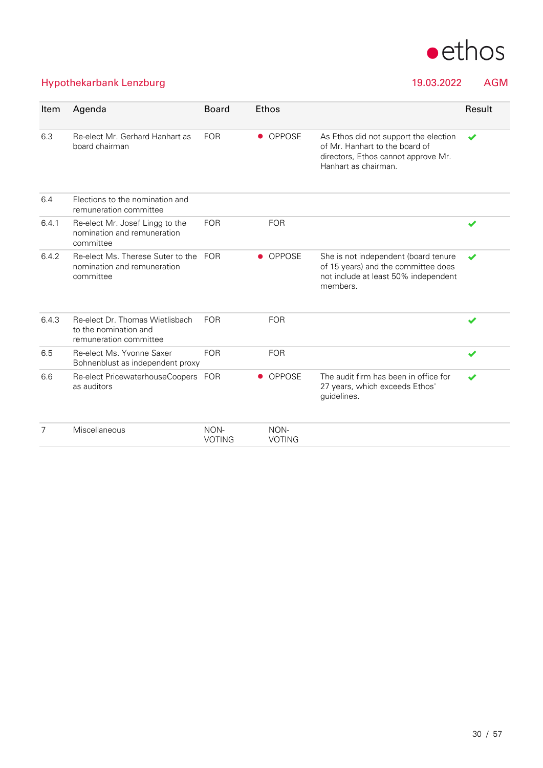

### Hypothekarbank Lenzburg 19.03.2022 AGM

| Item  | Agenda                                                                             | <b>Board</b>          | <b>Ethos</b>          |                                                                                                                                        | Result |
|-------|------------------------------------------------------------------------------------|-----------------------|-----------------------|----------------------------------------------------------------------------------------------------------------------------------------|--------|
| 6.3   | Re-elect Mr. Gerhard Hanhart as<br>board chairman                                  | <b>FOR</b>            | • OPPOSE              | As Ethos did not support the election<br>of Mr. Hanhart to the board of<br>directors, Ethos cannot approve Mr.<br>Hanhart as chairman. | ✔      |
| 6.4   | Elections to the nomination and<br>remuneration committee                          |                       |                       |                                                                                                                                        |        |
| 6.4.1 | Re-elect Mr. Josef Lingg to the<br>nomination and remuneration<br>committee        | <b>FOR</b>            | <b>FOR</b>            |                                                                                                                                        | ✔      |
| 6.4.2 | Re-elect Ms. Therese Suter to the FOR<br>nomination and remuneration<br>committee  |                       | • OPPOSE              | She is not independent (board tenure<br>of 15 years) and the committee does<br>not include at least 50% independent<br>members.        | ✔      |
| 6.4.3 | Re-elect Dr. Thomas Wietlisbach<br>to the nomination and<br>remuneration committee | <b>FOR</b>            | <b>FOR</b>            |                                                                                                                                        |        |
| 6.5   | Re-elect Ms. Yvonne Saxer<br>Bohnenblust as independent proxy                      | <b>FOR</b>            | <b>FOR</b>            |                                                                                                                                        | ✔      |
| 6.6   | Re-elect PricewaterhouseCoopers FOR<br>as auditors                                 |                       | <b>OPPOSE</b>         | The audit firm has been in office for<br>27 years, which exceeds Ethos'<br>guidelines.                                                 |        |
| 7     | Miscellaneous                                                                      | NON-<br><b>VOTING</b> | NON-<br><b>VOTING</b> |                                                                                                                                        |        |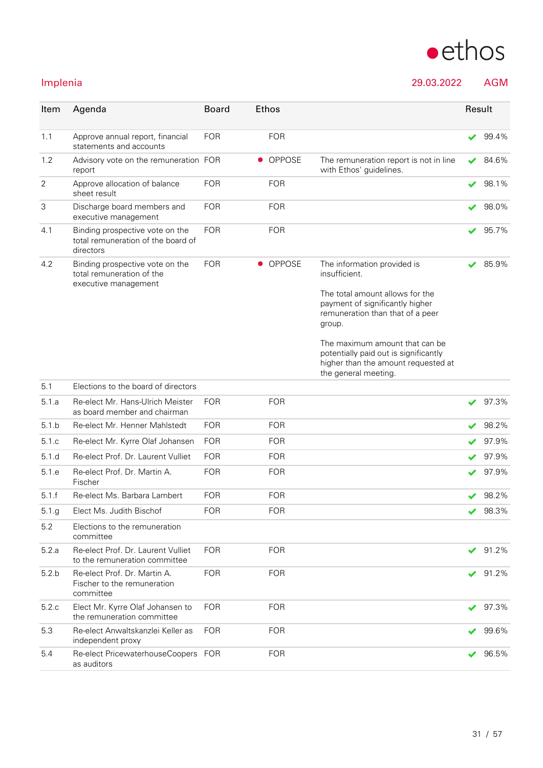

### Implenia 29.03.2022 AGM

| Item  | Agenda                                                                               | <b>Board</b> | <b>Ethos</b> |                                                                                                                                                                                                                                                                                                            | Result |       |
|-------|--------------------------------------------------------------------------------------|--------------|--------------|------------------------------------------------------------------------------------------------------------------------------------------------------------------------------------------------------------------------------------------------------------------------------------------------------------|--------|-------|
| 1.1   | Approve annual report, financial<br>statements and accounts                          | <b>FOR</b>   | <b>FOR</b>   |                                                                                                                                                                                                                                                                                                            |        | 99.4% |
| 1.2   | Advisory vote on the remuneration FOR<br>report                                      |              | • OPPOSE     | The remuneration report is not in line<br>with Ethos' guidelines.                                                                                                                                                                                                                                          | ✔      | 84.6% |
| 2     | Approve allocation of balance<br>sheet result                                        | <b>FOR</b>   | <b>FOR</b>   |                                                                                                                                                                                                                                                                                                            | ✔      | 98.1% |
| З     | Discharge board members and<br>executive management                                  | <b>FOR</b>   | <b>FOR</b>   |                                                                                                                                                                                                                                                                                                            |        | 98.0% |
| 4.1   | Binding prospective vote on the<br>total remuneration of the board of<br>directors   | <b>FOR</b>   | <b>FOR</b>   |                                                                                                                                                                                                                                                                                                            |        | 95.7% |
| 4.2   | Binding prospective vote on the<br>total remuneration of the<br>executive management | <b>FOR</b>   | • OPPOSE     | The information provided is<br>insufficient.<br>The total amount allows for the<br>payment of significantly higher<br>remuneration than that of a peer<br>group.<br>The maximum amount that can be<br>potentially paid out is significantly<br>higher than the amount requested at<br>the general meeting. |        | 85.9% |
| 5.1   | Elections to the board of directors                                                  |              |              |                                                                                                                                                                                                                                                                                                            |        |       |
| 5.1a  | Re-elect Mr. Hans-Ulrich Meister<br>as board member and chairman                     | <b>FOR</b>   | <b>FOR</b>   |                                                                                                                                                                                                                                                                                                            |        | 97.3% |
| 5.1 b | Re-elect Mr. Henner Mahlstedt                                                        | <b>FOR</b>   | <b>FOR</b>   |                                                                                                                                                                                                                                                                                                            |        | 98.2% |
| 5.1 c | Re-elect Mr. Kyrre Olaf Johansen                                                     | <b>FOR</b>   | <b>FOR</b>   |                                                                                                                                                                                                                                                                                                            |        | 97.9% |
| 5.1.d | Re-elect Prof. Dr. Laurent Vulliet                                                   | <b>FOR</b>   | <b>FOR</b>   |                                                                                                                                                                                                                                                                                                            |        | 97.9% |
| 5.1 e | Re-elect Prof. Dr. Martin A.<br>Fischer                                              | <b>FOR</b>   | <b>FOR</b>   |                                                                                                                                                                                                                                                                                                            |        | 97.9% |
| 5.1.f | Re-elect Ms. Barbara Lambert                                                         | <b>FOR</b>   | <b>FOR</b>   |                                                                                                                                                                                                                                                                                                            |        | 98.2% |
| 5.1.g | Elect Ms. Judith Bischof                                                             | <b>FOR</b>   | <b>FOR</b>   |                                                                                                                                                                                                                                                                                                            | ✔      | 98.3% |
| 5.2   | Elections to the remuneration<br>committee                                           |              |              |                                                                                                                                                                                                                                                                                                            |        |       |
| 5.2.a | Re-elect Prof. Dr. Laurent Vulliet<br>to the remuneration committee                  | <b>FOR</b>   | <b>FOR</b>   |                                                                                                                                                                                                                                                                                                            | ✔      | 91.2% |
| 5.2.b | Re-elect Prof. Dr. Martin A.<br>Fischer to the remuneration<br>committee             | <b>FOR</b>   | <b>FOR</b>   |                                                                                                                                                                                                                                                                                                            |        | 91.2% |
| 5.2.c | Elect Mr. Kyrre Olaf Johansen to<br>the remuneration committee                       | <b>FOR</b>   | <b>FOR</b>   |                                                                                                                                                                                                                                                                                                            |        | 97.3% |
| 5.3   | Re-elect Anwaltskanzlei Keller as<br>independent proxy                               | <b>FOR</b>   | <b>FOR</b>   |                                                                                                                                                                                                                                                                                                            |        | 99.6% |
| 5.4   | Re-elect PricewaterhouseCoopers FOR<br>as auditors                                   |              | <b>FOR</b>   |                                                                                                                                                                                                                                                                                                            |        | 96.5% |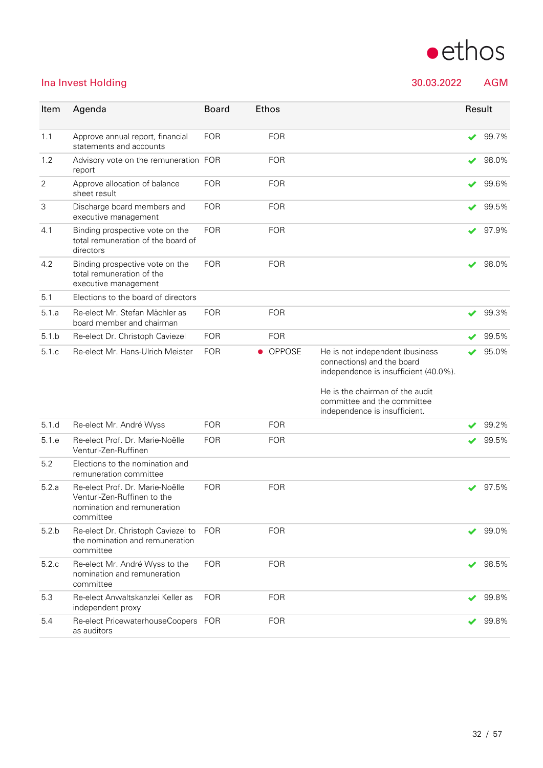

### Ina Invest Holding 30.03.2022 AGM

| Item           | Agenda                                                                                                     | <b>Board</b> | Ethos                      |                                                                                                                                                                                                           |   | Result |
|----------------|------------------------------------------------------------------------------------------------------------|--------------|----------------------------|-----------------------------------------------------------------------------------------------------------------------------------------------------------------------------------------------------------|---|--------|
| 1.1            | Approve annual report, financial<br>statements and accounts                                                | <b>FOR</b>   | <b>FOR</b>                 |                                                                                                                                                                                                           | ✔ | 99.7%  |
| 1.2            | Advisory vote on the remuneration FOR<br>report                                                            |              | <b>FOR</b>                 |                                                                                                                                                                                                           |   | 98.0%  |
| $\overline{2}$ | Approve allocation of balance<br>sheet result                                                              | <b>FOR</b>   | <b>FOR</b>                 |                                                                                                                                                                                                           | ✔ | 99.6%  |
| 3              | Discharge board members and<br>executive management                                                        | <b>FOR</b>   | <b>FOR</b>                 |                                                                                                                                                                                                           | ✔ | 99.5%  |
| 4.1            | Binding prospective vote on the<br>total remuneration of the board of<br>directors                         | <b>FOR</b>   | <b>FOR</b>                 |                                                                                                                                                                                                           | ✔ | 97.9%  |
| 4.2            | Binding prospective vote on the<br>total remuneration of the<br>executive management                       | <b>FOR</b>   | <b>FOR</b>                 |                                                                                                                                                                                                           | ✔ | 98.0%  |
| 5.1            | Elections to the board of directors                                                                        |              |                            |                                                                                                                                                                                                           |   |        |
| 5.1.a          | Re-elect Mr. Stefan Mächler as<br>board member and chairman                                                | <b>FOR</b>   | <b>FOR</b>                 |                                                                                                                                                                                                           |   | 99.3%  |
| 5.1 b          | Re-elect Dr. Christoph Caviezel                                                                            | <b>FOR</b>   | <b>FOR</b>                 |                                                                                                                                                                                                           | ✔ | 99.5%  |
| 5.1.c          | Re-elect Mr. Hans-Ulrich Meister                                                                           | <b>FOR</b>   | <b>OPPOSE</b><br>$\bullet$ | He is not independent (business<br>connections) and the board<br>independence is insufficient (40.0%).<br>He is the chairman of the audit<br>committee and the committee<br>independence is insufficient. |   | 95.0%  |
| 5.1.d          | Re-elect Mr. André Wyss                                                                                    | <b>FOR</b>   | <b>FOR</b>                 |                                                                                                                                                                                                           |   | 99.2%  |
| 5.1 e          | Re-elect Prof. Dr. Marie-Noëlle<br>Venturi-Zen-Ruffinen                                                    | <b>FOR</b>   | <b>FOR</b>                 |                                                                                                                                                                                                           |   | 99.5%  |
| 5.2            | Elections to the nomination and<br>remuneration committee                                                  |              |                            |                                                                                                                                                                                                           |   |        |
| 5.2.a          | Re-elect Prof. Dr. Marie-Noëlle<br>Venturi-Zen-Ruffinen to the<br>nomination and remuneration<br>committee | <b>FOR</b>   | <b>FOR</b>                 |                                                                                                                                                                                                           |   | 97.5%  |
| 5.2 b          | Re-elect Dr. Christoph Caviezel to<br>the nomination and remuneration<br>committee                         | <b>FOR</b>   | <b>FOR</b>                 |                                                                                                                                                                                                           |   | 99.0%  |
| 5.2.c          | Re-elect Mr. André Wyss to the<br>nomination and remuneration<br>committee                                 | <b>FOR</b>   | <b>FOR</b>                 |                                                                                                                                                                                                           | ✔ | 98.5%  |
| 5.3            | Re-elect Anwaltskanzlei Keller as<br>independent proxy                                                     | <b>FOR</b>   | <b>FOR</b>                 |                                                                                                                                                                                                           |   | 99.8%  |
| 5.4            | Re-elect PricewaterhouseCoopers FOR<br>as auditors                                                         |              | <b>FOR</b>                 |                                                                                                                                                                                                           | ✔ | 99.8%  |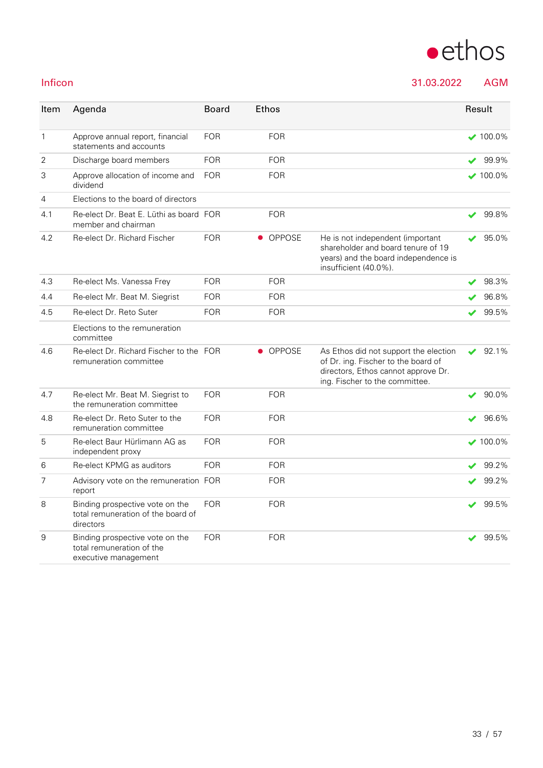

# $\bullet$ ethos

Inficon 31.03.2022 AGM

| Item           | Agenda                                                                               | <b>Board</b> | Ethos |               |                                                                                                                                                       |   | Result          |
|----------------|--------------------------------------------------------------------------------------|--------------|-------|---------------|-------------------------------------------------------------------------------------------------------------------------------------------------------|---|-----------------|
| $\mathbf{1}$   | Approve annual report, financial<br>statements and accounts                          | <b>FOR</b>   |       | <b>FOR</b>    |                                                                                                                                                       |   | $\times$ 100.0% |
| 2              | Discharge board members                                                              | <b>FOR</b>   |       | <b>FOR</b>    |                                                                                                                                                       | ✔ | 99.9%           |
| 3              | Approve allocation of income and<br>dividend                                         | <b>FOR</b>   |       | <b>FOR</b>    |                                                                                                                                                       |   | $100.0\%$       |
| $\overline{4}$ | Elections to the board of directors                                                  |              |       |               |                                                                                                                                                       |   |                 |
| 4.1            | Re-elect Dr. Beat E. Lüthi as board FOR<br>member and chairman                       |              |       | <b>FOR</b>    |                                                                                                                                                       | ✔ | 99.8%           |
| 4.2            | Re-elect Dr. Richard Fischer                                                         | <b>FOR</b>   |       | <b>OPPOSE</b> | He is not independent (important<br>shareholder and board tenure of 19<br>years) and the board independence is<br>insufficient (40.0%).               |   | 95.0%           |
| 4.3            | Re-elect Ms. Vanessa Frey                                                            | <b>FOR</b>   |       | <b>FOR</b>    |                                                                                                                                                       | ✔ | 98.3%           |
| 4.4            | Re-elect Mr. Beat M. Siegrist                                                        | <b>FOR</b>   |       | <b>FOR</b>    |                                                                                                                                                       | ✔ | 96.8%           |
| 4.5            | Re-elect Dr. Reto Suter                                                              | <b>FOR</b>   |       | <b>FOR</b>    |                                                                                                                                                       |   | 99.5%           |
|                | Elections to the remuneration<br>committee                                           |              |       |               |                                                                                                                                                       |   |                 |
| 4.6            | Re-elect Dr. Richard Fischer to the FOR<br>remuneration committee                    |              |       | • OPPOSE      | As Ethos did not support the election<br>of Dr. ing. Fischer to the board of<br>directors, Ethos cannot approve Dr.<br>ing. Fischer to the committee. | V | 92.1%           |
| 4.7            | Re-elect Mr. Beat M. Siegrist to<br>the remuneration committee                       | <b>FOR</b>   |       | <b>FOR</b>    |                                                                                                                                                       | V | 90.0%           |
| 4.8            | Re-elect Dr. Reto Suter to the<br>remuneration committee                             | <b>FOR</b>   |       | <b>FOR</b>    |                                                                                                                                                       |   | 96.6%           |
| 5              | Re-elect Baur Hürlimann AG as<br>independent proxy                                   | <b>FOR</b>   |       | <b>FOR</b>    |                                                                                                                                                       |   | $\times$ 100.0% |
| 6              | Re-elect KPMG as auditors                                                            | <b>FOR</b>   |       | <b>FOR</b>    |                                                                                                                                                       |   | 99.2%           |
| $\overline{7}$ | Advisory vote on the remuneration FOR<br>report                                      |              |       | <b>FOR</b>    |                                                                                                                                                       |   | 99.2%           |
| 8              | Binding prospective vote on the<br>total remuneration of the board of<br>directors   | <b>FOR</b>   |       | <b>FOR</b>    |                                                                                                                                                       |   | 99.5%           |
| 9              | Binding prospective vote on the<br>total remuneration of the<br>executive management | <b>FOR</b>   |       | <b>FOR</b>    |                                                                                                                                                       | ✔ | 99.5%           |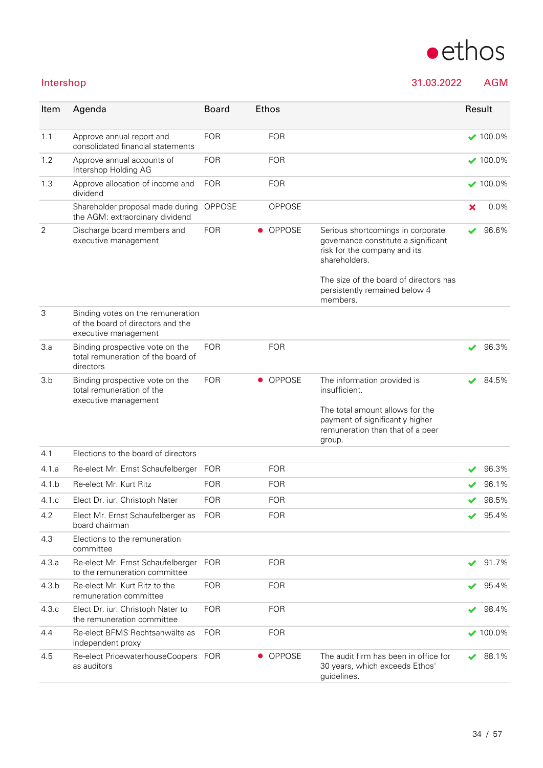| Intershop      |                                                                                                |               |                            | 31.03.2022                                                                                                                |   | <b>AGM</b>      |
|----------------|------------------------------------------------------------------------------------------------|---------------|----------------------------|---------------------------------------------------------------------------------------------------------------------------|---|-----------------|
| Item           | Agenda                                                                                         | <b>Board</b>  | Ethos                      |                                                                                                                           |   | Result          |
| 1.1            | Approve annual report and<br>consolidated financial statements                                 | <b>FOR</b>    | <b>FOR</b>                 |                                                                                                                           |   | $\times$ 100.0% |
| 1.2            | Approve annual accounts of<br>Intershop Holding AG                                             | <b>FOR</b>    | <b>FOR</b>                 |                                                                                                                           |   | $\times$ 100.0% |
| 1.3            | Approve allocation of income and<br>dividend                                                   | <b>FOR</b>    | <b>FOR</b>                 |                                                                                                                           |   | $\times$ 100.0% |
|                | Shareholder proposal made during<br>the AGM: extraordinary dividend                            | <b>OPPOSE</b> | OPPOSE                     |                                                                                                                           | × | 0.0%            |
| $\overline{2}$ | Discharge board members and<br>executive management                                            | <b>FOR</b>    | <b>OPPOSE</b><br>$\bullet$ | Serious shortcomings in corporate<br>governance constitute a significant<br>risk for the company and its<br>shareholders. |   | 96.6%           |
|                |                                                                                                |               |                            | The size of the board of directors has<br>persistently remained below 4<br>members.                                       |   |                 |
| 3              | Binding votes on the remuneration<br>of the board of directors and the<br>executive management |               |                            |                                                                                                                           |   |                 |
| 3.a            | Binding prospective vote on the<br>total remuneration of the board of<br>directors             | <b>FOR</b>    | <b>FOR</b>                 |                                                                                                                           | ✔ | 96.3%           |
| 3.b            | Binding prospective vote on the<br>total remuneration of the<br>executive management           | <b>FOR</b>    | • OPPOSE                   | The information provided is<br>insufficient.                                                                              |   | 84.5%           |
|                |                                                                                                |               |                            | The total amount allows for the<br>payment of significantly higher<br>remuneration than that of a peer                    |   |                 |

|       |                                                                    |            |            | group.                                                                                 |                          |                 |
|-------|--------------------------------------------------------------------|------------|------------|----------------------------------------------------------------------------------------|--------------------------|-----------------|
| 4.1   | Elections to the board of directors                                |            |            |                                                                                        |                          |                 |
| 4.1.a | Re-elect Mr. Ernst Schaufelberger                                  | <b>FOR</b> | <b>FOR</b> |                                                                                        | ✔                        | 96.3%           |
| 4.1 b | Re-elect Mr. Kurt Ritz                                             | <b>FOR</b> | <b>FOR</b> |                                                                                        | ✔                        | 96.1%           |
| 4.1 c | Elect Dr. iur. Christoph Nater                                     | <b>FOR</b> | <b>FOR</b> |                                                                                        |                          | 98.5%           |
| 4.2   | Elect Mr. Ernst Schaufelberger as<br>board chairman                | <b>FOR</b> | <b>FOR</b> |                                                                                        | ✔                        | 95.4%           |
| 4.3   | Elections to the remuneration<br>committee                         |            |            |                                                                                        |                          |                 |
| 4.3.a | Re-elect Mr. Ernst Schaufelberger<br>to the remuneration committee | <b>FOR</b> | <b>FOR</b> |                                                                                        | $\overline{\mathscr{L}}$ | 91.7%           |
| 4.3.b | Re-elect Mr. Kurt Ritz to the<br>remuneration committee            | <b>FOR</b> | <b>FOR</b> |                                                                                        | ✔                        | 95.4%           |
| 4.3c  | Elect Dr. iur. Christoph Nater to<br>the remuneration committee    | <b>FOR</b> | <b>FOR</b> |                                                                                        | $\blacktriangleright$    | 98.4%           |
| 4.4   | Re-elect BFMS Rechtsanwälte as<br>independent proxy                | <b>FOR</b> | <b>FOR</b> |                                                                                        |                          | $\times$ 100.0% |
| 4.5   | Re-elect PricewaterhouseCoopers<br>as auditors                     | <b>FOR</b> | • OPPOSE   | The audit firm has been in office for<br>30 years, which exceeds Ethos'<br>quidelines. | ✔                        | 88.1%           |
|       |                                                                    |            |            |                                                                                        |                          |                 |

 $\bullet$ ethos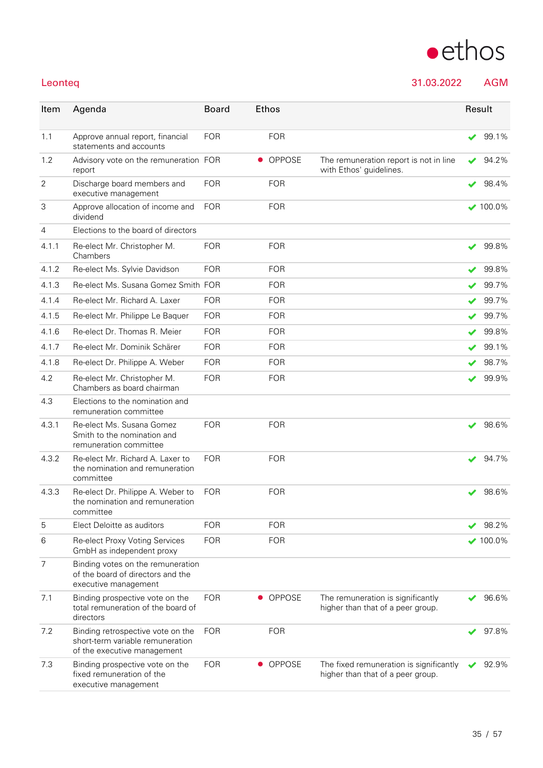

### Leonteq 31.03.2022 AGM

| Item           | Agenda                                                                                               | <b>Board</b> | Ethos      |                                                                              |   | Result          |
|----------------|------------------------------------------------------------------------------------------------------|--------------|------------|------------------------------------------------------------------------------|---|-----------------|
| 1.1            | Approve annual report, financial<br>statements and accounts                                          | <b>FOR</b>   | <b>FOR</b> |                                                                              | ✔ | 99.1%           |
| 1.2            | Advisory vote on the remuneration FOR<br>report                                                      |              | • OPPOSE   | The remuneration report is not in line<br>with Ethos' guidelines.            | ✔ | 94.2%           |
| $\overline{2}$ | Discharge board members and<br>executive management                                                  | <b>FOR</b>   | <b>FOR</b> |                                                                              | ✔ | 98.4%           |
| 3              | Approve allocation of income and<br>dividend                                                         | <b>FOR</b>   | <b>FOR</b> |                                                                              |   | $\vee$ 100.0%   |
| $\overline{4}$ | Elections to the board of directors                                                                  |              |            |                                                                              |   |                 |
| 4.1.1          | Re-elect Mr. Christopher M.<br>Chambers                                                              | <b>FOR</b>   | <b>FOR</b> |                                                                              |   | 99.8%           |
| 4.1.2          | Re-elect Ms. Sylvie Davidson                                                                         | <b>FOR</b>   | <b>FOR</b> |                                                                              | ✔ | 99.8%           |
| 4.1.3          | Re-elect Ms. Susana Gomez Smith FOR                                                                  |              | <b>FOR</b> |                                                                              |   | 99.7%           |
| 4.1.4          | Re-elect Mr. Richard A. Laxer                                                                        | <b>FOR</b>   | <b>FOR</b> |                                                                              |   | 99.7%           |
| 4.1.5          | Re-elect Mr. Philippe Le Baquer                                                                      | <b>FOR</b>   | <b>FOR</b> |                                                                              | ✔ | 99.7%           |
| 4.1.6          | Re-elect Dr. Thomas R. Meier                                                                         | <b>FOR</b>   | <b>FOR</b> |                                                                              | ✔ | 99.8%           |
| 4.1.7          | Re-elect Mr. Dominik Schärer                                                                         | <b>FOR</b>   | <b>FOR</b> |                                                                              | ✔ | 99.1%           |
| 4.1.8          | Re-elect Dr. Philippe A. Weber                                                                       | <b>FOR</b>   | <b>FOR</b> |                                                                              | ✔ | 98.7%           |
| 4.2            | Re-elect Mr. Christopher M.<br>Chambers as board chairman                                            | <b>FOR</b>   | <b>FOR</b> |                                                                              |   | 99.9%           |
| 4.3            | Elections to the nomination and<br>remuneration committee                                            |              |            |                                                                              |   |                 |
| 4.3.1          | Re-elect Ms. Susana Gomez<br>Smith to the nomination and<br>remuneration committee                   | <b>FOR</b>   | <b>FOR</b> |                                                                              | ✔ | 98.6%           |
| 4.3.2          | Re-elect Mr. Richard A. Laxer to<br>the nomination and remuneration<br>committee                     | <b>FOR</b>   | <b>FOR</b> |                                                                              | ✔ | 94.7%           |
| 4.3.3          | Re-elect Dr. Philippe A. Weber to<br>the nomination and remuneration<br>committee                    | <b>FOR</b>   | <b>FOR</b> |                                                                              |   | 98.6%           |
| 5              | Elect Deloitte as auditors                                                                           | <b>FOR</b>   | <b>FOR</b> |                                                                              |   | 98.2%           |
| 6              | Re-elect Proxy Voting Services<br>GmbH as independent proxy                                          | <b>FOR</b>   | <b>FOR</b> |                                                                              |   | $\times$ 100.0% |
| 7              | Binding votes on the remuneration<br>of the board of directors and the<br>executive management       |              |            |                                                                              |   |                 |
| 7.1            | Binding prospective vote on the<br>total remuneration of the board of<br>directors                   | <b>FOR</b>   | • OPPOSE   | The remuneration is significantly<br>higher than that of a peer group.       |   | 96.6%           |
| 7.2            | Binding retrospective vote on the<br>short-term variable remuneration<br>of the executive management | <b>FOR</b>   | <b>FOR</b> |                                                                              |   | 97.8%           |
| 7.3            | Binding prospective vote on the<br>fixed remuneration of the<br>executive management                 | <b>FOR</b>   | OPPOSE     | The fixed remuneration is significantly<br>higher than that of a peer group. |   | 92.9%           |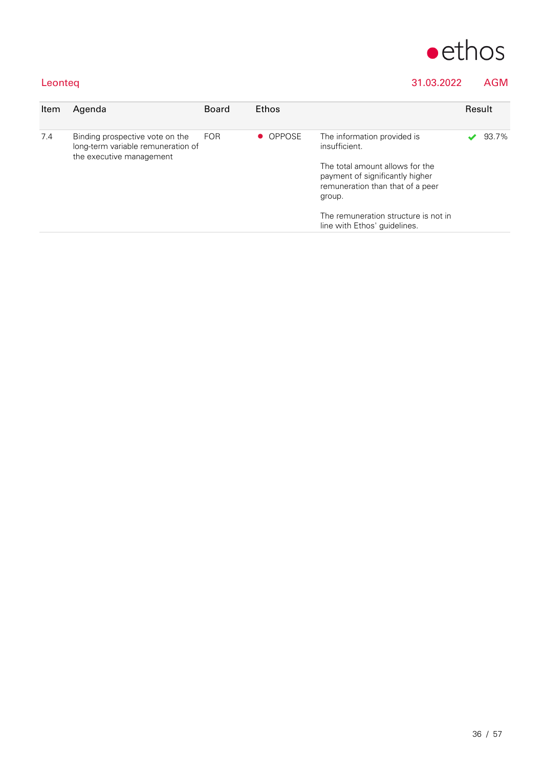

### Leonteq 31.03.2022 AGM

| Item | Agenda                                                                | <b>Board</b> | Ethos    |                                                                                                                  | Result |       |  |
|------|-----------------------------------------------------------------------|--------------|----------|------------------------------------------------------------------------------------------------------------------|--------|-------|--|
| 7.4  | Binding prospective vote on the<br>long-term variable remuneration of | <b>FOR</b>   | • OPPOSE | The information provided is<br>insufficient.                                                                     |        | 93.7% |  |
|      | the executive management                                              |              |          | The total amount allows for the<br>payment of significantly higher<br>remuneration than that of a peer<br>group. |        |       |  |
|      |                                                                       |              |          | The remuneration structure is not in<br>line with Ethos' guidelines.                                             |        |       |  |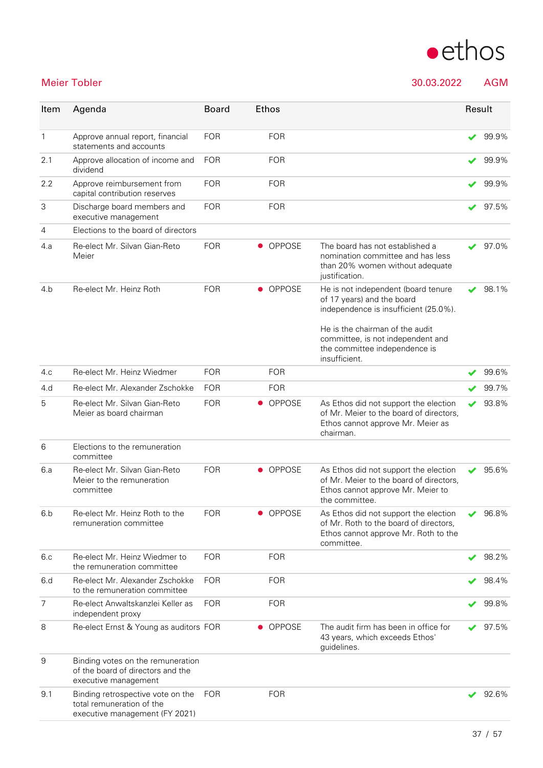

Meier Tobler 30.03.2022 AGM

| Item           | Agenda                                                                                           | <b>Board</b> |           | <b>Ethos</b>  |                                                                                                                                               | Result |       |
|----------------|--------------------------------------------------------------------------------------------------|--------------|-----------|---------------|-----------------------------------------------------------------------------------------------------------------------------------------------|--------|-------|
| 1              | Approve annual report, financial<br>statements and accounts                                      | <b>FOR</b>   |           | <b>FOR</b>    |                                                                                                                                               |        | 99.9% |
| 2.1            | Approve allocation of income and<br>dividend                                                     | <b>FOR</b>   |           | <b>FOR</b>    |                                                                                                                                               | ✔      | 99.9% |
| 2.2            | Approve reimbursement from<br>capital contribution reserves                                      | <b>FOR</b>   |           | <b>FOR</b>    |                                                                                                                                               | ✔      | 99.9% |
| 3              | Discharge board members and<br>executive management                                              | <b>FOR</b>   |           | <b>FOR</b>    |                                                                                                                                               |        | 97.5% |
| 4              | Elections to the board of directors                                                              |              |           |               |                                                                                                                                               |        |       |
| 4.a            | Re-elect Mr. Silvan Gian-Reto<br>Meier                                                           | <b>FOR</b>   |           | <b>OPPOSE</b> | The board has not established a<br>nomination committee and has less<br>than 20% women without adequate<br>justification.                     |        | 97.0% |
| 4.b            | Re-elect Mr. Heinz Roth                                                                          | <b>FOR</b>   |           | • OPPOSE      | He is not independent (board tenure<br>of 17 years) and the board<br>independence is insufficient (25.0%).<br>He is the chairman of the audit |        | 98.1% |
|                |                                                                                                  |              |           |               | committee, is not independent and<br>the committee independence is<br>insufficient.                                                           |        |       |
| 4.c            | Re-elect Mr. Heinz Wiedmer                                                                       | <b>FOR</b>   |           | <b>FOR</b>    |                                                                                                                                               |        | 99.6% |
| 4.d            | Re-elect Mr. Alexander Zschokke                                                                  | <b>FOR</b>   |           | <b>FOR</b>    |                                                                                                                                               |        | 99.7% |
| 5              | Re-elect Mr. Silvan Gian-Reto<br>Meier as board chairman                                         | <b>FOR</b>   |           | • OPPOSE      | As Ethos did not support the election<br>of Mr. Meier to the board of directors,<br>Ethos cannot approve Mr. Meier as<br>chairman.            | ✔      | 93.8% |
| 6              | Elections to the remuneration<br>committee                                                       |              |           |               |                                                                                                                                               |        |       |
| 6.a            | Re-elect Mr. Silvan Gian-Reto<br>Meier to the remuneration<br>committee                          | <b>FOR</b>   |           | • OPPOSE      | As Ethos did not support the election<br>of Mr. Meier to the board of directors,<br>Ethos cannot approve Mr. Meier to<br>the committee.       | ✔      | 95.6% |
| 6.b            | Re-elect Mr. Heinz Roth to the<br>remuneration committee                                         | <b>FOR</b>   |           | OPPOSE        | As Ethos did not support the election<br>of Mr. Roth to the board of directors,<br>Ethos cannot approve Mr. Roth to the<br>committee.         |        | 96.8% |
| 6.c            | Re-elect Mr. Heinz Wiedmer to<br>the remuneration committee                                      | <b>FOR</b>   |           | <b>FOR</b>    |                                                                                                                                               |        | 98.2% |
| 6.d            | Re-elect Mr. Alexander Zschokke<br>to the remuneration committee                                 | <b>FOR</b>   |           | <b>FOR</b>    |                                                                                                                                               |        | 98.4% |
| $\overline{7}$ | Re-elect Anwaltskanzlei Keller as<br>independent proxy                                           | <b>FOR</b>   |           | <b>FOR</b>    |                                                                                                                                               | ✔      | 99.8% |
| 8              | Re-elect Ernst & Young as auditors FOR                                                           |              | $\bullet$ | <b>OPPOSE</b> | The audit firm has been in office for<br>43 years, which exceeds Ethos'<br>guidelines.                                                        |        | 97.5% |
| 9              | Binding votes on the remuneration<br>of the board of directors and the<br>executive management   |              |           |               |                                                                                                                                               |        |       |
| 9.1            | Binding retrospective vote on the<br>total remuneration of the<br>executive management (FY 2021) | <b>FOR</b>   |           | <b>FOR</b>    |                                                                                                                                               |        | 92.6% |
|                |                                                                                                  |              |           |               |                                                                                                                                               |        |       |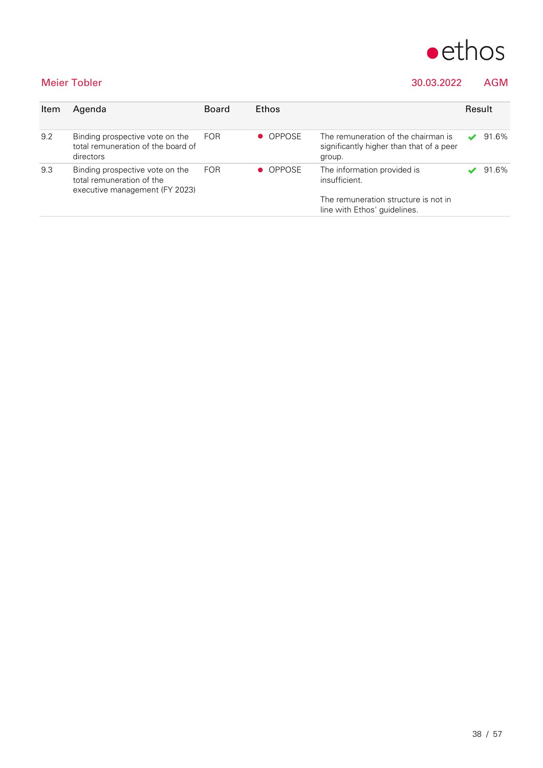

### Meier Tobler 30.03.2022 AGM

| Item | Agenda                                                                                         | <b>Board</b> | Ethos         |                                                                                           |  |       |
|------|------------------------------------------------------------------------------------------------|--------------|---------------|-------------------------------------------------------------------------------------------|--|-------|
| 9.2  | Binding prospective vote on the<br>total remuneration of the board of<br>directors             | <b>FOR</b>   | <b>OPPOSE</b> | The remuneration of the chairman is<br>significantly higher than that of a peer<br>group. |  | 91.6% |
| 9.3  | Binding prospective vote on the<br>total remuneration of the<br>executive management (FY 2023) | <b>FOR</b>   | • OPPOSE      | The information provided is<br>insufficient.                                              |  | 91.6% |
|      |                                                                                                |              |               | The remuneration structure is not in<br>line with Ethos' guidelines.                      |  |       |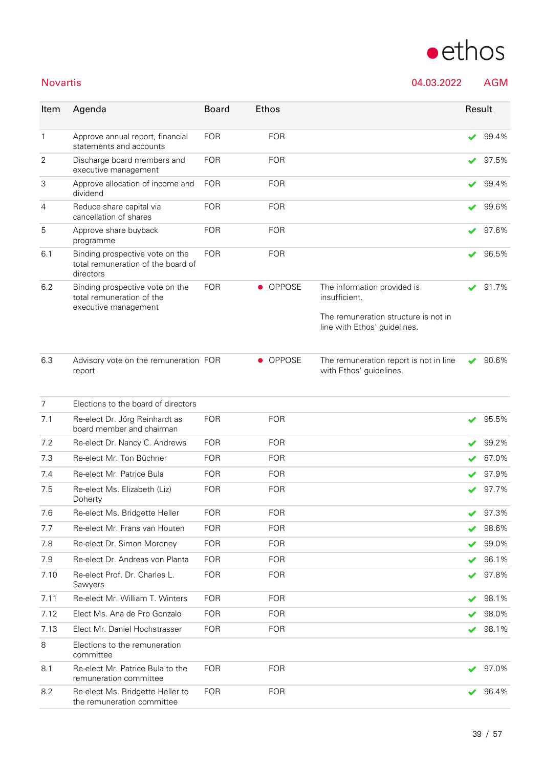## Novartis 04.03.2022 AGM **Item Agenda Board** Ethos **Result**

| $\mathbf{1}$   | Approve annual report, financial<br>statements and accounts                        | <b>FOR</b> |           | <b>FOR</b>    |                                                                      |                            | 99.4% |
|----------------|------------------------------------------------------------------------------------|------------|-----------|---------------|----------------------------------------------------------------------|----------------------------|-------|
| $\overline{2}$ | Discharge board members and<br>executive management                                | <b>FOR</b> |           | <b>FOR</b>    |                                                                      |                            | 97.5% |
| 3              | Approve allocation of income and<br>dividend                                       | <b>FOR</b> |           | <b>FOR</b>    |                                                                      |                            | 99.4% |
| 4              | Reduce share capital via<br>cancellation of shares                                 | <b>FOR</b> |           | <b>FOR</b>    |                                                                      |                            | 99.6% |
| 5              | Approve share buyback<br>programme                                                 | <b>FOR</b> |           | <b>FOR</b>    |                                                                      | ✔                          | 97.6% |
| 6.1            | Binding prospective vote on the<br>total remuneration of the board of<br>directors | <b>FOR</b> |           | <b>FOR</b>    |                                                                      |                            | 96.5% |
| 6.2            | Binding prospective vote on the<br>total remuneration of the                       | <b>FOR</b> |           | • OPPOSE      | The information provided is<br>insufficient.                         |                            | 91.7% |
|                | executive management                                                               |            |           |               | The remuneration structure is not in<br>line with Ethos' guidelines. |                            |       |
| 6.3            | Advisory vote on the remuneration FOR<br>report                                    |            | $\bullet$ | <b>OPPOSE</b> | The remuneration report is not in line<br>with Ethos' guidelines.    |                            | 90.6% |
| $\overline{7}$ | Elections to the board of directors                                                |            |           |               |                                                                      |                            |       |
| 7.1            | Re-elect Dr. Jörg Reinhardt as<br>board member and chairman                        | <b>FOR</b> |           | <b>FOR</b>    |                                                                      | ✔                          | 95.5% |
| 7.2            | Re-elect Dr. Nancy C. Andrews                                                      | <b>FOR</b> |           | <b>FOR</b>    |                                                                      |                            | 99.2% |
| 7.3            | Re-elect Mr. Ton Büchner                                                           | <b>FOR</b> |           | <b>FOR</b>    |                                                                      |                            | 87.0% |
| 7.4            | Re-elect Mr. Patrice Bula                                                          | <b>FOR</b> |           | <b>FOR</b>    |                                                                      |                            | 97.9% |
| 7.5            | Re-elect Ms. Elizabeth (Liz)<br>Doherty                                            | <b>FOR</b> |           | <b>FOR</b>    |                                                                      |                            | 97.7% |
| 7.6            | Re-elect Ms. Bridgette Heller                                                      | <b>FOR</b> |           | <b>FOR</b>    |                                                                      |                            | 97.3% |
| 7.7            | Re-elect Mr. Frans van Houten                                                      | <b>FOR</b> |           | <b>FOR</b>    |                                                                      | $\boldsymbol{\mathcal{L}}$ | 98.6% |
| 7.8            | Re-elect Dr. Simon Moroney                                                         | <b>FOR</b> |           | <b>FOR</b>    |                                                                      |                            | 99.0% |
| 7.9            | Re-elect Dr. Andreas von Planta                                                    | <b>FOR</b> |           | <b>FOR</b>    |                                                                      |                            | 96.1% |
| 7.10           | Re-elect Prof. Dr. Charles L.<br>Sawyers                                           | <b>FOR</b> |           | <b>FOR</b>    |                                                                      |                            | 97.8% |
| 7.11           | Re-elect Mr. William T. Winters                                                    | <b>FOR</b> |           | <b>FOR</b>    |                                                                      |                            | 98.1% |
| 7.12           | Elect Ms. Ana de Pro Gonzalo                                                       | <b>FOR</b> |           | <b>FOR</b>    |                                                                      |                            | 98.0% |
| 7.13           | Elect Mr. Daniel Hochstrasser                                                      | <b>FOR</b> |           | <b>FOR</b>    |                                                                      | ✔                          | 98.1% |
| $\,8\,$        | Elections to the remuneration<br>committee                                         |            |           |               |                                                                      |                            |       |
| 8.1            | Re-elect Mr. Patrice Bula to the<br>remuneration committee                         | <b>FOR</b> |           | <b>FOR</b>    |                                                                      |                            | 97.0% |
| 8.2            | Re-elect Ms. Bridgette Heller to<br>the remuneration committee                     | <b>FOR</b> |           | <b>FOR</b>    |                                                                      |                            | 96.4% |
|                |                                                                                    |            |           |               |                                                                      |                            |       |

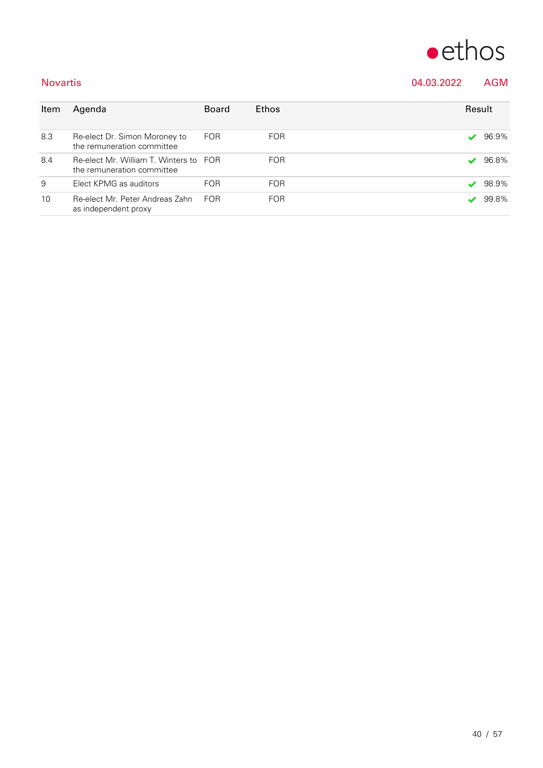

### Novartis 04.03.2022 AGM

| Item | Agenda                                                               | <b>Board</b> | <b>Ethos</b> | Result |       |
|------|----------------------------------------------------------------------|--------------|--------------|--------|-------|
| 8.3  | Re-elect Dr. Simon Moroney to<br>the remuneration committee          | <b>FOR</b>   | <b>FOR</b>   |        | 96.9% |
| 8.4  | Re-elect Mr. William T. Winters to FOR<br>the remuneration committee |              | <b>FOR</b>   |        | 96.8% |
| 9    | Elect KPMG as auditors                                               | <b>FOR</b>   | <b>FOR</b>   | ✔      | 98.9% |
| 10   | Re-elect Mr. Peter Andreas Zahn<br>as independent proxy              | <b>FOR</b>   | <b>FOR</b>   |        | 99.8% |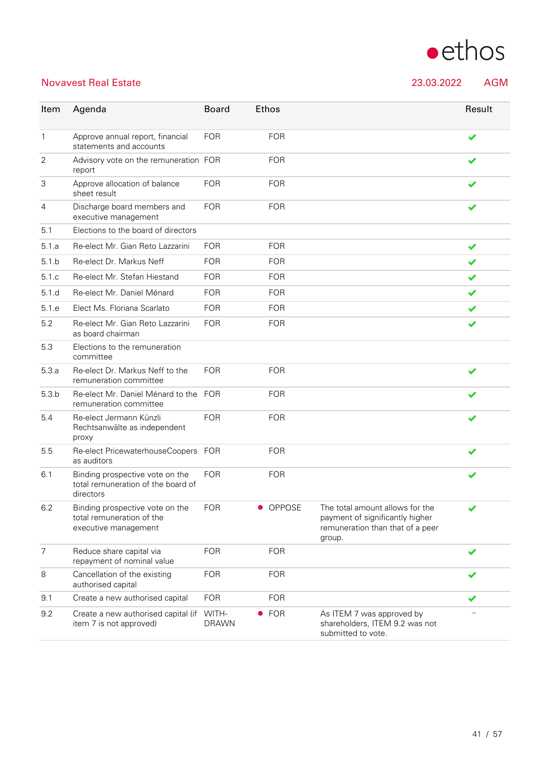

### Novavest Real Estate 23.03.2022 AGM

7 Reduce share capital via

8 Cancellation of the existing authorised capital

item 7 is not approved)

repayment of nominal value

9.2 Create a new authorised capital (if WITH-

| Item  | Agenda                                                                               | <b>Board</b> | Ethos      |                                                                                                                  | Result |
|-------|--------------------------------------------------------------------------------------|--------------|------------|------------------------------------------------------------------------------------------------------------------|--------|
| 1     | Approve annual report, financial<br>statements and accounts                          | <b>FOR</b>   | <b>FOR</b> |                                                                                                                  | ✔      |
| 2     | Advisory vote on the remuneration FOR<br>report                                      |              | <b>FOR</b> |                                                                                                                  |        |
| 3     | Approve allocation of balance<br>sheet result                                        | <b>FOR</b>   | <b>FOR</b> |                                                                                                                  |        |
| 4     | Discharge board members and<br>executive management                                  | <b>FOR</b>   | <b>FOR</b> |                                                                                                                  | ✔      |
| 5.1   | Elections to the board of directors                                                  |              |            |                                                                                                                  |        |
| 5.1.a | Re-elect Mr. Gian Reto Lazzarini                                                     | <b>FOR</b>   | <b>FOR</b> |                                                                                                                  | ✔      |
| 5.1.b | Re-elect Dr. Markus Neff                                                             | <b>FOR</b>   | <b>FOR</b> |                                                                                                                  | ✔      |
| 5.1.c | Re-elect Mr. Stefan Hiestand                                                         | <b>FOR</b>   | <b>FOR</b> |                                                                                                                  | ✔      |
| 5.1.d | Re-elect Mr. Daniel Ménard                                                           | <b>FOR</b>   | <b>FOR</b> |                                                                                                                  | ✔      |
| 5.1.e | Elect Ms. Floriana Scarlato                                                          | <b>FOR</b>   | <b>FOR</b> |                                                                                                                  | ✔      |
| 5.2   | Re-elect Mr. Gian Reto Lazzarini<br>as board chairman                                | <b>FOR</b>   | <b>FOR</b> |                                                                                                                  |        |
| 5.3   | Elections to the remuneration<br>committee                                           |              |            |                                                                                                                  |        |
| 5.3.a | Re-elect Dr. Markus Neff to the<br>remuneration committee                            | <b>FOR</b>   | <b>FOR</b> |                                                                                                                  |        |
| 5.3.b | Re-elect Mr. Daniel Ménard to the FOR<br>remuneration committee                      |              | <b>FOR</b> |                                                                                                                  |        |
| 5.4   | Re-elect Jermann Künzli<br>Rechtsanwälte as independent<br>proxy                     | <b>FOR</b>   | <b>FOR</b> |                                                                                                                  |        |
| 5.5   | Re-elect PricewaterhouseCoopers FOR<br>as auditors                                   |              | <b>FOR</b> |                                                                                                                  |        |
| 6.1   | Binding prospective vote on the<br>total remuneration of the board of<br>directors   | FOR          | <b>FOR</b> |                                                                                                                  |        |
| 6.2   | Binding prospective vote on the<br>total remuneration of the<br>executive management | <b>FOR</b>   | OPPOSE     | The total amount allows for the<br>payment of significantly higher<br>remuneration than that of a peer<br>group. |        |

9.1 Create a new authorised capital FOR FOR FOR STEED FOR

DRAWN

FOR FOR  $\bullet$ 

FOR FOR  $\bullet$ 

● FOR As ITEM 7 was approved by

submitted to vote.

shareholders, ITEM 9.2 was not

−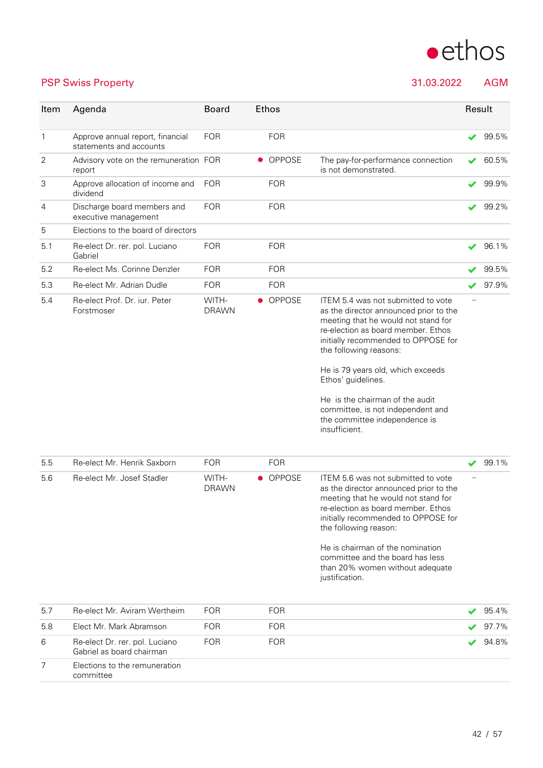

PSP Swiss Property 31.03.2022 AGM

| Item           | Agenda                                                      | <b>Board</b>          | Ethos      |                                                                                                                                                                                                                                                                                                                                                                                                                 | Result |       |
|----------------|-------------------------------------------------------------|-----------------------|------------|-----------------------------------------------------------------------------------------------------------------------------------------------------------------------------------------------------------------------------------------------------------------------------------------------------------------------------------------------------------------------------------------------------------------|--------|-------|
| $\mathbf{1}$   | Approve annual report, financial<br>statements and accounts | <b>FOR</b>            | <b>FOR</b> |                                                                                                                                                                                                                                                                                                                                                                                                                 | ✔      | 99.5% |
| $\overline{2}$ | Advisory vote on the remuneration FOR<br>report             |                       | • OPPOSE   | The pay-for-performance connection<br>is not demonstrated.                                                                                                                                                                                                                                                                                                                                                      | ✔      | 60.5% |
| 3              | Approve allocation of income and<br>dividend                | <b>FOR</b>            | <b>FOR</b> |                                                                                                                                                                                                                                                                                                                                                                                                                 | ✔      | 99.9% |
| 4              | Discharge board members and<br>executive management         | <b>FOR</b>            | <b>FOR</b> |                                                                                                                                                                                                                                                                                                                                                                                                                 |        | 99.2% |
| 5              | Elections to the board of directors                         |                       |            |                                                                                                                                                                                                                                                                                                                                                                                                                 |        |       |
| 5.1            | Re-elect Dr. rer. pol. Luciano<br>Gabriel                   | <b>FOR</b>            | <b>FOR</b> |                                                                                                                                                                                                                                                                                                                                                                                                                 | ✔      | 96.1% |
| 5.2            | Re-elect Ms. Corinne Denzler                                | <b>FOR</b>            | <b>FOR</b> |                                                                                                                                                                                                                                                                                                                                                                                                                 |        | 99.5% |
| 5.3            | Re-elect Mr. Adrian Dudle                                   | <b>FOR</b>            | <b>FOR</b> |                                                                                                                                                                                                                                                                                                                                                                                                                 | ✔      | 97.9% |
| 5.4            | Re-elect Prof. Dr. iur. Peter<br>Forstmoser                 | WITH-<br><b>DRAWN</b> | • OPPOSE   | ITEM 5.4 was not submitted to vote<br>as the director announced prior to the<br>meeting that he would not stand for<br>re-election as board member. Ethos<br>initially recommended to OPPOSE for<br>the following reasons:<br>He is 79 years old, which exceeds<br>Ethos' guidelines.<br>He is the chairman of the audit<br>committee, is not independent and<br>the committee independence is<br>insufficient. |        |       |
| 5.5            | Re-elect Mr. Henrik Saxborn                                 | <b>FOR</b>            | <b>FOR</b> |                                                                                                                                                                                                                                                                                                                                                                                                                 | ✔      | 99.1% |
| 5.6            | Re-elect Mr. Josef Stadler                                  | WITH-<br><b>DRAWN</b> | • OPPOSE   | ITEM 5.6 was not submitted to vote<br>as the director announced prior to the<br>meeting that he would not stand for<br>re-election as board member. Ethos<br>initially recommended to OPPOSE for<br>the following reason:<br>He is chairman of the nomination<br>committee and the board has less<br>than 20% women without adequate<br>justification.                                                          |        |       |
| 5.7            | Re-elect Mr. Aviram Wertheim                                | <b>FOR</b>            | <b>FOR</b> |                                                                                                                                                                                                                                                                                                                                                                                                                 |        | 95.4% |
| 5.8            | Elect Mr. Mark Abramson                                     | <b>FOR</b>            | <b>FOR</b> |                                                                                                                                                                                                                                                                                                                                                                                                                 |        | 97.7% |
| 6              | Re-elect Dr. rer. pol. Luciano<br>Gabriel as board chairman | <b>FOR</b>            | <b>FOR</b> |                                                                                                                                                                                                                                                                                                                                                                                                                 |        | 94.8% |
| $\overline{7}$ | Elections to the remuneration<br>committee                  |                       |            |                                                                                                                                                                                                                                                                                                                                                                                                                 |        |       |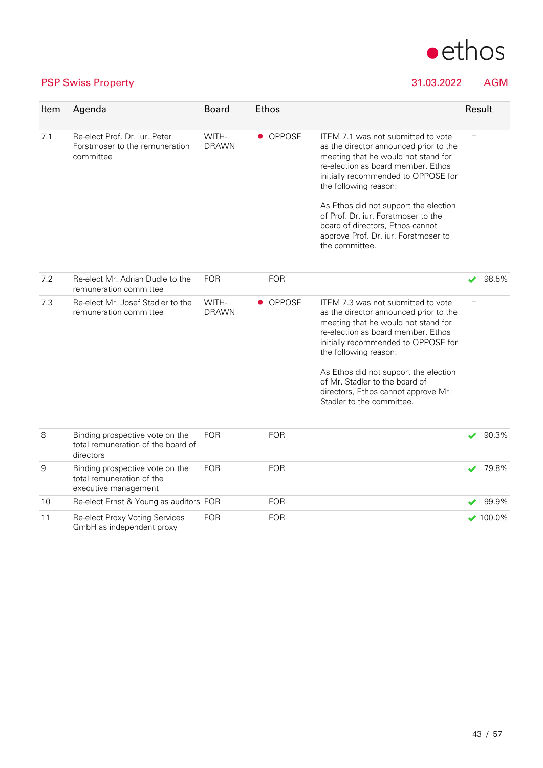

### PSP Swiss Property 31.03.2022 AGM

| Item | Agenda                                                                               | <b>Board</b>          | <b>Ethos</b> |                                                                                                                                                                                                                                                                                                                                                                                                         |   | Result          |
|------|--------------------------------------------------------------------------------------|-----------------------|--------------|---------------------------------------------------------------------------------------------------------------------------------------------------------------------------------------------------------------------------------------------------------------------------------------------------------------------------------------------------------------------------------------------------------|---|-----------------|
| 7.1  | Re-elect Prof. Dr. iur. Peter<br>Forstmoser to the remuneration<br>committee         | WITH-<br><b>DRAWN</b> | • OPPOSE     | ITEM 7.1 was not submitted to vote<br>as the director announced prior to the<br>meeting that he would not stand for<br>re-election as board member. Ethos<br>initially recommended to OPPOSE for<br>the following reason:<br>As Ethos did not support the election<br>of Prof. Dr. iur. Forstmoser to the<br>board of directors, Ethos cannot<br>approve Prof. Dr. iur. Forstmoser to<br>the committee. |   |                 |
|      |                                                                                      |                       |              |                                                                                                                                                                                                                                                                                                                                                                                                         |   |                 |
| 7.2  | Re-elect Mr. Adrian Dudle to the<br>remuneration committee                           | <b>FOR</b>            | <b>FOR</b>   |                                                                                                                                                                                                                                                                                                                                                                                                         |   | 98.5%           |
| 7.3  | Re-elect Mr. Josef Stadler to the<br>remuneration committee                          | WITH-<br><b>DRAWN</b> | • OPPOSE     | ITEM 7.3 was not submitted to vote<br>as the director announced prior to the<br>meeting that he would not stand for<br>re-election as board member. Ethos<br>initially recommended to OPPOSE for<br>the following reason:                                                                                                                                                                               |   |                 |
|      |                                                                                      |                       |              | As Ethos did not support the election<br>of Mr. Stadler to the board of<br>directors, Ethos cannot approve Mr.<br>Stadler to the committee.                                                                                                                                                                                                                                                             |   |                 |
| 8    | Binding prospective vote on the<br>total remuneration of the board of<br>directors   | <b>FOR</b>            | <b>FOR</b>   |                                                                                                                                                                                                                                                                                                                                                                                                         | v | 90.3%           |
| 9    | Binding prospective vote on the<br>total remuneration of the<br>executive management | <b>FOR</b>            | <b>FOR</b>   |                                                                                                                                                                                                                                                                                                                                                                                                         | ✔ | 79.8%           |
| 10   | Re-elect Ernst & Young as auditors FOR                                               |                       | <b>FOR</b>   |                                                                                                                                                                                                                                                                                                                                                                                                         |   | 99.9%           |
| 11   | Re-elect Proxy Voting Services<br>GmbH as independent proxy                          | <b>FOR</b>            | <b>FOR</b>   |                                                                                                                                                                                                                                                                                                                                                                                                         |   | $\times$ 100.0% |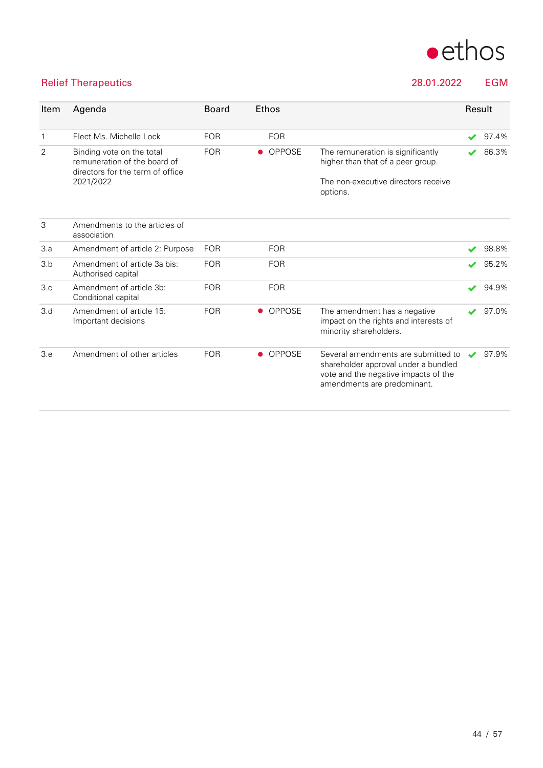

### Relief Therapeutics 28.01.2022 EGM

| Item           | Agenda                                                                                                     | <b>Board</b> | <b>Ethos</b>               |                                                                                                                                                    | Result                   |       |
|----------------|------------------------------------------------------------------------------------------------------------|--------------|----------------------------|----------------------------------------------------------------------------------------------------------------------------------------------------|--------------------------|-------|
| $\mathbf{1}$   | Elect Ms. Michelle Lock                                                                                    | <b>FOR</b>   | <b>FOR</b>                 |                                                                                                                                                    |                          | 97.4% |
| $\overline{2}$ | Binding vote on the total<br>remuneration of the board of<br>directors for the term of office<br>2021/2022 | <b>FOR</b>   | OPPOSE                     | The remuneration is significantly<br>higher than that of a peer group.<br>The non-executive directors receive<br>options.                          |                          | 86.3% |
| 3              | Amendments to the articles of<br>association                                                               |              |                            |                                                                                                                                                    |                          |       |
| 3.a            | Amendment of article 2: Purpose                                                                            | <b>FOR</b>   | <b>FOR</b>                 |                                                                                                                                                    | $\blacktriangleright$    | 98.8% |
| 3.b            | Amendment of article 3a bis:<br>Authorised capital                                                         | <b>FOR</b>   | <b>FOR</b>                 |                                                                                                                                                    | ✔                        | 95.2% |
| 3.c            | Amendment of article 3b:<br>Conditional capital                                                            | <b>FOR</b>   | <b>FOR</b>                 |                                                                                                                                                    | $\blacktriangleright$    | 94.9% |
| 3.d            | Amendment of article 15:<br>Important decisions                                                            | <b>FOR</b>   | <b>OPPOSE</b><br>$\bullet$ | The amendment has a negative<br>impact on the rights and interests of<br>minority shareholders.                                                    |                          | 97.0% |
| 3.e            | Amendment of other articles                                                                                | <b>FOR</b>   | OPPOSE<br>$\bullet$        | Several amendments are submitted to<br>shareholder approval under a bundled<br>vote and the negative impacts of the<br>amendments are predominant. | $\overline{\mathscr{L}}$ | 97.9% |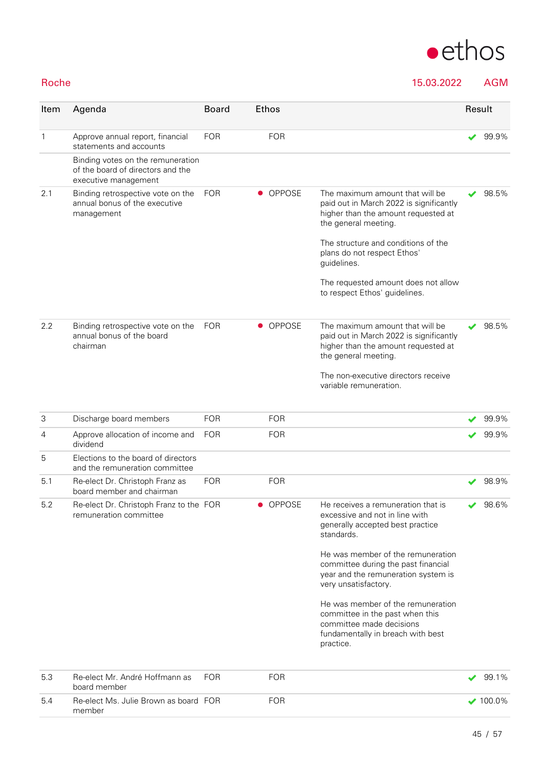

Roche 15.03.2022 AGM

| Item         | Agenda                                                                                         | <b>Board</b> | <b>Ethos</b> |                                                                                                                                                    | Result |       |
|--------------|------------------------------------------------------------------------------------------------|--------------|--------------|----------------------------------------------------------------------------------------------------------------------------------------------------|--------|-------|
| $\mathbf{1}$ | Approve annual report, financial<br>statements and accounts                                    | <b>FOR</b>   | <b>FOR</b>   |                                                                                                                                                    |        | 99.9% |
|              | Binding votes on the remuneration<br>of the board of directors and the<br>executive management |              |              |                                                                                                                                                    |        |       |
| 2.1          | Binding retrospective vote on the<br>annual bonus of the executive<br>management               | <b>FOR</b>   | • OPPOSE     | The maximum amount that will be<br>paid out in March 2022 is significantly<br>higher than the amount requested at<br>the general meeting.          |        | 98.5% |
|              |                                                                                                |              |              | The structure and conditions of the<br>plans do not respect Ethos'<br>guidelines.                                                                  |        |       |
|              |                                                                                                |              |              | The requested amount does not allow<br>to respect Ethos' guidelines.                                                                               |        |       |
| 2.2          | Binding retrospective vote on the<br>annual bonus of the board<br>chairman                     | <b>FOR</b>   | • OPPOSE     | The maximum amount that will be<br>paid out in March 2022 is significantly<br>higher than the amount requested at<br>the general meeting.          |        | 98.5% |
|              |                                                                                                |              |              | The non-executive directors receive<br>variable remuneration.                                                                                      |        |       |
| 3            | Discharge board members                                                                        | <b>FOR</b>   | <b>FOR</b>   |                                                                                                                                                    |        | 99.9% |
| 4            | Approve allocation of income and<br>dividend                                                   | <b>FOR</b>   | <b>FOR</b>   |                                                                                                                                                    |        | 99.9% |
| 5            | Elections to the board of directors<br>and the remuneration committee                          |              |              |                                                                                                                                                    |        |       |
| 5.1          | Re-elect Dr. Christoph Franz as<br>board member and chairman                                   | <b>FOR</b>   | <b>FOR</b>   |                                                                                                                                                    |        | 98.9% |
| $5.2\,$      | Re-elect Dr. Christoph Franz to the FOR<br>remuneration committee                              |              | • OPPOSE     | He receives a remuneration that is<br>excessive and not in line with<br>generally accepted best practice<br>standards.                             |        | 98.6% |
|              |                                                                                                |              |              | He was member of the remuneration<br>committee during the past financial<br>year and the remuneration system is<br>very unsatisfactory.            |        |       |
|              |                                                                                                |              |              | He was member of the remuneration<br>committee in the past when this<br>committee made decisions<br>fundamentally in breach with best<br>practice. |        |       |
| 5.3          | Re-elect Mr. André Hoffmann as                                                                 | <b>FOR</b>   | <b>FOR</b>   |                                                                                                                                                    | ✔      | 99.1% |

| . ხ.პ | -Re-elect Mr. Andre Hoffmann as - FOR<br>board member | FUR | 99. I %          |
|-------|-------------------------------------------------------|-----|------------------|
| 5.4   | Re-elect Ms. Julie Brown as board FOR<br>member       | FOR | $\bigvee$ 100.0% |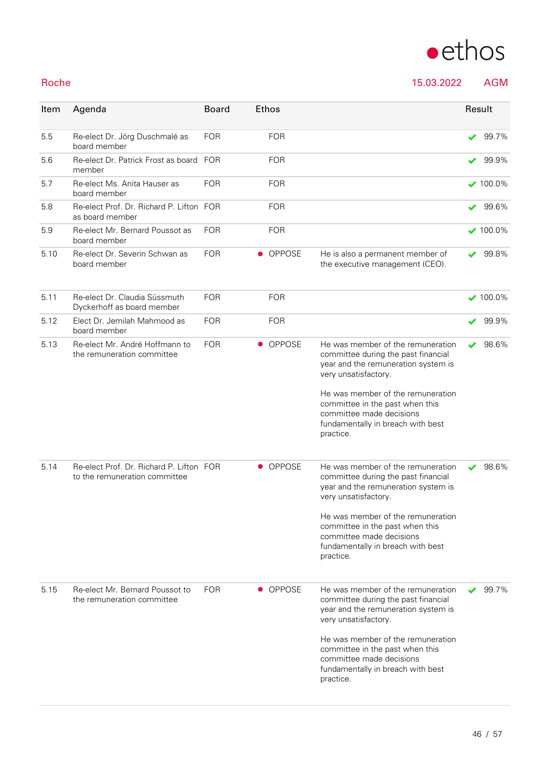

46 / 57

|  | $\bullet$ ethos |
|--|-----------------|
|  |                 |

Roche 15.03.2022 AGM

| Item | Agenda                                                                    | <b>Board</b> | <b>Ethos</b>  |                                                                                                                                                                                                                                                                                               |   | Result          |
|------|---------------------------------------------------------------------------|--------------|---------------|-----------------------------------------------------------------------------------------------------------------------------------------------------------------------------------------------------------------------------------------------------------------------------------------------|---|-----------------|
| 5.5  | Re-elect Dr. Jörg Duschmalé as<br>board member                            | <b>FOR</b>   | <b>FOR</b>    |                                                                                                                                                                                                                                                                                               | ✔ | 99.7%           |
| 5.6  | Re-elect Dr. Patrick Frost as board FOR<br>member                         |              | <b>FOR</b>    |                                                                                                                                                                                                                                                                                               |   | 99.9%           |
| 5.7  | Re-elect Ms. Anita Hauser as<br>board member                              | <b>FOR</b>   | <b>FOR</b>    |                                                                                                                                                                                                                                                                                               |   | $\times$ 100.0% |
| 5.8  | Re-elect Prof. Dr. Richard P. Lifton FOR<br>as board member               |              | <b>FOR</b>    |                                                                                                                                                                                                                                                                                               | ✔ | 99.6%           |
| 5.9  | Re-elect Mr. Bernard Poussot as<br>board member                           | <b>FOR</b>   | <b>FOR</b>    |                                                                                                                                                                                                                                                                                               |   | $100.0\%$       |
| 5.10 | Re-elect Dr. Severin Schwan as<br>board member                            | <b>FOR</b>   | • OPPOSE      | He is also a permanent member of<br>the executive management (CEO).                                                                                                                                                                                                                           | ✔ | 99.8%           |
| 5.11 | Re-elect Dr. Claudia Süssmuth<br>Dyckerhoff as board member               | <b>FOR</b>   | <b>FOR</b>    |                                                                                                                                                                                                                                                                                               |   | $\times$ 100.0% |
| 5.12 | Elect Dr. Jemilah Mahmood as<br>board member                              | <b>FOR</b>   | <b>FOR</b>    |                                                                                                                                                                                                                                                                                               | ✔ | 99.9%           |
| 5.13 | Re-elect Mr. André Hoffmann to<br>the remuneration committee              | <b>FOR</b>   | • OPPOSE      | He was member of the remuneration<br>committee during the past financial<br>year and the remuneration system is<br>very unsatisfactory.<br>He was member of the remuneration<br>committee in the past when this<br>committee made decisions<br>fundamentally in breach with best<br>practice. | ✔ | 98.6%           |
| 5.14 | Re-elect Prof. Dr. Richard P. Lifton FOR<br>to the remuneration committee |              | <b>OPPOSE</b> | He was member of the remuneration<br>committee during the past financial<br>year and the remuneration system is<br>very unsatisfactory.<br>He was member of the remuneration<br>committee in the past when this<br>committee made decisions<br>fundamentally in breach with best<br>practice. |   | 98.6%           |
| 5.15 | Re-elect Mr. Bernard Poussot to<br>the remuneration committee             | <b>FOR</b>   | • OPPOSE      | He was member of the remuneration<br>committee during the past financial<br>year and the remuneration system is<br>very unsatisfactory.<br>He was member of the remuneration<br>committee in the past when this<br>committee made decisions<br>fundamentally in breach with best<br>practice. |   | 99.7%           |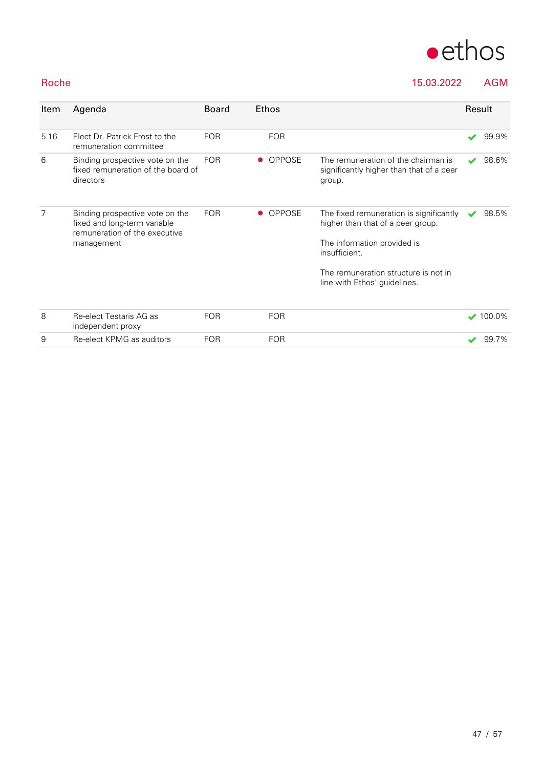

### Roche 15.03.2022 AGM

| Item | Agenda                                                                                                         | <b>Board</b> | Ethos         |                                                                                                                                                                                                      | Result                   |               |
|------|----------------------------------------------------------------------------------------------------------------|--------------|---------------|------------------------------------------------------------------------------------------------------------------------------------------------------------------------------------------------------|--------------------------|---------------|
| 5.16 | Elect Dr. Patrick Frost to the<br>remuneration committee                                                       | <b>FOR</b>   | <b>FOR</b>    |                                                                                                                                                                                                      | ✔                        | 99.9%         |
| 6    | Binding prospective vote on the<br>fixed remuneration of the board of<br>directors                             | <b>FOR</b>   | <b>OPPOSE</b> | The remuneration of the chairman is<br>significantly higher than that of a peer<br>group.                                                                                                            | $\overline{\mathscr{L}}$ | 98.6%         |
| 7    | Binding prospective vote on the<br>fixed and long-term variable<br>remuneration of the executive<br>management | <b>FOR</b>   | <b>OPPOSE</b> | The fixed remuneration is significantly<br>higher than that of a peer group.<br>The information provided is<br>insufficient.<br>The remuneration structure is not in<br>line with Ethos' guidelines. |                          | 98.5%         |
| 8    | Re-elect Testaris AG as<br>independent proxy                                                                   | <b>FOR</b>   | <b>FOR</b>    |                                                                                                                                                                                                      |                          | $\vee$ 100.0% |
| 9    | Re-elect KPMG as auditors                                                                                      | <b>FOR</b>   | <b>FOR</b>    |                                                                                                                                                                                                      |                          | 99.7%         |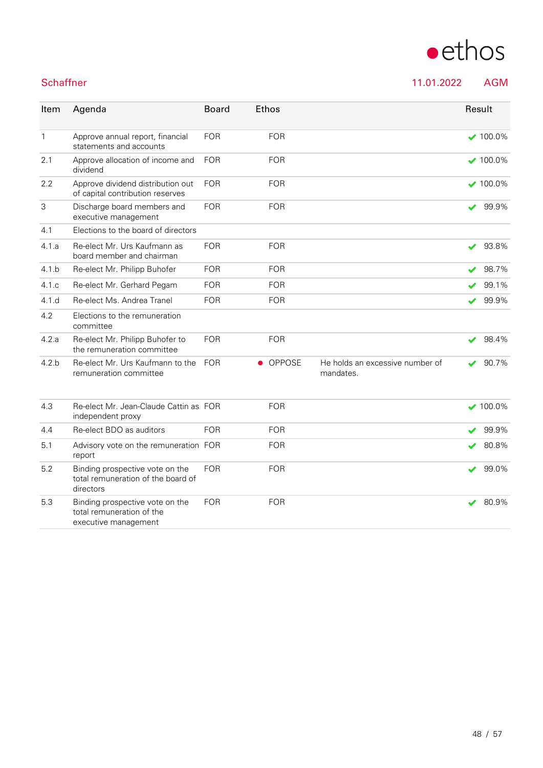| Item  | Agenda                                                                | <b>Board</b> | <b>Ethos</b> |                                              | Result                     |                  |
|-------|-----------------------------------------------------------------------|--------------|--------------|----------------------------------------------|----------------------------|------------------|
| 1     | Approve annual report, financial<br>statements and accounts           | <b>FOR</b>   | <b>FOR</b>   |                                              |                            | $\bigvee$ 100.0% |
| 2.1   | Approve allocation of income and<br>dividend                          | <b>FOR</b>   | <b>FOR</b>   |                                              |                            | $\vee$ 100.0%    |
| 2.2   | Approve dividend distribution out<br>of capital contribution reserves | <b>FOR</b>   | <b>FOR</b>   |                                              |                            | $\vee$ 100.0%    |
| 3     | Discharge board members and<br>executive management                   | <b>FOR</b>   | <b>FOR</b>   |                                              | $\blacktriangleright$      | 99.9%            |
| 4.1   | Elections to the board of directors                                   |              |              |                                              |                            |                  |
| 4.1.a | Re-elect Mr. Urs Kaufmann as<br>board member and chairman             | <b>FOR</b>   | <b>FOR</b>   |                                              |                            | 93.8%            |
| 4.1 b | Re-elect Mr. Philipp Buhofer                                          | <b>FOR</b>   | <b>FOR</b>   |                                              | $\overline{\mathbf{v}}$    | 98.7%            |
| 4.1 c | Re-elect Mr. Gerhard Pegam                                            | <b>FOR</b>   | <b>FOR</b>   |                                              |                            | 99.1%            |
| 4.1d  | Re-elect Ms. Andrea Tranel                                            | <b>FOR</b>   | <b>FOR</b>   |                                              | $\blacktriangleright$      | 99.9%            |
| 4.2   | Elections to the remuneration<br>committee                            |              |              |                                              |                            |                  |
| 4.2.a | Re-elect Mr. Philipp Buhofer to<br>the remuneration committee         | <b>FOR</b>   | <b>FOR</b>   |                                              | $\boldsymbol{\mathcal{L}}$ | 98.4%            |
| 4.2.b | Re-elect Mr. Urs Kaufmann to the<br>remuneration committee            | <b>FOR</b>   | OPPOSE       | He holds an excessive number of<br>mandates. |                            | 90.7%            |

| 4.3 | Re-elect Mr. Jean-Claude Cattin as FOR<br>independent proxy                          |            | <b>FOR</b> | $\vee$ 100.0% |
|-----|--------------------------------------------------------------------------------------|------------|------------|---------------|
| 4.4 | Re-elect BDO as auditors                                                             | <b>FOR</b> | <b>FOR</b> | 99.9%<br>✔    |
| 5.1 | Advisory vote on the remuneration FOR<br>report                                      |            | <b>FOR</b> | 80.8%         |
| 5.2 | Binding prospective vote on the<br>total remuneration of the board of<br>directors   | <b>FOR</b> | <b>FOR</b> | 99.0%         |
| 5.3 | Binding prospective vote on the<br>total remuneration of the<br>executive management | <b>FOR</b> | FOR.       | 80.9%         |

# $\bullet$ ethos

Schaffner 11.01.2022 AGM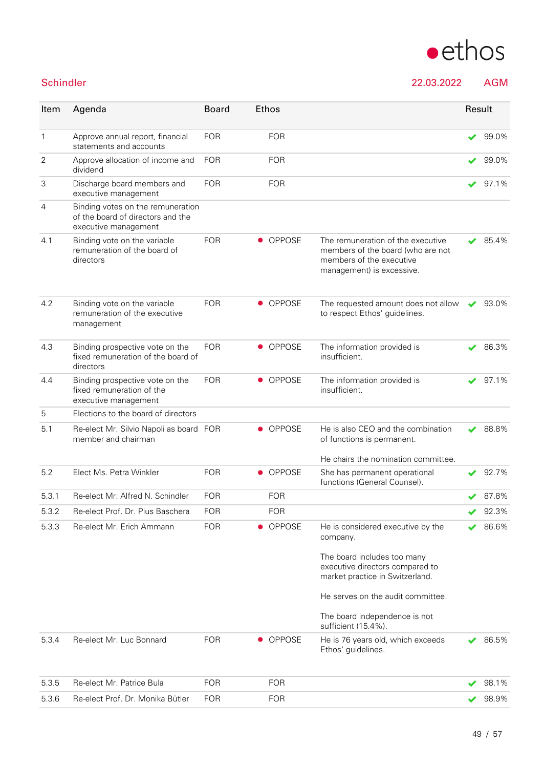

Schindler 22.03.2022 AGM

| Item  | Agenda                                                                                         | <b>Board</b> |           | <b>Ethos</b>  |                                                                                                                                 | Result |       |
|-------|------------------------------------------------------------------------------------------------|--------------|-----------|---------------|---------------------------------------------------------------------------------------------------------------------------------|--------|-------|
| 1     | Approve annual report, financial<br>statements and accounts                                    | <b>FOR</b>   |           | <b>FOR</b>    |                                                                                                                                 | ✔      | 99.0% |
| 2     | Approve allocation of income and<br>dividend                                                   | <b>FOR</b>   |           | <b>FOR</b>    |                                                                                                                                 | ✔      | 99.0% |
| 3     | Discharge board members and<br>executive management                                            | <b>FOR</b>   |           | <b>FOR</b>    |                                                                                                                                 |        | 97.1% |
| 4     | Binding votes on the remuneration<br>of the board of directors and the<br>executive management |              |           |               |                                                                                                                                 |        |       |
| 4.1   | Binding vote on the variable<br>remuneration of the board of<br>directors                      | <b>FOR</b>   |           | <b>OPPOSE</b> | The remuneration of the executive<br>members of the board (who are not<br>members of the executive<br>management) is excessive. |        | 85.4% |
| 4.2   | Binding vote on the variable<br>remuneration of the executive<br>management                    | <b>FOR</b>   |           | • OPPOSE      | The requested amount does not allow<br>to respect Ethos' guidelines.                                                            |        | 93.0% |
| 4.3   | Binding prospective vote on the<br>fixed remuneration of the board of<br>directors             | <b>FOR</b>   | $\bullet$ | <b>OPPOSE</b> | The information provided is<br>insufficient.                                                                                    |        | 86.3% |
| 4.4   | Binding prospective vote on the<br>fixed remuneration of the<br>executive management           | <b>FOR</b>   |           | • OPPOSE      | The information provided is<br>insufficient.                                                                                    |        | 97.1% |
| 5     | Elections to the board of directors                                                            |              |           |               |                                                                                                                                 |        |       |
| 5.1   | Re-elect Mr. Silvio Napoli as board FOR<br>member and chairman                                 |              |           | <b>OPPOSE</b> | He is also CEO and the combination<br>of functions is permanent.                                                                |        | 88.8% |
|       |                                                                                                |              |           |               | He chairs the nomination committee.                                                                                             |        |       |
| 5.2   | Elect Ms. Petra Winkler                                                                        | <b>FOR</b>   | $\bullet$ | OPPOSE        | She has permanent operational<br>functions (General Counsel).                                                                   |        | 92.7% |
| 5.3.1 | Re-elect Mr. Alfred N. Schindler                                                               | <b>FOR</b>   |           | <b>FOR</b>    |                                                                                                                                 |        | 87.8% |
| 5.3.2 | Re-elect Prof. Dr. Pius Baschera                                                               | <b>FOR</b>   |           | <b>FOR</b>    |                                                                                                                                 |        | 92.3% |
| 5.3.3 | Re-elect Mr. Erich Ammann                                                                      | <b>FOR</b>   |           | <b>OPPOSE</b> | He is considered executive by the<br>company.                                                                                   |        | 86.6% |
|       |                                                                                                |              |           |               | The board includes too many<br>executive directors compared to<br>market practice in Switzerland.                               |        |       |
|       |                                                                                                |              |           |               | He serves on the audit committee.                                                                                               |        |       |
|       |                                                                                                |              |           |               | The board independence is not<br>sufficient (15.4%).                                                                            |        |       |
| 53.4  | Re-elect Mr. Luc Bonnard                                                                       | <b>FOR</b>   |           | • OPPOSE      | He is 76 years old, which exceeds<br>Ethos' guidelines.                                                                         |        | 86.5% |
| 5.3.5 | Re-elect Mr. Patrice Bula                                                                      | <b>FOR</b>   |           | <b>FOR</b>    |                                                                                                                                 |        | 98.1% |
| 53.6  | Re-elect Prof. Dr. Monika Bütler                                                               | <b>FOR</b>   |           | <b>FOR</b>    |                                                                                                                                 |        | 98.9% |
|       |                                                                                                |              |           |               |                                                                                                                                 |        |       |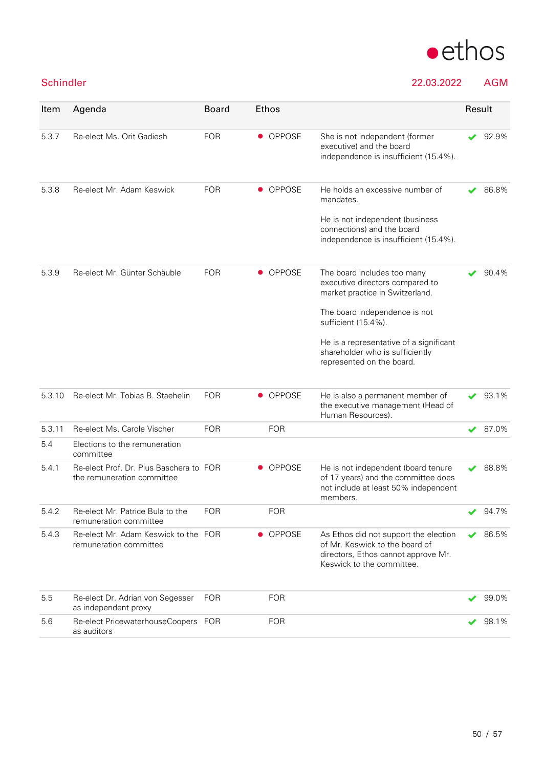

### Schindler 22.03.2022 AGM

| Item   | Agenda                                                                | <b>Board</b> | Ethos                      |                                                                                                                                             | Result |       |
|--------|-----------------------------------------------------------------------|--------------|----------------------------|---------------------------------------------------------------------------------------------------------------------------------------------|--------|-------|
| 5.3.7  | Re-elect Ms. Orit Gadiesh                                             | <b>FOR</b>   | • OPPOSE                   | She is not independent (former<br>executive) and the board<br>independence is insufficient (15.4%).                                         |        | 92.9% |
| 5.3.8  | Re-elect Mr. Adam Keswick                                             | <b>FOR</b>   | <b>OPPOSE</b><br>$\bullet$ | He holds an excessive number of<br>mandates.                                                                                                |        | 86.8% |
|        |                                                                       |              |                            | He is not independent (business<br>connections) and the board<br>independence is insufficient (15.4%).                                      |        |       |
| 5.3.9  | Re-elect Mr. Günter Schäuble                                          | <b>FOR</b>   | • OPPOSE                   | The board includes too many<br>executive directors compared to<br>market practice in Switzerland.                                           |        | 90.4% |
|        |                                                                       |              |                            | The board independence is not<br>sufficient (15.4%).                                                                                        |        |       |
|        |                                                                       |              |                            | He is a representative of a significant<br>shareholder who is sufficiently<br>represented on the board.                                     |        |       |
| 5.3.10 | Re-elect Mr. Tobias B. Staehelin                                      | <b>FOR</b>   | <b>OPPOSE</b>              | He is also a permanent member of<br>the executive management (Head of<br>Human Resources).                                                  |        | 93.1% |
| 5.3.11 | Re-elect Ms. Carole Vischer                                           | <b>FOR</b>   | <b>FOR</b>                 |                                                                                                                                             | ✔      | 87.0% |
| 5.4    | Elections to the remuneration<br>committee                            |              |                            |                                                                                                                                             |        |       |
| 5.4.1  | Re-elect Prof. Dr. Pius Baschera to FOR<br>the remuneration committee |              | <b>OPPOSE</b>              | He is not independent (board tenure<br>of 17 years) and the committee does<br>not include at least 50% independent<br>members.              |        | 88.8% |
| 5.4.2  | Re-elect Mr. Patrice Bula to the<br>remuneration committee            | <b>FOR</b>   | <b>FOR</b>                 |                                                                                                                                             |        | 94.7% |
| 5.4.3  | Re-elect Mr. Adam Keswick to the FOR<br>remuneration committee        |              | • OPPOSE                   | As Ethos did not support the election<br>of Mr. Keswick to the board of<br>directors, Ethos cannot approve Mr.<br>Keswick to the committee. |        | 86.5% |
| 5.5    | Re-elect Dr. Adrian von Segesser<br>as independent proxy              | <b>FOR</b>   | <b>FOR</b>                 |                                                                                                                                             |        | 99.0% |
| 5.6    | Re-elect PricewaterhouseCoopers FOR<br>as auditors                    |              | <b>FOR</b>                 |                                                                                                                                             |        | 98.1% |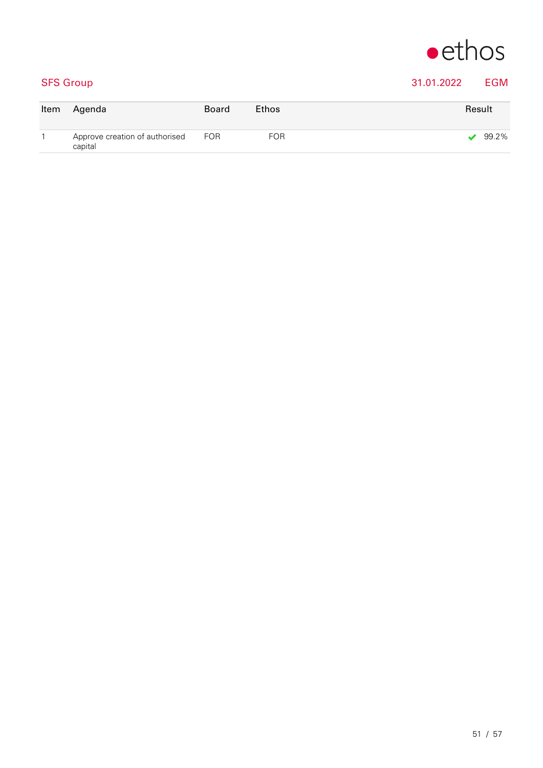

### SFS Group 31.01.2022 EGM

| Item | Agenda                                        | Board | <b>Ethos</b> | Result |
|------|-----------------------------------------------|-------|--------------|--------|
|      | Approve creation of authorised FOR<br>capital |       | <b>FOR</b>   | 99.2%  |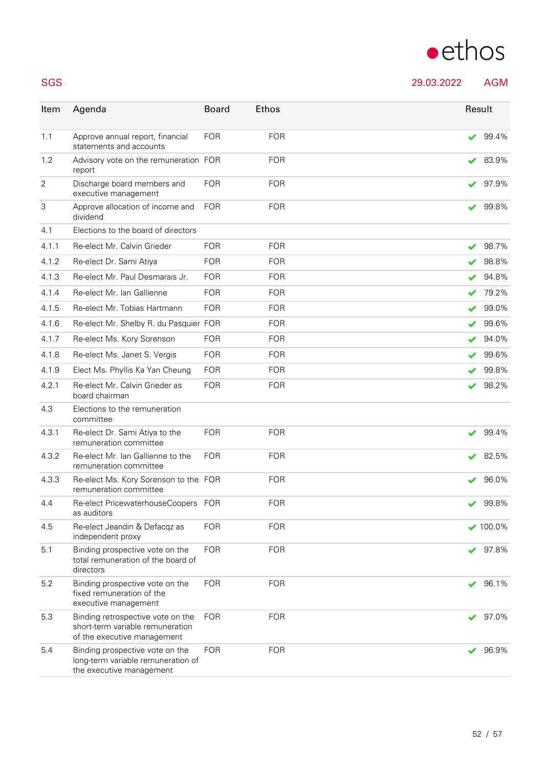# $\bullet$ ethos

SGS 29.03.2022 AGM

| Item  | Agenda                                                                                               | <b>Board</b> | <b>Ethos</b> | Result |                 |
|-------|------------------------------------------------------------------------------------------------------|--------------|--------------|--------|-----------------|
| 1.1   | Approve annual report, financial<br>statements and accounts                                          | <b>FOR</b>   | <b>FOR</b>   |        | 99.4%           |
| 1.2   | Advisory vote on the remuneration FOR<br>report                                                      |              | <b>FOR</b>   |        | 83.9%           |
| 2     | Discharge board members and<br>executive management                                                  | <b>FOR</b>   | <b>FOR</b>   |        | 97.9%           |
| 3     | Approve allocation of income and<br>dividend                                                         | <b>FOR</b>   | <b>FOR</b>   |        | 99.8%           |
| 4.1   | Elections to the board of directors                                                                  |              |              |        |                 |
| 4.1.1 | Re-elect Mr. Calvin Grieder                                                                          | <b>FOR</b>   | <b>FOR</b>   |        | 98.7%           |
| 4.1.2 | Re-elect Dr. Sami Atiya                                                                              | <b>FOR</b>   | <b>FOR</b>   |        | 98.8%           |
| 4.1.3 | Re-elect Mr. Paul Desmarais Jr.                                                                      | <b>FOR</b>   | <b>FOR</b>   |        | 94.8%           |
| 4.1.4 | Re-elect Mr. Ian Gallienne                                                                           | <b>FOR</b>   | <b>FOR</b>   |        | 79.2%           |
| 4.1.5 | Re-elect Mr. Tobias Hartmann                                                                         | <b>FOR</b>   | <b>FOR</b>   |        | 99.0%           |
| 4.1.6 | Re-elect Mr. Shelby R. du Pasquier FOR                                                               |              | <b>FOR</b>   |        | 99.6%           |
| 4.1.7 | Re-elect Ms. Kory Sorenson                                                                           | <b>FOR</b>   | <b>FOR</b>   |        | 94.0%           |
| 4.1.8 | Re-elect Ms. Janet S. Vergis                                                                         | <b>FOR</b>   | <b>FOR</b>   |        | 99.6%           |
| 4.1.9 | Elect Ms. Phyllis Ka Yan Cheung                                                                      | <b>FOR</b>   | <b>FOR</b>   |        | 99.8%           |
| 4.2.1 | Re-elect Mr. Calvin Grieder as<br>board chairman                                                     | <b>FOR</b>   | <b>FOR</b>   |        | 98.2%           |
| 4.3   | Elections to the remuneration<br>committee                                                           |              |              |        |                 |
| 4.3.1 | Re-elect Dr. Sami Atiya to the<br>remuneration committee                                             | <b>FOR</b>   | <b>FOR</b>   |        | 99.4%           |
| 4.3.2 | Re-elect Mr. Ian Gallienne to the<br>remuneration committee                                          | <b>FOR</b>   | <b>FOR</b>   |        | 82.5%           |
| 4.3.3 | Re-elect Ms. Kory Sorenson to the FOR<br>remuneration committee                                      |              | <b>FOR</b>   |        | 96.0%           |
| 4.4   | Re-elect PricewaterhouseCoopers FOR<br>as auditors                                                   |              | <b>FOR</b>   |        | 99.8%           |
| 4.5   | Re-elect Jeandin & Defacqz as<br>independent proxy                                                   | <b>FOR</b>   | <b>FOR</b>   |        | $\times$ 100.0% |
| 5.1   | Binding prospective vote on the<br>total remuneration of the board of<br>directors                   | <b>FOR</b>   | <b>FOR</b>   |        | 97.8%           |
| 5.2   | Binding prospective vote on the<br>fixed remuneration of the<br>executive management                 | <b>FOR</b>   | <b>FOR</b>   |        | 96.1%           |
| 5.3   | Binding retrospective vote on the<br>short-term variable remuneration<br>of the executive management | <b>FOR</b>   | <b>FOR</b>   |        | 97.0%           |
| 5.4   | Binding prospective vote on the<br>long-term variable remuneration of<br>the executive management    | <b>FOR</b>   | <b>FOR</b>   |        | 96.9%           |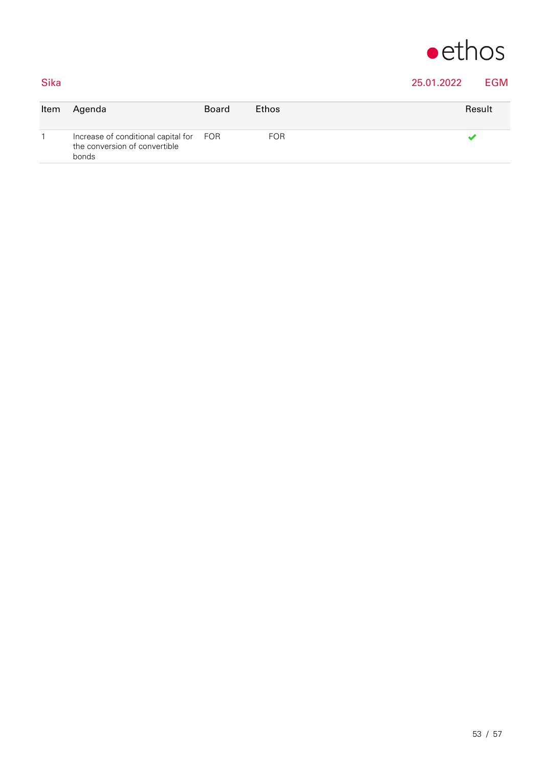

## Sika 25.01.2022 EGM

| Item | Agenda                                                                            | <b>Board</b> | Ethos      | Result |
|------|-----------------------------------------------------------------------------------|--------------|------------|--------|
|      | Increase of conditional capital for FOR<br>the conversion of convertible<br>bonds |              | <b>FOR</b> |        |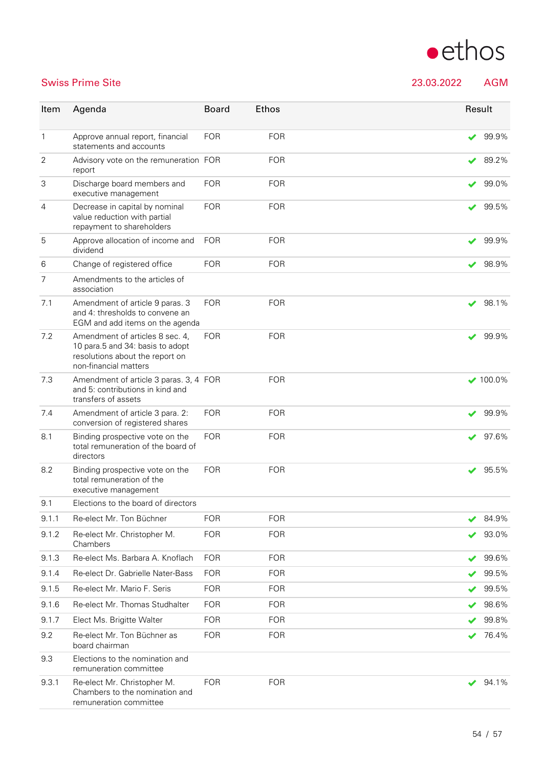

### Swiss Prime Site 23.03.2022 AGM

| Item           | Agenda                                                                                                                          | <b>Board</b> | <b>Ethos</b> |              | Result          |
|----------------|---------------------------------------------------------------------------------------------------------------------------------|--------------|--------------|--------------|-----------------|
| 1              | Approve annual report, financial<br>statements and accounts                                                                     | <b>FOR</b>   | <b>FOR</b>   |              | 99.9%           |
| 2              | Advisory vote on the remuneration FOR<br>report                                                                                 |              | <b>FOR</b>   | ✔            | 89.2%           |
| 3              | Discharge board members and<br>executive management                                                                             | <b>FOR</b>   | <b>FOR</b>   | $\checkmark$ | 99.0%           |
| 4              | Decrease in capital by nominal<br>value reduction with partial<br>repayment to shareholders                                     | <b>FOR</b>   | <b>FOR</b>   |              | 99.5%           |
| 5              | Approve allocation of income and<br>dividend                                                                                    | <b>FOR</b>   | <b>FOR</b>   |              | 99.9%           |
| 6              | Change of registered office                                                                                                     | <b>FOR</b>   | <b>FOR</b>   |              | 98.9%           |
| $\overline{7}$ | Amendments to the articles of<br>association                                                                                    |              |              |              |                 |
| 7.1            | Amendment of article 9 paras. 3<br>and 4: thresholds to convene an<br>EGM and add items on the agenda                           | <b>FOR</b>   | <b>FOR</b>   | ✔            | 98.1%           |
| 7.2            | Amendment of articles 8 sec. 4,<br>10 para.5 and 34: basis to adopt<br>resolutions about the report on<br>non-financial matters | <b>FOR</b>   | <b>FOR</b>   | V            | 99.9%           |
| 7.3            | Amendment of article 3 paras. 3, 4 FOR<br>and 5: contributions in kind and<br>transfers of assets                               |              | <b>FOR</b>   |              | $\times$ 100.0% |
| 7.4            | Amendment of article 3 para. 2:<br>conversion of registered shares                                                              | <b>FOR</b>   | <b>FOR</b>   | ✔            | 99.9%           |
| 8.1            | Binding prospective vote on the<br>total remuneration of the board of<br>directors                                              | <b>FOR</b>   | <b>FOR</b>   |              | 97.6%           |
| 8.2            | Binding prospective vote on the<br>total remuneration of the<br>executive management                                            | <b>FOR</b>   | <b>FOR</b>   | ✔            | 95.5%           |
| 9.1            | Elections to the board of directors                                                                                             |              |              |              |                 |
| 9.1.1          | Re-elect Mr. Ton Büchner                                                                                                        | <b>FOR</b>   | <b>FOR</b>   |              | 84.9%           |
| 9.1.2          | Re-elect Mr. Christopher M.<br>Chambers                                                                                         | <b>FOR</b>   | <b>FOR</b>   |              | 93.0%           |
| 9.1.3          | Re-elect Ms. Barbara A. Knoflach                                                                                                | <b>FOR</b>   | <b>FOR</b>   |              | 99.6%           |
| 9.1.4          | Re-elect Dr. Gabrielle Nater-Bass                                                                                               | <b>FOR</b>   | <b>FOR</b>   |              | 99.5%           |
| 9.1.5          | Re-elect Mr. Mario F. Seris                                                                                                     | <b>FOR</b>   | <b>FOR</b>   |              | 99.5%           |
| 9.1.6          | Re-elect Mr. Thomas Studhalter                                                                                                  | <b>FOR</b>   | <b>FOR</b>   | ✔            | 98.6%           |
| 9.1.7          | Elect Ms. Brigitte Walter                                                                                                       | <b>FOR</b>   | <b>FOR</b>   |              | 99.8%           |
| 9.2            | Re-elect Mr. Ton Büchner as<br>board chairman                                                                                   | <b>FOR</b>   | <b>FOR</b>   |              | 76.4%           |
| 9.3            | Elections to the nomination and<br>remuneration committee                                                                       |              |              |              |                 |
| 9.3.1          | Re-elect Mr. Christopher M.<br>Chambers to the nomination and<br>remuneration committee                                         | <b>FOR</b>   | <b>FOR</b>   |              | 94.1%           |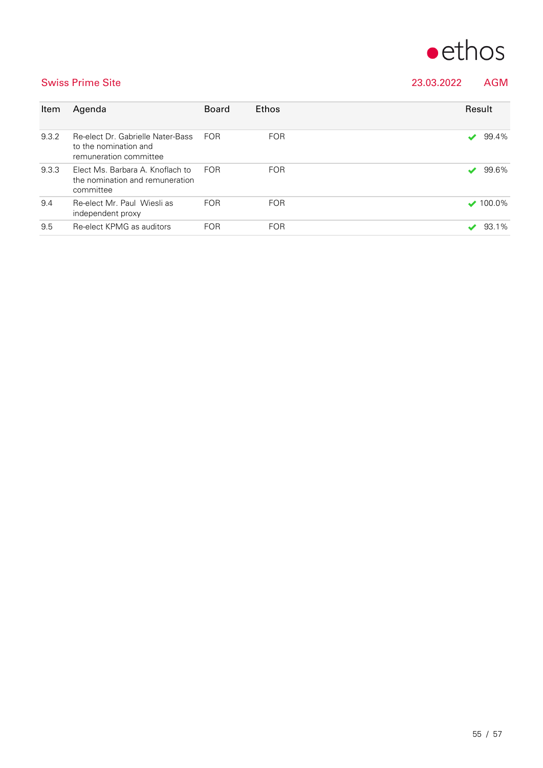

Swiss Prime Site 23.03.2022 AGM

| Item  | Agenda                                                                               | <b>Board</b> | <b>Ethos</b> | Result |                             |
|-------|--------------------------------------------------------------------------------------|--------------|--------------|--------|-----------------------------|
| 9.3.2 | Re-elect Dr. Gabrielle Nater-Bass<br>to the nomination and<br>remuneration committee | <b>FOR</b>   | <b>FOR</b>   |        | 99.4%                       |
| 9.3.3 | Elect Ms. Barbara A. Knoflach to<br>the nomination and remuneration<br>committee     | <b>FOR</b>   | <b>FOR</b>   |        | 99.6%                       |
| 9.4   | Re-elect Mr. Paul Wiesli as<br>independent proxy                                     | <b>FOR</b>   | <b>FOR</b>   |        | $\blacktriangledown$ 100.0% |
| 9.5   | Re-elect KPMG as auditors                                                            | <b>FOR</b>   | <b>FOR</b>   |        | 93.1%                       |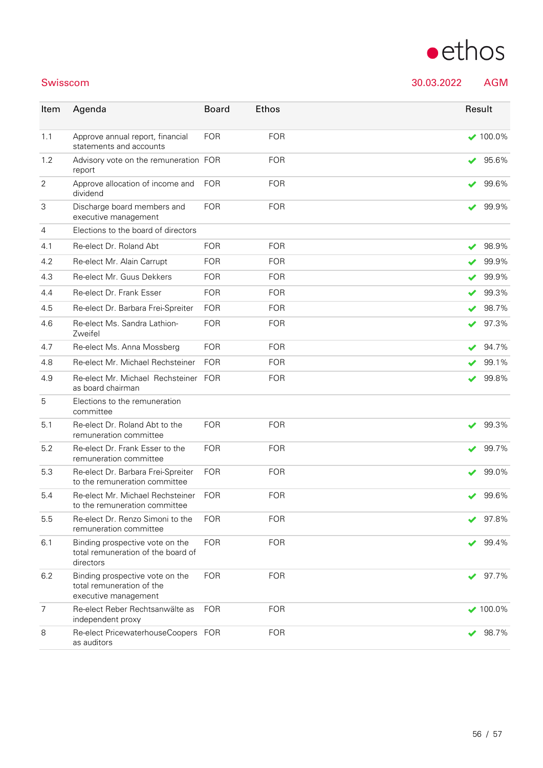# $\bullet$ ethos

Swisscom 30.03.2022 AGM

| Item           | Agenda                                                                               | <b>Board</b> | <b>Ethos</b> | Result |                 |
|----------------|--------------------------------------------------------------------------------------|--------------|--------------|--------|-----------------|
| 1.1            | Approve annual report, financial<br>statements and accounts                          | <b>FOR</b>   | <b>FOR</b>   |        | $100.0\%$       |
| 1.2            | Advisory vote on the remuneration FOR<br>report                                      |              | <b>FOR</b>   | ✔      | 95.6%           |
| $\overline{2}$ | Approve allocation of income and<br>dividend                                         | <b>FOR</b>   | <b>FOR</b>   | ✔      | 99.6%           |
| 3              | Discharge board members and<br>executive management                                  | <b>FOR</b>   | <b>FOR</b>   |        | 99.9%           |
| $\overline{4}$ | Elections to the board of directors                                                  |              |              |        |                 |
| 4.1            | Re-elect Dr. Roland Abt                                                              | <b>FOR</b>   | <b>FOR</b>   |        | 98.9%           |
| 4.2            | Re-elect Mr. Alain Carrupt                                                           | <b>FOR</b>   | <b>FOR</b>   |        | 99.9%           |
| 4.3            | Re-elect Mr. Guus Dekkers                                                            | <b>FOR</b>   | <b>FOR</b>   | V      | 99.9%           |
| 4.4            | Re-elect Dr. Frank Esser                                                             | <b>FOR</b>   | <b>FOR</b>   |        | 99.3%           |
| 4.5            | Re-elect Dr. Barbara Frei-Spreiter                                                   | <b>FOR</b>   | <b>FOR</b>   | ✔      | 98.7%           |
| 4.6            | Re-elect Ms. Sandra Lathion-<br>Zweifel                                              | <b>FOR</b>   | <b>FOR</b>   | ✔      | 97.3%           |
| 4.7            | Re-elect Ms. Anna Mossberg                                                           | <b>FOR</b>   | <b>FOR</b>   | ✔      | 94.7%           |
| 4.8            | Re-elect Mr. Michael Rechsteiner                                                     | <b>FOR</b>   | <b>FOR</b>   |        | 99.1%           |
| 4.9            | Re-elect Mr. Michael Rechsteiner FOR<br>as board chairman                            |              | <b>FOR</b>   | ✔      | 99.8%           |
| 5              | Elections to the remuneration<br>committee                                           |              |              |        |                 |
| 5.1            | Re-elect Dr. Roland Abt to the<br>remuneration committee                             | <b>FOR</b>   | <b>FOR</b>   |        | 99.3%           |
| 5.2            | Re-elect Dr. Frank Esser to the<br>remuneration committee                            | <b>FOR</b>   | <b>FOR</b>   |        | 99.7%           |
| 5.3            | Re-elect Dr. Barbara Frei-Spreiter<br>to the remuneration committee                  | <b>FOR</b>   | <b>FOR</b>   | ✔      | 99.0%           |
| 5.4            | Re-elect Mr. Michael Rechsteiner<br>to the remuneration committee                    | <b>FOR</b>   | <b>FOR</b>   |        | 99.6%           |
| 5.5            | Re-elect Dr. Renzo Simoni to the<br>remuneration committee                           | <b>FOR</b>   | <b>FOR</b>   |        | 97.8%           |
| 6.1            | Binding prospective vote on the<br>total remuneration of the board of<br>directors   | <b>FOR</b>   | <b>FOR</b>   |        | 99.4%           |
| 6.2            | Binding prospective vote on the<br>total remuneration of the<br>executive management | <b>FOR</b>   | <b>FOR</b>   | ✔      | 97.7%           |
| $\overline{7}$ | Re-elect Reber Rechtsanwälte as<br>independent proxy                                 | <b>FOR</b>   | <b>FOR</b>   |        | $\times$ 100.0% |
| 8              | Re-elect PricewaterhouseCoopers FOR<br>as auditors                                   |              | <b>FOR</b>   | ✔      | 98.7%           |